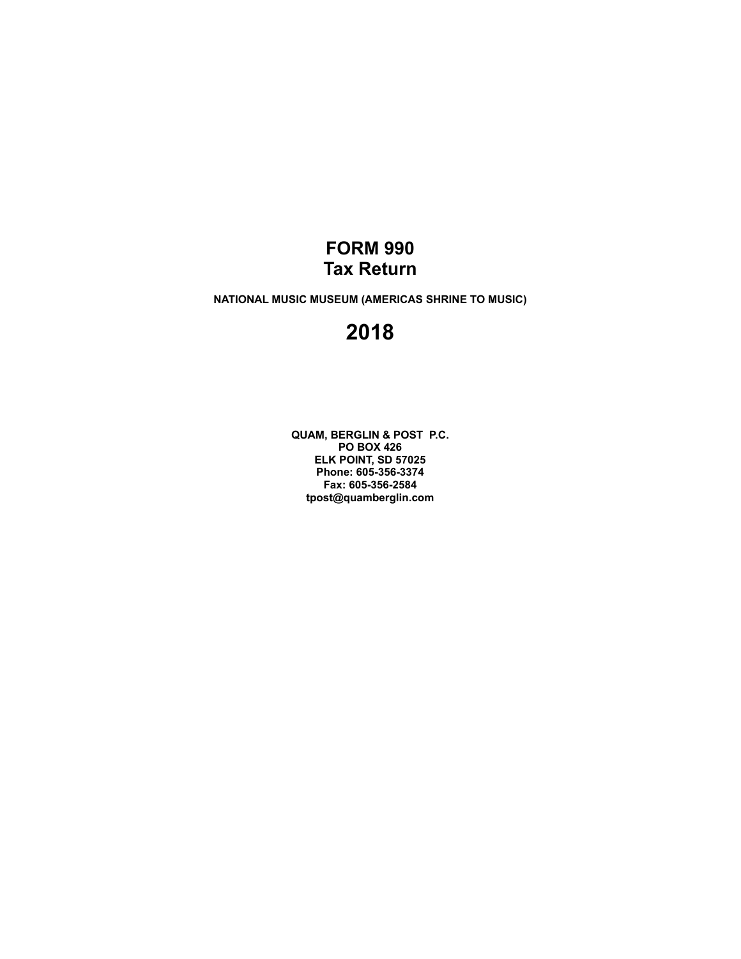### **FORM 990 Tax Return**

**NATIONAL MUSIC MUSEUM (AMERICAS SHRINE TO MUSIC)**

### **2018**

**QUAM, BERGLIN & POST P.C. PO BOX 426 ELK POINT, SD 57025 Phone: 605-356-3374 Fax: 605-356-2584 tpost@quamberglin.com**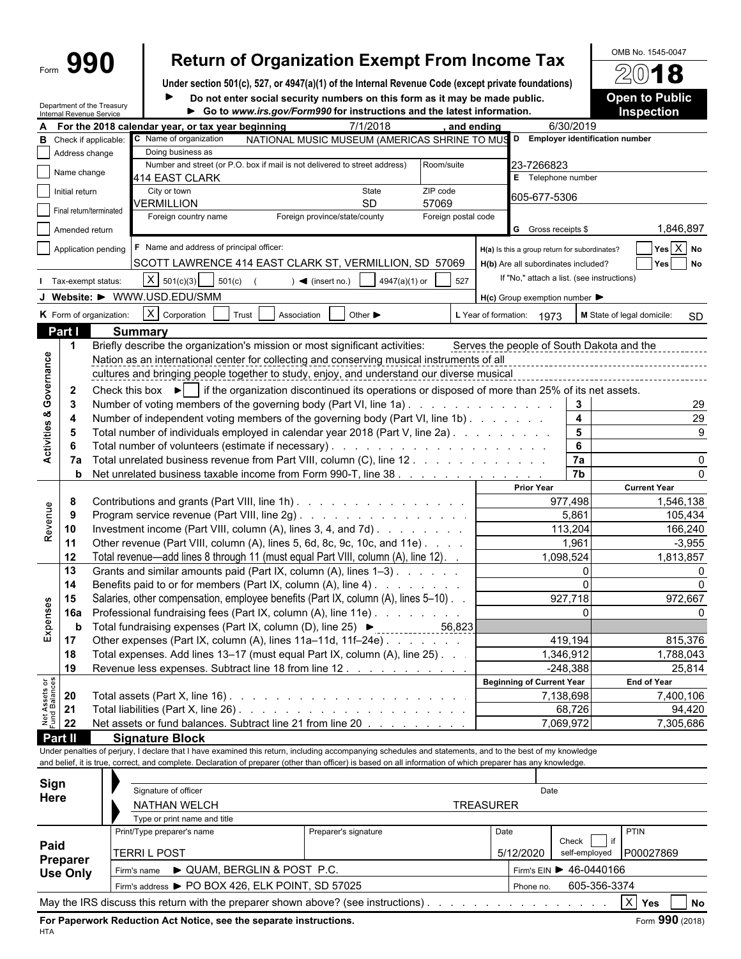# Form **990 Return of Organization Exempt From Income Tax**  $\frac{60\text{dB No. }1545-0047}{20}$

**Under section 501(c), 527, or 4947(a)(1) of the Internal Revenue Code (except private foundations)** this form as it may be made public. **Open to Public** 

|                            | Do not enter social security numbers on this form as it may be made put        |  |  |  |
|----------------------------|--------------------------------------------------------------------------------|--|--|--|
| Department of the Treasury | <b>A</b> Co to www.irs gov/Form000 for instructions and the latest information |  |  |  |

|                                | <b>Internal Revenue Service</b> |                                                                                                                                                                                                                                            |                                                             |                      | ► Go to www.irs.gov/Form990 for instructions and the latest information.                                                                                     |                     |                  |                                                     |                 |         | inspection                       |  |
|--------------------------------|---------------------------------|--------------------------------------------------------------------------------------------------------------------------------------------------------------------------------------------------------------------------------------------|-------------------------------------------------------------|----------------------|--------------------------------------------------------------------------------------------------------------------------------------------------------------|---------------------|------------------|-----------------------------------------------------|-----------------|---------|----------------------------------|--|
|                                |                                 |                                                                                                                                                                                                                                            | For the 2018 calendar year, or tax year beginning           |                      | 7/1/2018                                                                                                                                                     |                     | and ending       |                                                     | 6/30/2019       |         |                                  |  |
| в                              |                                 | Check if applicable:                                                                                                                                                                                                                       | C Name of organization                                      |                      | NATIONAL MUSIC MUSEUM (AMERICAS SHRINE TO MUS                                                                                                                |                     |                  | D Employer identification number                    |                 |         |                                  |  |
|                                | Address change                  |                                                                                                                                                                                                                                            | Doing business as                                           |                      |                                                                                                                                                              |                     |                  |                                                     |                 |         |                                  |  |
|                                | Name change                     |                                                                                                                                                                                                                                            |                                                             |                      | Number and street (or P.O. box if mail is not delivered to street address)                                                                                   | Room/suite          |                  | 23-7266823                                          |                 |         |                                  |  |
|                                | Initial return                  |                                                                                                                                                                                                                                            | 414 EAST CLARK<br>City or town                              |                      | State                                                                                                                                                        | ZIP code            |                  | E Telephone number                                  |                 |         |                                  |  |
|                                |                                 |                                                                                                                                                                                                                                            | VERMILLION                                                  |                      | <b>SD</b>                                                                                                                                                    | 57069               |                  | 605-677-5306                                        |                 |         |                                  |  |
|                                |                                 | Final return/terminated                                                                                                                                                                                                                    | Foreign country name                                        |                      | Foreign province/state/county                                                                                                                                | Foreign postal code |                  |                                                     |                 |         |                                  |  |
|                                | Amended return                  |                                                                                                                                                                                                                                            |                                                             |                      |                                                                                                                                                              |                     |                  | G Gross receipts \$                                 |                 |         | 1,846,897                        |  |
|                                |                                 | Application pending                                                                                                                                                                                                                        | F Name and address of principal officer:                    |                      |                                                                                                                                                              |                     |                  | H(a) Is this a group return for subordinates?       |                 |         | $Yes \overline{X} No$            |  |
|                                |                                 |                                                                                                                                                                                                                                            |                                                             |                      | SCOTT LAWRENCE 414 EAST CLARK ST, VERMILLION, SD 57069                                                                                                       |                     |                  | H(b) Are all subordinates included?                 |                 |         | Yes No                           |  |
|                                |                                 |                                                                                                                                                                                                                                            |                                                             |                      |                                                                                                                                                              |                     |                  | If "No," attach a list. (see instructions)          |                 |         |                                  |  |
|                                |                                 | Tax-exempt status:                                                                                                                                                                                                                         | $ \overline{X} $ 501(c)(3) 501(c)                           |                      | 4947(a)(1) or<br>$) \blacktriangleleft$ (insert no.)                                                                                                         | 527                 |                  |                                                     |                 |         |                                  |  |
|                                |                                 |                                                                                                                                                                                                                                            | J Website: > WWW.USD.EDU/SMM                                |                      |                                                                                                                                                              |                     |                  | $H(c)$ Group exemption number $\blacktriangleright$ |                 |         |                                  |  |
|                                |                                 | K Form of organization:                                                                                                                                                                                                                    | $X$ Corporation                                             | Trust<br>Association | Other $\blacktriangleright$                                                                                                                                  |                     |                  | L Year of formation: 1973                           |                 |         | M State of legal domicile:<br>SD |  |
|                                | Part I                          |                                                                                                                                                                                                                                            | <b>Summary</b>                                              |                      |                                                                                                                                                              |                     |                  |                                                     |                 |         |                                  |  |
|                                | -1                              |                                                                                                                                                                                                                                            |                                                             |                      | Briefly describe the organization's mission or most significant activities:                                                                                  |                     |                  | Serves the people of South Dakota and the           |                 |         |                                  |  |
| Governance                     |                                 |                                                                                                                                                                                                                                            |                                                             |                      | Nation as an international center for collecting and conserving musical instruments of all                                                                   |                     |                  |                                                     |                 |         |                                  |  |
|                                |                                 |                                                                                                                                                                                                                                            |                                                             |                      | cultures and bringing people together to study, enjoy, and understand our diverse musical                                                                    |                     |                  |                                                     |                 |         |                                  |  |
|                                | $\mathbf{2}$                    |                                                                                                                                                                                                                                            |                                                             |                      | Check this box $\blacktriangleright$   if the organization discontinued its operations or disposed of more than 25% of its net assets.                       |                     |                  |                                                     |                 |         |                                  |  |
|                                | 3                               |                                                                                                                                                                                                                                            |                                                             |                      | Number of voting members of the governing body (Part VI, line 1a)                                                                                            |                     |                  |                                                     | 3               |         | 29                               |  |
| <b>Activities &amp;</b>        |                                 |                                                                                                                                                                                                                                            |                                                             |                      | Number of independent voting members of the governing body (Part VI, line 1b)                                                                                |                     |                  |                                                     | 4               |         | 29                               |  |
|                                | -5                              |                                                                                                                                                                                                                                            |                                                             |                      | Total number of individuals employed in calendar year 2018 (Part V, line 2a).                                                                                |                     |                  |                                                     | $\sqrt{5}$      |         | $\boldsymbol{9}$                 |  |
|                                | 6                               |                                                                                                                                                                                                                                            |                                                             |                      |                                                                                                                                                              |                     |                  |                                                     | 6               |         |                                  |  |
|                                | 7a                              |                                                                                                                                                                                                                                            |                                                             |                      | Total unrelated business revenue from Part VIII, column (C), line 12                                                                                         |                     |                  |                                                     | 7a              |         |                                  |  |
|                                | b                               |                                                                                                                                                                                                                                            |                                                             |                      | Net unrelated business taxable income from Form 990-T, line 38                                                                                               |                     |                  |                                                     | $\overline{7b}$ |         | $\Omega$                         |  |
|                                |                                 |                                                                                                                                                                                                                                            |                                                             |                      |                                                                                                                                                              |                     |                  | <b>Prior Year</b>                                   |                 |         | <b>Current Year</b>              |  |
|                                | 8                               | Contributions and grants (Part VIII, line 1h)<br>Program service revenue (Part VIII, line 2g)<br>Investment income (Part VIII, column (A), lines 3, 4, and 7d)<br>Other revenue (Part VIII, column (A), lines 5, 6d, 8c, 9c, 10c, and 11e) |                                                             |                      |                                                                                                                                                              |                     | 977,498          |                                                     | 1,546,138       |         |                                  |  |
| Revenue                        | 9                               |                                                                                                                                                                                                                                            |                                                             |                      |                                                                                                                                                              |                     | 5,861            |                                                     | 105,434         |         |                                  |  |
|                                | 10                              |                                                                                                                                                                                                                                            |                                                             |                      |                                                                                                                                                              |                     | 113,204          |                                                     | 166,240         |         |                                  |  |
|                                | 11                              |                                                                                                                                                                                                                                            |                                                             |                      |                                                                                                                                                              |                     |                  |                                                     | 1,961           |         | $-3,955$                         |  |
|                                | 12                              |                                                                                                                                                                                                                                            |                                                             |                      | Total revenue—add lines 8 through 11 (must equal Part VIII, column (A), line 12). .                                                                          |                     |                  | 1,098,524                                           |                 |         | 1,813,857                        |  |
|                                | 13                              |                                                                                                                                                                                                                                            |                                                             |                      | Grants and similar amounts paid (Part IX, column (A), lines 1-3)                                                                                             |                     |                  |                                                     | $\mathbf{0}$    |         |                                  |  |
|                                | 14                              |                                                                                                                                                                                                                                            |                                                             |                      | Benefits paid to or for members (Part IX, column (A), line 4)                                                                                                |                     |                  |                                                     | $\Omega$        |         |                                  |  |
| Expenses                       | 15                              |                                                                                                                                                                                                                                            |                                                             |                      | Salaries, other compensation, employee benefits (Part IX, column (A), lines 5-10).                                                                           |                     |                  |                                                     | 927,718         | 972,667 |                                  |  |
|                                | <b>16a</b>                      |                                                                                                                                                                                                                                            |                                                             |                      | Professional fundraising fees (Part IX, column (A), line 11e)                                                                                                |                     |                  |                                                     |                 |         |                                  |  |
|                                | b<br>17                         |                                                                                                                                                                                                                                            | Total fundraising expenses (Part IX, column (D), line 25) ▶ |                      |                                                                                                                                                              | 56,823              |                  |                                                     | 419,194         |         |                                  |  |
|                                | 18                              |                                                                                                                                                                                                                                            |                                                             |                      | Other expenses (Part IX, column (A), lines 11a-11d, 11f-24e)<br>Total expenses. Add lines 13-17 (must equal Part IX, column (A), line 25). .                 |                     |                  |                                                     | 1,346,912       |         | 815,376<br>1,788,043             |  |
|                                | 19                              |                                                                                                                                                                                                                                            |                                                             |                      | Revenue less expenses. Subtract line 18 from line 12.                                                                                                        |                     |                  |                                                     | $-248,388$      |         | 25,814                           |  |
|                                |                                 |                                                                                                                                                                                                                                            |                                                             |                      |                                                                                                                                                              |                     |                  | <b>Beginning of Current Year</b>                    |                 |         | <b>End of Year</b>               |  |
|                                | 20                              |                                                                                                                                                                                                                                            |                                                             |                      |                                                                                                                                                              |                     |                  |                                                     | 7,138,698       |         | 7,400,106                        |  |
|                                | 21                              |                                                                                                                                                                                                                                            |                                                             |                      |                                                                                                                                                              |                     |                  |                                                     | 68,726          |         | 94,420                           |  |
| Net Assets or<br>Fund Balances | 22                              |                                                                                                                                                                                                                                            |                                                             |                      | Net assets or fund balances. Subtract line 21 from line 20                                                                                                   |                     |                  |                                                     | 7,069,972       |         | 7,305,686                        |  |
|                                | Part II                         |                                                                                                                                                                                                                                            | <b>Signature Block</b>                                      |                      |                                                                                                                                                              |                     |                  |                                                     |                 |         |                                  |  |
|                                |                                 |                                                                                                                                                                                                                                            |                                                             |                      | Under penalties of perjury, I declare that I have examined this return, including accompanying schedules and statements, and to the best of my knowledge     |                     |                  |                                                     |                 |         |                                  |  |
|                                |                                 |                                                                                                                                                                                                                                            |                                                             |                      | and belief, it is true, correct, and complete. Declaration of preparer (other than officer) is based on all information of which preparer has any knowledge. |                     |                  |                                                     |                 |         |                                  |  |
|                                |                                 |                                                                                                                                                                                                                                            |                                                             |                      |                                                                                                                                                              |                     |                  |                                                     |                 |         |                                  |  |
| Sign                           |                                 |                                                                                                                                                                                                                                            | Signature of officer                                        |                      |                                                                                                                                                              |                     |                  | Date                                                |                 |         |                                  |  |
| Here                           |                                 |                                                                                                                                                                                                                                            | <b>NATHAN WELCH</b>                                         |                      |                                                                                                                                                              |                     | <b>TREASURER</b> |                                                     |                 |         |                                  |  |
|                                |                                 |                                                                                                                                                                                                                                            | Type or print name and title                                |                      |                                                                                                                                                              |                     |                  |                                                     |                 |         |                                  |  |
|                                |                                 |                                                                                                                                                                                                                                            | Print/Type preparer's name                                  |                      | Preparer's signature                                                                                                                                         |                     | Date             |                                                     |                 | PTIN    |                                  |  |
| Paid                           |                                 |                                                                                                                                                                                                                                            | <b>TERRIL POST</b>                                          |                      |                                                                                                                                                              |                     |                  | Check<br>self-employed<br>5/12/2020                 |                 |         | P00027869                        |  |
|                                | <b>Preparer</b>                 |                                                                                                                                                                                                                                            |                                                             |                      |                                                                                                                                                              |                     |                  |                                                     |                 |         |                                  |  |
|                                | <b>Use Only</b>                 |                                                                                                                                                                                                                                            | Firm's name $\blacktriangleright$ QUAM, BERGLIN & POST P.C. |                      |                                                                                                                                                              |                     |                  | Firm's EIN ▶ 46-0440166                             |                 |         |                                  |  |
|                                |                                 |                                                                                                                                                                                                                                            | Firm's address > PO BOX 426, ELK POINT, SD 57025            |                      |                                                                                                                                                              |                     |                  | Phone no.                                           | 605-356-3374    |         |                                  |  |
|                                |                                 |                                                                                                                                                                                                                                            |                                                             |                      | May the IRS discuss this return with the preparer shown above? (see instructions).                                                                           |                     |                  |                                                     |                 |         | $X$ Yes<br>No                    |  |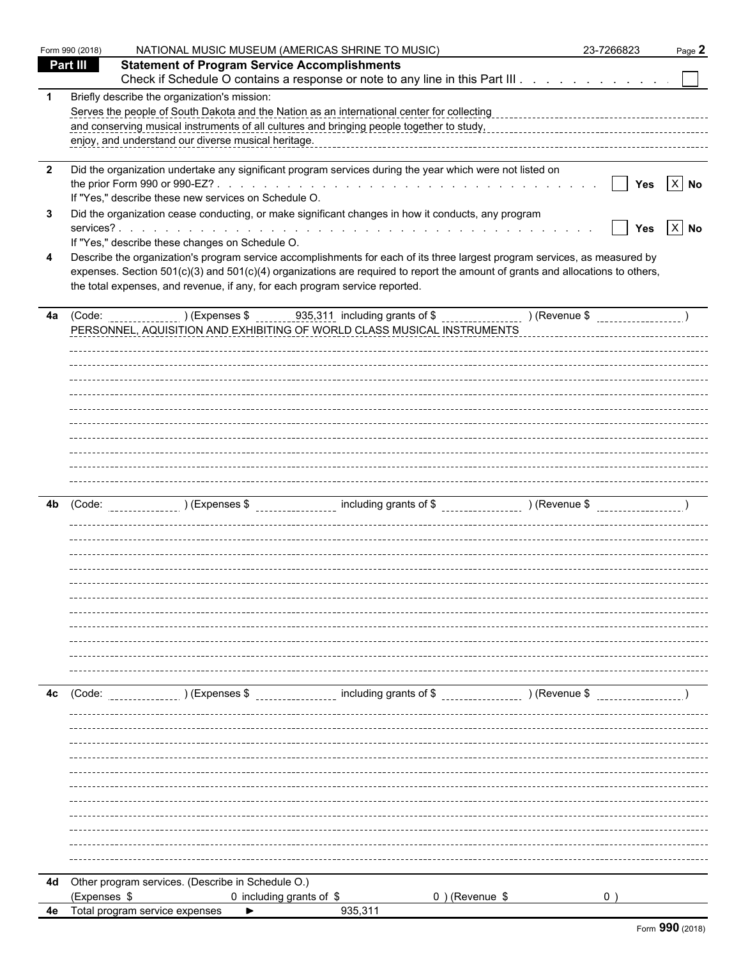|                         | Form 990 (2018) | NATIONAL MUSIC MUSEUM (AMERICAS SHRINE TO MUSIC)                                                                               | 23-7266823   | Page 2     |
|-------------------------|-----------------|--------------------------------------------------------------------------------------------------------------------------------|--------------|------------|
|                         | Part III        | <b>Statement of Program Service Accomplishments</b>                                                                            |              |            |
|                         |                 | Check if Schedule O contains a response or note to any line in this Part III                                                   |              |            |
| -1                      |                 | Briefly describe the organization's mission:                                                                                   |              |            |
|                         |                 |                                                                                                                                |              |            |
|                         |                 |                                                                                                                                |              |            |
|                         |                 |                                                                                                                                |              |            |
|                         |                 |                                                                                                                                |              |            |
| $\overline{\mathbf{2}}$ |                 | Did the organization undertake any significant program services during the year which were not listed on                       |              |            |
|                         |                 | If "Yes," describe these new services on Schedule O.                                                                           | $\mathbf{1}$ | Yes $X$ No |
|                         |                 |                                                                                                                                |              |            |
| 3                       |                 | Did the organization cease conducting, or make significant changes in how it conducts, any program                             |              | Yes $X$ No |
|                         |                 | If "Yes," describe these changes on Schedule O.                                                                                |              |            |
|                         |                 | Describe the organization's program service accomplishments for each of its three largest program services, as measured by     |              |            |
|                         |                 | expenses. Section 501(c)(3) and 501(c)(4) organizations are required to report the amount of grants and allocations to others, |              |            |
|                         |                 | the total expenses, and revenue, if any, for each program service reported.                                                    |              |            |
|                         |                 |                                                                                                                                |              |            |
| 4a                      |                 | (Code: (Code: ) (Expenses \$ 1, 935,311 including grants of \$ 1, 1, 2008) (Revenue \$ 1, 1, 2008) (Code:                      |              |            |
|                         |                 | PERSONNEL, AQUISITION AND EXHIBITING OF WORLD CLASS MUSICAL INSTRUMENTS                                                        |              |            |
|                         |                 |                                                                                                                                |              |            |
|                         |                 |                                                                                                                                |              |            |
|                         |                 |                                                                                                                                |              |            |
|                         |                 |                                                                                                                                |              |            |
|                         |                 |                                                                                                                                |              |            |
|                         |                 |                                                                                                                                |              |            |
|                         |                 |                                                                                                                                |              |            |
|                         |                 |                                                                                                                                |              |            |
|                         |                 |                                                                                                                                |              |            |
|                         |                 |                                                                                                                                |              |            |
| 4b                      |                 | $(Code:$ (Code: $(Code:$ ) (Expenses \$ $(1, 0)$ including grants of \$ $(2, 0)$ (Revenue \$ $(2, 0)$ )                        |              |            |
|                         |                 |                                                                                                                                |              |            |
|                         |                 |                                                                                                                                |              |            |
|                         |                 |                                                                                                                                |              |            |
|                         |                 |                                                                                                                                |              |            |
|                         |                 |                                                                                                                                |              |            |
|                         |                 |                                                                                                                                |              |            |
|                         |                 |                                                                                                                                |              |            |
|                         |                 |                                                                                                                                |              |            |
|                         |                 |                                                                                                                                |              |            |
|                         |                 |                                                                                                                                |              |            |
|                         |                 |                                                                                                                                |              |            |
|                         |                 |                                                                                                                                |              |            |
| 4с                      | (Code:          | ________________ including grants of \$ __________________ ) (Revenue \$<br>) (Expenses \$                                     |              |            |
|                         |                 |                                                                                                                                |              |            |
|                         |                 |                                                                                                                                |              |            |
|                         |                 |                                                                                                                                |              |            |
|                         |                 |                                                                                                                                |              |            |
|                         |                 |                                                                                                                                |              |            |
|                         |                 |                                                                                                                                |              |            |
|                         |                 |                                                                                                                                |              |            |
|                         |                 |                                                                                                                                |              |            |
|                         |                 |                                                                                                                                |              |            |
|                         |                 |                                                                                                                                |              |            |
|                         |                 |                                                                                                                                |              |            |
|                         |                 | 4d Other program services. (Describe in Schedule O.)                                                                           |              |            |
|                         | (Expenses \$    | 0 including grants of \$<br>$0$ ) (Revenue \$                                                                                  |              |            |
| 4e                      |                 | Total program service expenses<br>935,311<br>▶                                                                                 |              |            |
|                         |                 |                                                                                                                                |              |            |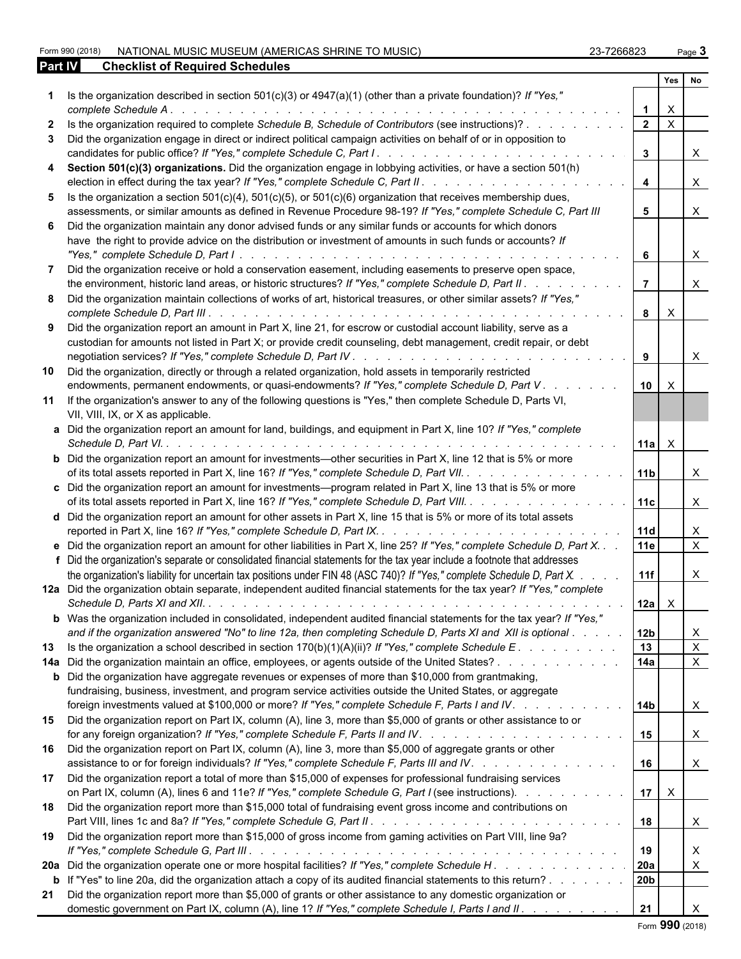| Form 990 (2018) | NATIONAL MUSIC MUSEUM (AMERICAS SHRINE TO MUSIC) | 23-7266823 | Page $3$ |
|-----------------|--------------------------------------------------|------------|----------|
|                 |                                                  |            |          |

| 23-7266823 | Page, |
|------------|-------|
|            |       |

| Part IV | <b>Checklist of Required Schedules</b>                                                                                                                                                                                                               |                         |              |                              |
|---------|------------------------------------------------------------------------------------------------------------------------------------------------------------------------------------------------------------------------------------------------------|-------------------------|--------------|------------------------------|
|         |                                                                                                                                                                                                                                                      |                         | Yes          | No.                          |
|         | Is the organization described in section $501(c)(3)$ or $4947(a)(1)$ (other than a private foundation)? If "Yes,"<br>complete Schedule A.                                                                                                            |                         | $\times$     |                              |
|         | Is the organization required to complete Schedule B, Schedule of Contributors (see instructions)?                                                                                                                                                    | $\overline{2}$          | $\mathsf{X}$ |                              |
| 3       | Did the organization engage in direct or indirect political campaign activities on behalf of or in opposition to                                                                                                                                     | $\mathbf{3}$            |              | $\times$                     |
| 4       | Section 501(c)(3) organizations. Did the organization engage in lobbying activities, or have a section 501(h)                                                                                                                                        |                         |              |                              |
| 5.      | Is the organization a section $501(c)(4)$ , $501(c)(5)$ , or $501(c)(6)$ organization that receives membership dues,                                                                                                                                 | $\overline{\mathbf{4}}$ |              | $\times$                     |
|         | assessments, or similar amounts as defined in Revenue Procedure 98-19? If "Yes," complete Schedule C, Part III                                                                                                                                       | 5                       |              | $\times$                     |
|         | 6 Did the organization maintain any donor advised funds or any similar funds or accounts for which donors<br>have the right to provide advice on the distribution or investment of amounts in such funds or accounts? If                             | 6                       |              | $\times$                     |
| 7       | Did the organization receive or hold a conservation easement, including easements to preserve open space,                                                                                                                                            |                         |              |                              |
|         | the environment, historic land areas, or historic structures? If "Yes," complete Schedule D, Part II. .<br>8 Did the organization maintain collections of works of art, historical treasures, or other similar assets? If "Yes,"                     | $\overline{7}$          |              | $\times$                     |
|         |                                                                                                                                                                                                                                                      | 8                       | $\mathsf{X}$ |                              |
|         | 9 Did the organization report an amount in Part X, line 21, for escrow or custodial account liability, serve as a<br>custodian for amounts not listed in Part X; or provide credit counseling, debt management, credit repair, or debt               |                         |              |                              |
| 10      | Did the organization, directly or through a related organization, hold assets in temporarily restricted                                                                                                                                              | 9                       |              | $\times$                     |
|         | endowments, permanent endowments, or quasi-endowments? If "Yes," complete Schedule D, Part V.                                                                                                                                                        | 10 <sup>1</sup>         | $\mathsf{X}$ |                              |
| 11      | If the organization's answer to any of the following questions is "Yes," then complete Schedule D, Parts VI,<br>VII, VIII, IX, or X as applicable.                                                                                                   |                         |              |                              |
|         | a Did the organization report an amount for land, buildings, and equipment in Part X, line 10? If "Yes," complete                                                                                                                                    | $11a$ $X$               |              |                              |
|         | <b>b</b> Did the organization report an amount for investments—other securities in Part X, line 12 that is 5% or more<br>of its total assets reported in Part X, line 16? If "Yes," complete Schedule D, Part VII.                                   | 11 <sub>b</sub>         |              | $\times$                     |
|         | c Did the organization report an amount for investments—program related in Part X, line 13 that is 5% or more<br>of its total assets reported in Part X, line 16? If "Yes," complete Schedule D, Part VIII.                                          | 11c                     |              | $\times$                     |
|         | d Did the organization report an amount for other assets in Part X, line 15 that is 5% or more of its total assets                                                                                                                                   | 11d                     |              | X                            |
|         | e Did the organization report an amount for other liabilities in Part X, line 25? If "Yes," complete Schedule D, Part X<br>f Did the organization's separate or consolidated financial statements for the tax year include a footnote that addresses | 11e                     |              | $\mathsf{X}$                 |
|         | the organization's liability for uncertain tax positions under FIN 48 (ASC 740)? If "Yes," complete Schedule D, Part X.                                                                                                                              | 11f                     |              | X                            |
|         | 12a Did the organization obtain separate, independent audited financial statements for the tax year? If "Yes," complete                                                                                                                              |                         | 12a   X      |                              |
|         | <b>b</b> Was the organization included in consolidated, independent audited financial statements for the tax year? If "Yes,"<br>and if the organization answered "No" to line 12a, then completing Schedule D, Parts XI and XII is optional          | 12 <sub>b</sub>         |              | X                            |
| 13      | Is the organization a school described in section $170(b)(1)(A)(ii)$ ? If "Yes," complete Schedule E.                                                                                                                                                | 13                      |              | $\boldsymbol{\mathsf{X}}$    |
|         | 14a Did the organization maintain an office, employees, or agents outside of the United States?                                                                                                                                                      | 14a                     |              | $\boldsymbol{\mathsf{X}}$    |
|         | <b>b</b> Did the organization have aggregate revenues or expenses of more than \$10,000 from grantmaking,<br>fundraising, business, investment, and program service activities outside the United States, or aggregate                               |                         |              |                              |
|         | foreign investments valued at \$100,000 or more? If "Yes," complete Schedule F, Parts I and IV.<br>15 Did the organization report on Part IX, column (A), line 3, more than \$5,000 of grants or other assistance to or                              | l 14b<br>15             |              | $\mathsf{X}$<br>$\mathsf{X}$ |
|         | 16 Did the organization report on Part IX, column (A), line 3, more than \$5,000 of aggregate grants or other<br>assistance to or for foreign individuals? If "Yes," complete Schedule F, Parts III and IV.                                          | 16                      |              | $\boldsymbol{\mathsf{X}}$    |
| 17      | Did the organization report a total of more than \$15,000 of expenses for professional fundraising services<br>on Part IX, column (A), lines 6 and 11e? If "Yes," complete Schedule G, Part I (see instructions).                                    |                         | $17 \mid X$  |                              |
| 18      | Did the organization report more than \$15,000 total of fundraising event gross income and contributions on                                                                                                                                          | 18                      |              | $\boldsymbol{\mathsf{X}}$    |
| 19      | Did the organization report more than \$15,000 of gross income from gaming activities on Part VIII, line 9a?                                                                                                                                         | 19                      |              | X                            |
|         | 20a Did the organization operate one or more hospital facilities? If "Yes," complete Schedule H.                                                                                                                                                     | 20a                     |              | $\boldsymbol{\mathsf{X}}$    |
|         | <b>b</b> If "Yes" to line 20a, did the organization attach a copy of its audited financial statements to this return?<br>21 Did the organization report more than \$5,000 of grants or other assistance to any domestic organization or              | 20 <sub>b</sub>         |              |                              |
|         | domestic government on Part IX, column (A), line 1? If "Yes," complete Schedule I, Parts I and II.                                                                                                                                                   | 21                      |              |                              |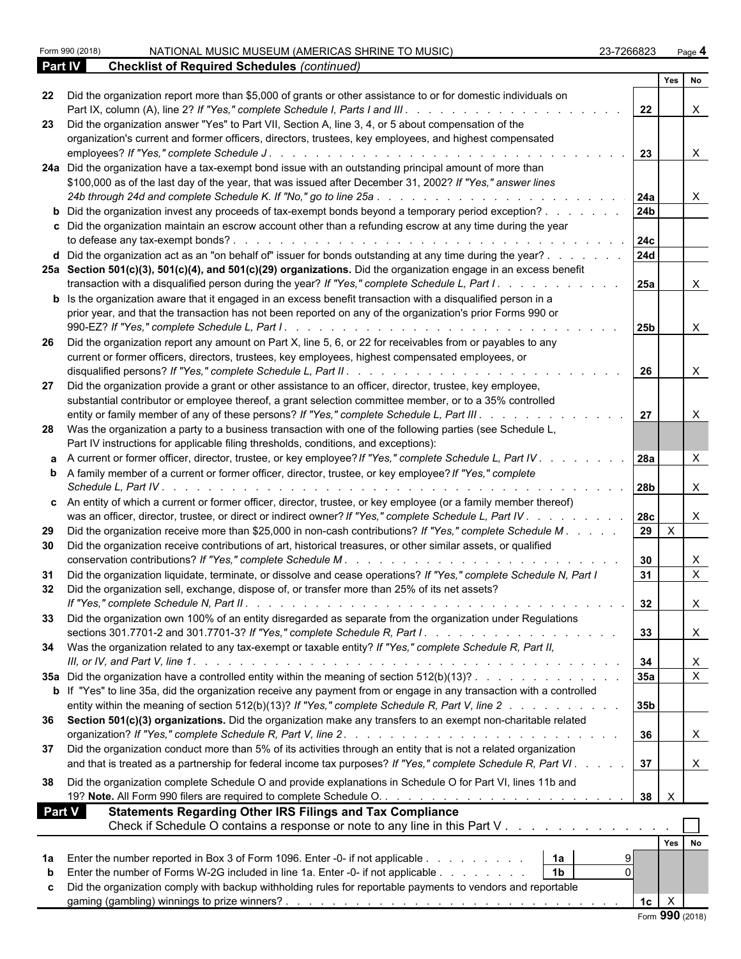|        |                                                                                                                      |                 | Yes                       | No                        |  |
|--------|----------------------------------------------------------------------------------------------------------------------|-----------------|---------------------------|---------------------------|--|
|        | 22 Did the organization report more than \$5,000 of grants or other assistance to or for domestic individuals on     | 22              |                           | X                         |  |
| 23     | Did the organization answer "Yes" to Part VII, Section A, line 3, 4, or 5 about compensation of the                  |                 |                           |                           |  |
|        | organization's current and former officers, directors, trustees, key employees, and highest compensated              |                 |                           |                           |  |
|        |                                                                                                                      | 23              |                           | X                         |  |
|        | 24a Did the organization have a tax-exempt bond issue with an outstanding principal amount of more than              |                 |                           |                           |  |
|        | \$100,000 as of the last day of the year, that was issued after December 31, 2002? If "Yes," answer lines            |                 |                           |                           |  |
|        |                                                                                                                      | 24a             |                           | X                         |  |
|        | <b>b</b> Did the organization invest any proceeds of tax-exempt bonds beyond a temporary period exception?           | 24 <sub>b</sub> |                           |                           |  |
|        | c Did the organization maintain an escrow account other than a refunding escrow at any time during the year          |                 |                           |                           |  |
|        |                                                                                                                      | 24c             |                           |                           |  |
|        | d Did the organization act as an "on behalf of" issuer for bonds outstanding at any time during the year?            | 24d             |                           |                           |  |
|        | 25a Section 501(c)(3), 501(c)(4), and 501(c)(29) organizations. Did the organization engage in an excess benefit     |                 |                           |                           |  |
|        | transaction with a disqualified person during the year? If "Yes," complete Schedule L, Part I.                       | 25a             |                           | X                         |  |
|        | <b>b</b> Is the organization aware that it engaged in an excess benefit transaction with a disqualified person in a  |                 |                           |                           |  |
|        | prior year, and that the transaction has not been reported on any of the organization's prior Forms 990 or           |                 |                           |                           |  |
|        |                                                                                                                      | 25b             |                           | X                         |  |
| 26     | Did the organization report any amount on Part X, line 5, 6, or 22 for receivables from or payables to any           |                 |                           |                           |  |
|        | current or former officers, directors, trustees, key employees, highest compensated employees, or                    |                 |                           |                           |  |
|        |                                                                                                                      | 26              |                           | X                         |  |
| 27     | Did the organization provide a grant or other assistance to an officer, director, trustee, key employee,             |                 |                           |                           |  |
|        | substantial contributor or employee thereof, a grant selection committee member, or to a 35% controlled              |                 |                           |                           |  |
|        | entity or family member of any of these persons? If "Yes," complete Schedule L, Part III.                            | 27              |                           | X                         |  |
|        | Was the organization a party to a business transaction with one of the following parties (see Schedule L,            |                 |                           |                           |  |
| 28     | Part IV instructions for applicable filing thresholds, conditions, and exceptions):                                  |                 |                           |                           |  |
|        | a A current or former officer, director, trustee, or key employee? If "Yes," complete Schedule L, Part IV.           | <b>28a</b>      |                           | X                         |  |
|        | <b>b</b> A family member of a current or former officer, director, trustee, or key employee? If "Yes," complete      |                 |                           |                           |  |
|        |                                                                                                                      |                 |                           |                           |  |
|        |                                                                                                                      | 28b             |                           | X                         |  |
|        | c An entity of which a current or former officer, director, trustee, or key employee (or a family member thereof)    |                 |                           |                           |  |
|        | was an officer, director, trustee, or direct or indirect owner? If "Yes," complete Schedule L, Part IV.              | 28c             |                           | X                         |  |
| 29     | Did the organization receive more than \$25,000 in non-cash contributions? If "Yes," complete Schedule M.            | 29              | $\mathsf{X}$              |                           |  |
| 30     | Did the organization receive contributions of art, historical treasures, or other similar assets, or qualified       |                 |                           |                           |  |
|        |                                                                                                                      | 30              |                           | X                         |  |
| 31     | Did the organization liquidate, terminate, or dissolve and cease operations? If "Yes," complete Schedule N, Part I   | 31              |                           | $\mathsf{X}$              |  |
|        | 32 Did the organization sell, exchange, dispose of, or transfer more than 25% of its net assets?                     |                 |                           |                           |  |
|        |                                                                                                                      | 32              |                           | X                         |  |
|        | 33 Did the organization own 100% of an entity disregarded as separate from the organization under Regulations        |                 |                           |                           |  |
|        |                                                                                                                      | 33              |                           | X                         |  |
| 34     | Was the organization related to any tax-exempt or taxable entity? If "Yes," complete Schedule R, Part II,            |                 |                           |                           |  |
|        |                                                                                                                      | 34              |                           | X                         |  |
|        | 35a Did the organization have a controlled entity within the meaning of section $512(b)(13)?$                        | 35a             |                           | $\boldsymbol{\mathsf{X}}$ |  |
|        | b If "Yes" to line 35a, did the organization receive any payment from or engage in any transaction with a controlled |                 |                           |                           |  |
|        | entity within the meaning of section 512(b)(13)? If "Yes," complete Schedule R, Part V, line 2.                      | 35 <sub>b</sub> |                           |                           |  |
|        | 36 Section 501(c)(3) organizations. Did the organization make any transfers to an exempt non-charitable related      |                 |                           |                           |  |
|        |                                                                                                                      | 36              |                           | X                         |  |
| 37     | Did the organization conduct more than 5% of its activities through an entity that is not a related organization     |                 |                           |                           |  |
|        | and that is treated as a partnership for federal income tax purposes? If "Yes," complete Schedule R, Part VI.        | 37              |                           | X                         |  |
|        |                                                                                                                      |                 |                           |                           |  |
|        | 38 Did the organization complete Schedule O and provide explanations in Schedule O for Part VI, lines 11b and        |                 |                           |                           |  |
|        |                                                                                                                      | 38              | $\boldsymbol{\mathsf{X}}$ |                           |  |
| Part V | <b>Statements Regarding Other IRS Filings and Tax Compliance</b>                                                     |                 |                           |                           |  |
|        | Check if Schedule O contains a response or note to any line in this Part V                                           |                 |                           |                           |  |
|        |                                                                                                                      |                 | Yes                       | <b>No</b>                 |  |
|        | 1a Enter the number reported in Box 3 of Form 1096. Enter -0- if not applicable<br>1a                                |                 |                           |                           |  |
| b      | 1 <sub>b</sub><br>Enter the number of Forms W-2G included in line 1a. Enter -0- if not applicable                    |                 |                           |                           |  |
| C      | Did the organization comply with backup withholding rules for reportable payments to vendors and reportable          |                 |                           |                           |  |
|        |                                                                                                                      | 1 <sub>c</sub>  | $\boldsymbol{\mathsf{X}}$ |                           |  |
|        |                                                                                                                      |                 | Form 990 (2018)           |                           |  |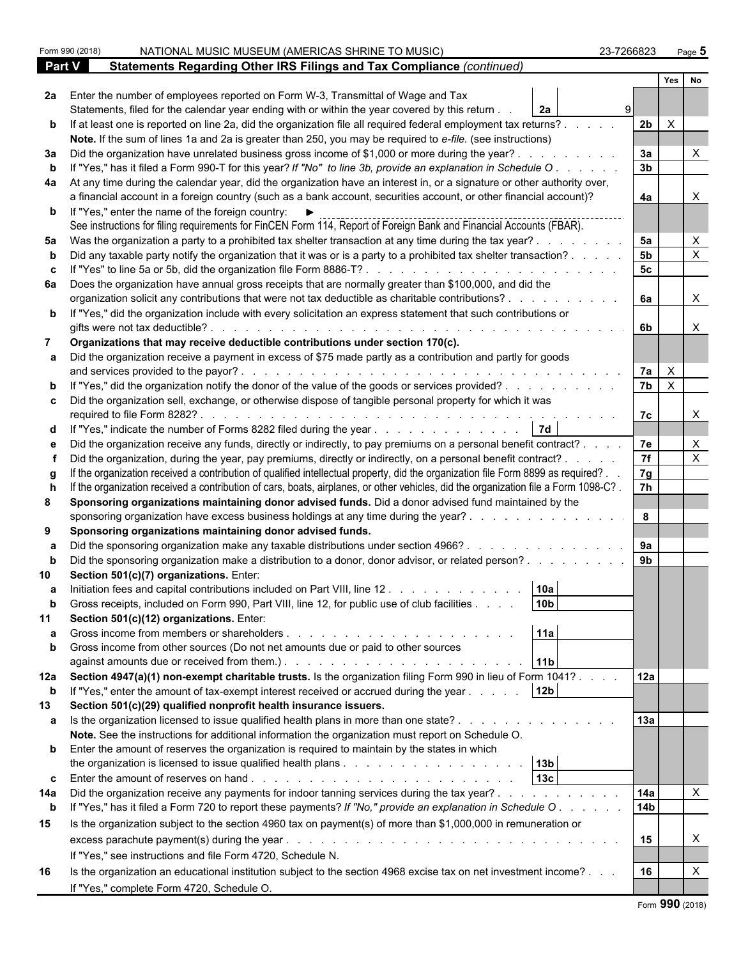| Statements Regarding Other IRS Filings and Tax Compliance (continued)<br>Part V<br>Yes<br>No<br>2a Enter the number of employees reported on Form W-3, Transmittal of Wage and Tax<br>Statements, filed for the calendar year ending with or within the year covered by this return.<br>2a<br>2 <sub>b</sub><br>$\mathsf{X}$<br>b If at least one is reported on line 2a, did the organization file all required federal employment tax returns?<br>Note. If the sum of lines 1a and 2a is greater than 250, you may be required to e-file. (see instructions)<br>3a<br>3a Did the organization have unrelated business gross income of \$1,000 or more during the year?.<br>$\overline{3b}$<br>If "Yes," has it filed a Form 990-T for this year? If "No" to line 3b, provide an explanation in Schedule O<br>b<br>4a At any time during the calendar year, did the organization have an interest in, or a signature or other authority over,<br>a financial account in a foreign country (such as a bank account, securities account, or other financial account)?<br>4a<br><b>b</b> If "Yes," enter the name of the foreign country: $\blacktriangleright$<br>See instructions for filing requirements for FinCEN Form 114, Report of Foreign Bank and Financial Accounts (FBAR).<br>5a<br>$\times$<br>5a Was the organization a party to a prohibited tax shelter transaction at any time during the tax year?.<br>5 <sub>b</sub><br>$\boldsymbol{\mathsf{X}}$<br>Did any taxable party notify the organization that it was or is a party to a prohibited tax shelter transaction?.<br>5c<br>If "Yes" to line 5a or 5b, did the organization file Form 8886-T?<br>c.<br>6a Does the organization have annual gross receipts that are normally greater than \$100,000, and did the<br>organization solicit any contributions that were not tax deductible as charitable contributions?.<br>6a<br>X<br>b If "Yes," did the organization include with every solicitation an express statement that such contributions or<br>gifts were not tax deductible?.<br>6b<br>Organizations that may receive deductible contributions under section 170(c).<br>a Did the organization receive a payment in excess of \$75 made partly as a contribution and partly for goods<br>$\mathsf{X}$<br>and services provided to the payor?.<br>7a<br>de la caractería de la caractería de la caractería de la caractería<br>7 <sub>b</sub><br>$\overline{X}$<br><b>b</b> If "Yes," did the organization notify the donor of the value of the goods or services provided?<br>c Did the organization sell, exchange, or otherwise dispose of tangible personal property for which it was<br>7c<br>X<br>d If "Yes," indicate the number of Forms 8282 filed during the year<br>7e<br>Did the organization receive any funds, directly or indirectly, to pay premiums on a personal benefit contract?.<br>X<br>7f<br>$\mathsf{X}$<br>Did the organization, during the year, pay premiums, directly or indirectly, on a personal benefit contract? .<br>7g<br>If the organization received a contribution of qualified intellectual property, did the organization file Form 8899 as required?.<br>$\overline{7h}$<br>If the organization received a contribution of cars, boats, airplanes, or other vehicles, did the organization file a Form 1098-C?.<br>Sponsoring organizations maintaining donor advised funds. Did a donor advised fund maintained by the<br>sponsoring organization have excess business holdings at any time during the year?.<br>8<br>Sponsoring organizations maintaining donor advised funds.<br>9<br>9a<br>Did the sponsoring organization make any taxable distributions under section 4966?.<br>9 <sub>b</sub><br>Did the sponsoring organization make a distribution to a donor, donor advisor, or related person?<br>Section 501(c)(7) organizations. Enter:<br>Initiation fees and capital contributions included on Part VIII, line 12<br>10a<br>a<br>10 <sub>b</sub><br>Gross receipts, included on Form 990, Part VIII, line 12, for public use of club facilities<br>Section 501(c)(12) organizations. Enter:<br>11a<br>Gross income from other sources (Do not net amounts due or paid to other sources<br>b<br>11 <sub>b</sub><br>12a Section 4947(a)(1) non-exempt charitable trusts. Is the organization filing Form 990 in lieu of Form 1041?.<br>12a<br>12 <sub>b</sub><br>If "Yes," enter the amount of tax-exempt interest received or accrued during the year<br>$\mathbf b$<br>Section 501(c)(29) qualified nonprofit health insurance issuers.<br>13a<br>a Is the organization licensed to issue qualified health plans in more than one state?.<br>Note. See the instructions for additional information the organization must report on Schedule O.<br><b>b</b> Enter the amount of reserves the organization is required to maintain by the states in which<br>13 <sub>b</sub><br>13c<br>14a<br>Did the organization receive any payments for indoor tanning services during the tax year?<br>$\boldsymbol{\mathsf{X}}$<br>14 <sub>b</sub><br>If "Yes," has it filed a Form 720 to report these payments? If "No," provide an explanation in Schedule O<br>$\mathbf b$<br>Is the organization subject to the section 4960 tax on payment(s) of more than \$1,000,000 in remuneration or<br>15<br>X<br>excess parachute payment(s) during the year<br>de la caractería de la caractería de la caractería de la caractería<br>If "Yes," see instructions and file Form 4720, Schedule N.<br>16<br>Is the organization an educational institution subject to the section 4968 excise tax on net investment income? | Form 990 (2018) | NATIONAL MUSIC MUSEUM (AMERICAS SHRINE TO MUSIC) | 23-7266823 | Page $5$ |
|--------------------------------------------------------------------------------------------------------------------------------------------------------------------------------------------------------------------------------------------------------------------------------------------------------------------------------------------------------------------------------------------------------------------------------------------------------------------------------------------------------------------------------------------------------------------------------------------------------------------------------------------------------------------------------------------------------------------------------------------------------------------------------------------------------------------------------------------------------------------------------------------------------------------------------------------------------------------------------------------------------------------------------------------------------------------------------------------------------------------------------------------------------------------------------------------------------------------------------------------------------------------------------------------------------------------------------------------------------------------------------------------------------------------------------------------------------------------------------------------------------------------------------------------------------------------------------------------------------------------------------------------------------------------------------------------------------------------------------------------------------------------------------------------------------------------------------------------------------------------------------------------------------------------------------------------------------------------------------------------------------------------------------------------------------------------------------------------------------------------------------------------------------------------------------------------------------------------------------------------------------------------------------------------------------------------------------------------------------------------------------------------------------------------------------------------------------------------------------------------------------------------------------------------------------------------------------------------------------------------------------------------------------------------------------------------------------------------------------------------------------------------------------------------------------------------------------------------------------------------------------------------------------------------------------------------------------------------------------------------------------------------------------------------------------------------------------------------------------------------------------------------------------------------------------------------------------------------------------------------------------------------------------------------------------------------------------------------------------------------------------------------------------------------------------------------------------------------------------------------------------------------------------------------------------------------------------------------------------------------------------------------------------------------------------------------------------------------------------------------------------------------------------------------------------------------------------------------------------------------------------------------------------------------------------------------------------------------------------------------------------------------------------------------------------------------------------------------------------------------------------------------------------------------------------------------------------------------------------------------------------------------------------------------------------------------------------------------------------------------------------------------------------------------------------------------------------------------------------------------------------------------------------------------------------------------------------------------------------------------------------------------------------------------------------------------------------------------------------------------------------------------------------------------------------------------------------------------------------------------------------------------------------------------------------------------------------------------------------------------------------------------------------------------------------------------------------------------------------------------------------------------------------------------------------------------------------------------------------------------------------------------------------------------------------------------------------------------------------------------------------------------------------------------------------------------------------------------------------------------------------------------------------------------------------------------------------------------------------------------------------------------------|-----------------|--------------------------------------------------|------------|----------|
|                                                                                                                                                                                                                                                                                                                                                                                                                                                                                                                                                                                                                                                                                                                                                                                                                                                                                                                                                                                                                                                                                                                                                                                                                                                                                                                                                                                                                                                                                                                                                                                                                                                                                                                                                                                                                                                                                                                                                                                                                                                                                                                                                                                                                                                                                                                                                                                                                                                                                                                                                                                                                                                                                                                                                                                                                                                                                                                                                                                                                                                                                                                                                                                                                                                                                                                                                                                                                                                                                                                                                                                                                                                                                                                                                                                                                                                                                                                                                                                                                                                                                                                                                                                                                                                                                                                                                                                                                                                                                                                                                                                                                                                                                                                                                                                                                                                                                                                                                                                                                                                                                                                                                                                                                                                                                                                                                                                                                                                                                                                                                                                                                                                  |                 |                                                  |            |          |
|                                                                                                                                                                                                                                                                                                                                                                                                                                                                                                                                                                                                                                                                                                                                                                                                                                                                                                                                                                                                                                                                                                                                                                                                                                                                                                                                                                                                                                                                                                                                                                                                                                                                                                                                                                                                                                                                                                                                                                                                                                                                                                                                                                                                                                                                                                                                                                                                                                                                                                                                                                                                                                                                                                                                                                                                                                                                                                                                                                                                                                                                                                                                                                                                                                                                                                                                                                                                                                                                                                                                                                                                                                                                                                                                                                                                                                                                                                                                                                                                                                                                                                                                                                                                                                                                                                                                                                                                                                                                                                                                                                                                                                                                                                                                                                                                                                                                                                                                                                                                                                                                                                                                                                                                                                                                                                                                                                                                                                                                                                                                                                                                                                                  |                 |                                                  |            |          |
|                                                                                                                                                                                                                                                                                                                                                                                                                                                                                                                                                                                                                                                                                                                                                                                                                                                                                                                                                                                                                                                                                                                                                                                                                                                                                                                                                                                                                                                                                                                                                                                                                                                                                                                                                                                                                                                                                                                                                                                                                                                                                                                                                                                                                                                                                                                                                                                                                                                                                                                                                                                                                                                                                                                                                                                                                                                                                                                                                                                                                                                                                                                                                                                                                                                                                                                                                                                                                                                                                                                                                                                                                                                                                                                                                                                                                                                                                                                                                                                                                                                                                                                                                                                                                                                                                                                                                                                                                                                                                                                                                                                                                                                                                                                                                                                                                                                                                                                                                                                                                                                                                                                                                                                                                                                                                                                                                                                                                                                                                                                                                                                                                                                  |                 |                                                  |            |          |
|                                                                                                                                                                                                                                                                                                                                                                                                                                                                                                                                                                                                                                                                                                                                                                                                                                                                                                                                                                                                                                                                                                                                                                                                                                                                                                                                                                                                                                                                                                                                                                                                                                                                                                                                                                                                                                                                                                                                                                                                                                                                                                                                                                                                                                                                                                                                                                                                                                                                                                                                                                                                                                                                                                                                                                                                                                                                                                                                                                                                                                                                                                                                                                                                                                                                                                                                                                                                                                                                                                                                                                                                                                                                                                                                                                                                                                                                                                                                                                                                                                                                                                                                                                                                                                                                                                                                                                                                                                                                                                                                                                                                                                                                                                                                                                                                                                                                                                                                                                                                                                                                                                                                                                                                                                                                                                                                                                                                                                                                                                                                                                                                                                                  |                 |                                                  |            |          |
|                                                                                                                                                                                                                                                                                                                                                                                                                                                                                                                                                                                                                                                                                                                                                                                                                                                                                                                                                                                                                                                                                                                                                                                                                                                                                                                                                                                                                                                                                                                                                                                                                                                                                                                                                                                                                                                                                                                                                                                                                                                                                                                                                                                                                                                                                                                                                                                                                                                                                                                                                                                                                                                                                                                                                                                                                                                                                                                                                                                                                                                                                                                                                                                                                                                                                                                                                                                                                                                                                                                                                                                                                                                                                                                                                                                                                                                                                                                                                                                                                                                                                                                                                                                                                                                                                                                                                                                                                                                                                                                                                                                                                                                                                                                                                                                                                                                                                                                                                                                                                                                                                                                                                                                                                                                                                                                                                                                                                                                                                                                                                                                                                                                  |                 |                                                  |            |          |
|                                                                                                                                                                                                                                                                                                                                                                                                                                                                                                                                                                                                                                                                                                                                                                                                                                                                                                                                                                                                                                                                                                                                                                                                                                                                                                                                                                                                                                                                                                                                                                                                                                                                                                                                                                                                                                                                                                                                                                                                                                                                                                                                                                                                                                                                                                                                                                                                                                                                                                                                                                                                                                                                                                                                                                                                                                                                                                                                                                                                                                                                                                                                                                                                                                                                                                                                                                                                                                                                                                                                                                                                                                                                                                                                                                                                                                                                                                                                                                                                                                                                                                                                                                                                                                                                                                                                                                                                                                                                                                                                                                                                                                                                                                                                                                                                                                                                                                                                                                                                                                                                                                                                                                                                                                                                                                                                                                                                                                                                                                                                                                                                                                                  |                 |                                                  |            |          |
|                                                                                                                                                                                                                                                                                                                                                                                                                                                                                                                                                                                                                                                                                                                                                                                                                                                                                                                                                                                                                                                                                                                                                                                                                                                                                                                                                                                                                                                                                                                                                                                                                                                                                                                                                                                                                                                                                                                                                                                                                                                                                                                                                                                                                                                                                                                                                                                                                                                                                                                                                                                                                                                                                                                                                                                                                                                                                                                                                                                                                                                                                                                                                                                                                                                                                                                                                                                                                                                                                                                                                                                                                                                                                                                                                                                                                                                                                                                                                                                                                                                                                                                                                                                                                                                                                                                                                                                                                                                                                                                                                                                                                                                                                                                                                                                                                                                                                                                                                                                                                                                                                                                                                                                                                                                                                                                                                                                                                                                                                                                                                                                                                                                  |                 |                                                  |            |          |
|                                                                                                                                                                                                                                                                                                                                                                                                                                                                                                                                                                                                                                                                                                                                                                                                                                                                                                                                                                                                                                                                                                                                                                                                                                                                                                                                                                                                                                                                                                                                                                                                                                                                                                                                                                                                                                                                                                                                                                                                                                                                                                                                                                                                                                                                                                                                                                                                                                                                                                                                                                                                                                                                                                                                                                                                                                                                                                                                                                                                                                                                                                                                                                                                                                                                                                                                                                                                                                                                                                                                                                                                                                                                                                                                                                                                                                                                                                                                                                                                                                                                                                                                                                                                                                                                                                                                                                                                                                                                                                                                                                                                                                                                                                                                                                                                                                                                                                                                                                                                                                                                                                                                                                                                                                                                                                                                                                                                                                                                                                                                                                                                                                                  |                 |                                                  |            |          |
|                                                                                                                                                                                                                                                                                                                                                                                                                                                                                                                                                                                                                                                                                                                                                                                                                                                                                                                                                                                                                                                                                                                                                                                                                                                                                                                                                                                                                                                                                                                                                                                                                                                                                                                                                                                                                                                                                                                                                                                                                                                                                                                                                                                                                                                                                                                                                                                                                                                                                                                                                                                                                                                                                                                                                                                                                                                                                                                                                                                                                                                                                                                                                                                                                                                                                                                                                                                                                                                                                                                                                                                                                                                                                                                                                                                                                                                                                                                                                                                                                                                                                                                                                                                                                                                                                                                                                                                                                                                                                                                                                                                                                                                                                                                                                                                                                                                                                                                                                                                                                                                                                                                                                                                                                                                                                                                                                                                                                                                                                                                                                                                                                                                  |                 |                                                  |            |          |
|                                                                                                                                                                                                                                                                                                                                                                                                                                                                                                                                                                                                                                                                                                                                                                                                                                                                                                                                                                                                                                                                                                                                                                                                                                                                                                                                                                                                                                                                                                                                                                                                                                                                                                                                                                                                                                                                                                                                                                                                                                                                                                                                                                                                                                                                                                                                                                                                                                                                                                                                                                                                                                                                                                                                                                                                                                                                                                                                                                                                                                                                                                                                                                                                                                                                                                                                                                                                                                                                                                                                                                                                                                                                                                                                                                                                                                                                                                                                                                                                                                                                                                                                                                                                                                                                                                                                                                                                                                                                                                                                                                                                                                                                                                                                                                                                                                                                                                                                                                                                                                                                                                                                                                                                                                                                                                                                                                                                                                                                                                                                                                                                                                                  |                 |                                                  |            |          |
|                                                                                                                                                                                                                                                                                                                                                                                                                                                                                                                                                                                                                                                                                                                                                                                                                                                                                                                                                                                                                                                                                                                                                                                                                                                                                                                                                                                                                                                                                                                                                                                                                                                                                                                                                                                                                                                                                                                                                                                                                                                                                                                                                                                                                                                                                                                                                                                                                                                                                                                                                                                                                                                                                                                                                                                                                                                                                                                                                                                                                                                                                                                                                                                                                                                                                                                                                                                                                                                                                                                                                                                                                                                                                                                                                                                                                                                                                                                                                                                                                                                                                                                                                                                                                                                                                                                                                                                                                                                                                                                                                                                                                                                                                                                                                                                                                                                                                                                                                                                                                                                                                                                                                                                                                                                                                                                                                                                                                                                                                                                                                                                                                                                  |                 |                                                  |            |          |
|                                                                                                                                                                                                                                                                                                                                                                                                                                                                                                                                                                                                                                                                                                                                                                                                                                                                                                                                                                                                                                                                                                                                                                                                                                                                                                                                                                                                                                                                                                                                                                                                                                                                                                                                                                                                                                                                                                                                                                                                                                                                                                                                                                                                                                                                                                                                                                                                                                                                                                                                                                                                                                                                                                                                                                                                                                                                                                                                                                                                                                                                                                                                                                                                                                                                                                                                                                                                                                                                                                                                                                                                                                                                                                                                                                                                                                                                                                                                                                                                                                                                                                                                                                                                                                                                                                                                                                                                                                                                                                                                                                                                                                                                                                                                                                                                                                                                                                                                                                                                                                                                                                                                                                                                                                                                                                                                                                                                                                                                                                                                                                                                                                                  |                 |                                                  |            |          |
|                                                                                                                                                                                                                                                                                                                                                                                                                                                                                                                                                                                                                                                                                                                                                                                                                                                                                                                                                                                                                                                                                                                                                                                                                                                                                                                                                                                                                                                                                                                                                                                                                                                                                                                                                                                                                                                                                                                                                                                                                                                                                                                                                                                                                                                                                                                                                                                                                                                                                                                                                                                                                                                                                                                                                                                                                                                                                                                                                                                                                                                                                                                                                                                                                                                                                                                                                                                                                                                                                                                                                                                                                                                                                                                                                                                                                                                                                                                                                                                                                                                                                                                                                                                                                                                                                                                                                                                                                                                                                                                                                                                                                                                                                                                                                                                                                                                                                                                                                                                                                                                                                                                                                                                                                                                                                                                                                                                                                                                                                                                                                                                                                                                  |                 |                                                  |            |          |
|                                                                                                                                                                                                                                                                                                                                                                                                                                                                                                                                                                                                                                                                                                                                                                                                                                                                                                                                                                                                                                                                                                                                                                                                                                                                                                                                                                                                                                                                                                                                                                                                                                                                                                                                                                                                                                                                                                                                                                                                                                                                                                                                                                                                                                                                                                                                                                                                                                                                                                                                                                                                                                                                                                                                                                                                                                                                                                                                                                                                                                                                                                                                                                                                                                                                                                                                                                                                                                                                                                                                                                                                                                                                                                                                                                                                                                                                                                                                                                                                                                                                                                                                                                                                                                                                                                                                                                                                                                                                                                                                                                                                                                                                                                                                                                                                                                                                                                                                                                                                                                                                                                                                                                                                                                                                                                                                                                                                                                                                                                                                                                                                                                                  |                 |                                                  |            |          |
|                                                                                                                                                                                                                                                                                                                                                                                                                                                                                                                                                                                                                                                                                                                                                                                                                                                                                                                                                                                                                                                                                                                                                                                                                                                                                                                                                                                                                                                                                                                                                                                                                                                                                                                                                                                                                                                                                                                                                                                                                                                                                                                                                                                                                                                                                                                                                                                                                                                                                                                                                                                                                                                                                                                                                                                                                                                                                                                                                                                                                                                                                                                                                                                                                                                                                                                                                                                                                                                                                                                                                                                                                                                                                                                                                                                                                                                                                                                                                                                                                                                                                                                                                                                                                                                                                                                                                                                                                                                                                                                                                                                                                                                                                                                                                                                                                                                                                                                                                                                                                                                                                                                                                                                                                                                                                                                                                                                                                                                                                                                                                                                                                                                  |                 |                                                  |            |          |
|                                                                                                                                                                                                                                                                                                                                                                                                                                                                                                                                                                                                                                                                                                                                                                                                                                                                                                                                                                                                                                                                                                                                                                                                                                                                                                                                                                                                                                                                                                                                                                                                                                                                                                                                                                                                                                                                                                                                                                                                                                                                                                                                                                                                                                                                                                                                                                                                                                                                                                                                                                                                                                                                                                                                                                                                                                                                                                                                                                                                                                                                                                                                                                                                                                                                                                                                                                                                                                                                                                                                                                                                                                                                                                                                                                                                                                                                                                                                                                                                                                                                                                                                                                                                                                                                                                                                                                                                                                                                                                                                                                                                                                                                                                                                                                                                                                                                                                                                                                                                                                                                                                                                                                                                                                                                                                                                                                                                                                                                                                                                                                                                                                                  |                 |                                                  |            |          |
|                                                                                                                                                                                                                                                                                                                                                                                                                                                                                                                                                                                                                                                                                                                                                                                                                                                                                                                                                                                                                                                                                                                                                                                                                                                                                                                                                                                                                                                                                                                                                                                                                                                                                                                                                                                                                                                                                                                                                                                                                                                                                                                                                                                                                                                                                                                                                                                                                                                                                                                                                                                                                                                                                                                                                                                                                                                                                                                                                                                                                                                                                                                                                                                                                                                                                                                                                                                                                                                                                                                                                                                                                                                                                                                                                                                                                                                                                                                                                                                                                                                                                                                                                                                                                                                                                                                                                                                                                                                                                                                                                                                                                                                                                                                                                                                                                                                                                                                                                                                                                                                                                                                                                                                                                                                                                                                                                                                                                                                                                                                                                                                                                                                  |                 |                                                  |            |          |
|                                                                                                                                                                                                                                                                                                                                                                                                                                                                                                                                                                                                                                                                                                                                                                                                                                                                                                                                                                                                                                                                                                                                                                                                                                                                                                                                                                                                                                                                                                                                                                                                                                                                                                                                                                                                                                                                                                                                                                                                                                                                                                                                                                                                                                                                                                                                                                                                                                                                                                                                                                                                                                                                                                                                                                                                                                                                                                                                                                                                                                                                                                                                                                                                                                                                                                                                                                                                                                                                                                                                                                                                                                                                                                                                                                                                                                                                                                                                                                                                                                                                                                                                                                                                                                                                                                                                                                                                                                                                                                                                                                                                                                                                                                                                                                                                                                                                                                                                                                                                                                                                                                                                                                                                                                                                                                                                                                                                                                                                                                                                                                                                                                                  |                 |                                                  |            |          |
|                                                                                                                                                                                                                                                                                                                                                                                                                                                                                                                                                                                                                                                                                                                                                                                                                                                                                                                                                                                                                                                                                                                                                                                                                                                                                                                                                                                                                                                                                                                                                                                                                                                                                                                                                                                                                                                                                                                                                                                                                                                                                                                                                                                                                                                                                                                                                                                                                                                                                                                                                                                                                                                                                                                                                                                                                                                                                                                                                                                                                                                                                                                                                                                                                                                                                                                                                                                                                                                                                                                                                                                                                                                                                                                                                                                                                                                                                                                                                                                                                                                                                                                                                                                                                                                                                                                                                                                                                                                                                                                                                                                                                                                                                                                                                                                                                                                                                                                                                                                                                                                                                                                                                                                                                                                                                                                                                                                                                                                                                                                                                                                                                                                  |                 |                                                  |            |          |
|                                                                                                                                                                                                                                                                                                                                                                                                                                                                                                                                                                                                                                                                                                                                                                                                                                                                                                                                                                                                                                                                                                                                                                                                                                                                                                                                                                                                                                                                                                                                                                                                                                                                                                                                                                                                                                                                                                                                                                                                                                                                                                                                                                                                                                                                                                                                                                                                                                                                                                                                                                                                                                                                                                                                                                                                                                                                                                                                                                                                                                                                                                                                                                                                                                                                                                                                                                                                                                                                                                                                                                                                                                                                                                                                                                                                                                                                                                                                                                                                                                                                                                                                                                                                                                                                                                                                                                                                                                                                                                                                                                                                                                                                                                                                                                                                                                                                                                                                                                                                                                                                                                                                                                                                                                                                                                                                                                                                                                                                                                                                                                                                                                                  |                 |                                                  |            |          |
|                                                                                                                                                                                                                                                                                                                                                                                                                                                                                                                                                                                                                                                                                                                                                                                                                                                                                                                                                                                                                                                                                                                                                                                                                                                                                                                                                                                                                                                                                                                                                                                                                                                                                                                                                                                                                                                                                                                                                                                                                                                                                                                                                                                                                                                                                                                                                                                                                                                                                                                                                                                                                                                                                                                                                                                                                                                                                                                                                                                                                                                                                                                                                                                                                                                                                                                                                                                                                                                                                                                                                                                                                                                                                                                                                                                                                                                                                                                                                                                                                                                                                                                                                                                                                                                                                                                                                                                                                                                                                                                                                                                                                                                                                                                                                                                                                                                                                                                                                                                                                                                                                                                                                                                                                                                                                                                                                                                                                                                                                                                                                                                                                                                  |                 |                                                  |            |          |
|                                                                                                                                                                                                                                                                                                                                                                                                                                                                                                                                                                                                                                                                                                                                                                                                                                                                                                                                                                                                                                                                                                                                                                                                                                                                                                                                                                                                                                                                                                                                                                                                                                                                                                                                                                                                                                                                                                                                                                                                                                                                                                                                                                                                                                                                                                                                                                                                                                                                                                                                                                                                                                                                                                                                                                                                                                                                                                                                                                                                                                                                                                                                                                                                                                                                                                                                                                                                                                                                                                                                                                                                                                                                                                                                                                                                                                                                                                                                                                                                                                                                                                                                                                                                                                                                                                                                                                                                                                                                                                                                                                                                                                                                                                                                                                                                                                                                                                                                                                                                                                                                                                                                                                                                                                                                                                                                                                                                                                                                                                                                                                                                                                                  |                 |                                                  |            |          |
|                                                                                                                                                                                                                                                                                                                                                                                                                                                                                                                                                                                                                                                                                                                                                                                                                                                                                                                                                                                                                                                                                                                                                                                                                                                                                                                                                                                                                                                                                                                                                                                                                                                                                                                                                                                                                                                                                                                                                                                                                                                                                                                                                                                                                                                                                                                                                                                                                                                                                                                                                                                                                                                                                                                                                                                                                                                                                                                                                                                                                                                                                                                                                                                                                                                                                                                                                                                                                                                                                                                                                                                                                                                                                                                                                                                                                                                                                                                                                                                                                                                                                                                                                                                                                                                                                                                                                                                                                                                                                                                                                                                                                                                                                                                                                                                                                                                                                                                                                                                                                                                                                                                                                                                                                                                                                                                                                                                                                                                                                                                                                                                                                                                  |                 |                                                  |            |          |
|                                                                                                                                                                                                                                                                                                                                                                                                                                                                                                                                                                                                                                                                                                                                                                                                                                                                                                                                                                                                                                                                                                                                                                                                                                                                                                                                                                                                                                                                                                                                                                                                                                                                                                                                                                                                                                                                                                                                                                                                                                                                                                                                                                                                                                                                                                                                                                                                                                                                                                                                                                                                                                                                                                                                                                                                                                                                                                                                                                                                                                                                                                                                                                                                                                                                                                                                                                                                                                                                                                                                                                                                                                                                                                                                                                                                                                                                                                                                                                                                                                                                                                                                                                                                                                                                                                                                                                                                                                                                                                                                                                                                                                                                                                                                                                                                                                                                                                                                                                                                                                                                                                                                                                                                                                                                                                                                                                                                                                                                                                                                                                                                                                                  |                 |                                                  |            |          |
|                                                                                                                                                                                                                                                                                                                                                                                                                                                                                                                                                                                                                                                                                                                                                                                                                                                                                                                                                                                                                                                                                                                                                                                                                                                                                                                                                                                                                                                                                                                                                                                                                                                                                                                                                                                                                                                                                                                                                                                                                                                                                                                                                                                                                                                                                                                                                                                                                                                                                                                                                                                                                                                                                                                                                                                                                                                                                                                                                                                                                                                                                                                                                                                                                                                                                                                                                                                                                                                                                                                                                                                                                                                                                                                                                                                                                                                                                                                                                                                                                                                                                                                                                                                                                                                                                                                                                                                                                                                                                                                                                                                                                                                                                                                                                                                                                                                                                                                                                                                                                                                                                                                                                                                                                                                                                                                                                                                                                                                                                                                                                                                                                                                  |                 |                                                  |            |          |
|                                                                                                                                                                                                                                                                                                                                                                                                                                                                                                                                                                                                                                                                                                                                                                                                                                                                                                                                                                                                                                                                                                                                                                                                                                                                                                                                                                                                                                                                                                                                                                                                                                                                                                                                                                                                                                                                                                                                                                                                                                                                                                                                                                                                                                                                                                                                                                                                                                                                                                                                                                                                                                                                                                                                                                                                                                                                                                                                                                                                                                                                                                                                                                                                                                                                                                                                                                                                                                                                                                                                                                                                                                                                                                                                                                                                                                                                                                                                                                                                                                                                                                                                                                                                                                                                                                                                                                                                                                                                                                                                                                                                                                                                                                                                                                                                                                                                                                                                                                                                                                                                                                                                                                                                                                                                                                                                                                                                                                                                                                                                                                                                                                                  |                 |                                                  |            |          |
|                                                                                                                                                                                                                                                                                                                                                                                                                                                                                                                                                                                                                                                                                                                                                                                                                                                                                                                                                                                                                                                                                                                                                                                                                                                                                                                                                                                                                                                                                                                                                                                                                                                                                                                                                                                                                                                                                                                                                                                                                                                                                                                                                                                                                                                                                                                                                                                                                                                                                                                                                                                                                                                                                                                                                                                                                                                                                                                                                                                                                                                                                                                                                                                                                                                                                                                                                                                                                                                                                                                                                                                                                                                                                                                                                                                                                                                                                                                                                                                                                                                                                                                                                                                                                                                                                                                                                                                                                                                                                                                                                                                                                                                                                                                                                                                                                                                                                                                                                                                                                                                                                                                                                                                                                                                                                                                                                                                                                                                                                                                                                                                                                                                  |                 |                                                  |            |          |
|                                                                                                                                                                                                                                                                                                                                                                                                                                                                                                                                                                                                                                                                                                                                                                                                                                                                                                                                                                                                                                                                                                                                                                                                                                                                                                                                                                                                                                                                                                                                                                                                                                                                                                                                                                                                                                                                                                                                                                                                                                                                                                                                                                                                                                                                                                                                                                                                                                                                                                                                                                                                                                                                                                                                                                                                                                                                                                                                                                                                                                                                                                                                                                                                                                                                                                                                                                                                                                                                                                                                                                                                                                                                                                                                                                                                                                                                                                                                                                                                                                                                                                                                                                                                                                                                                                                                                                                                                                                                                                                                                                                                                                                                                                                                                                                                                                                                                                                                                                                                                                                                                                                                                                                                                                                                                                                                                                                                                                                                                                                                                                                                                                                  |                 |                                                  |            |          |
|                                                                                                                                                                                                                                                                                                                                                                                                                                                                                                                                                                                                                                                                                                                                                                                                                                                                                                                                                                                                                                                                                                                                                                                                                                                                                                                                                                                                                                                                                                                                                                                                                                                                                                                                                                                                                                                                                                                                                                                                                                                                                                                                                                                                                                                                                                                                                                                                                                                                                                                                                                                                                                                                                                                                                                                                                                                                                                                                                                                                                                                                                                                                                                                                                                                                                                                                                                                                                                                                                                                                                                                                                                                                                                                                                                                                                                                                                                                                                                                                                                                                                                                                                                                                                                                                                                                                                                                                                                                                                                                                                                                                                                                                                                                                                                                                                                                                                                                                                                                                                                                                                                                                                                                                                                                                                                                                                                                                                                                                                                                                                                                                                                                  |                 |                                                  |            |          |
|                                                                                                                                                                                                                                                                                                                                                                                                                                                                                                                                                                                                                                                                                                                                                                                                                                                                                                                                                                                                                                                                                                                                                                                                                                                                                                                                                                                                                                                                                                                                                                                                                                                                                                                                                                                                                                                                                                                                                                                                                                                                                                                                                                                                                                                                                                                                                                                                                                                                                                                                                                                                                                                                                                                                                                                                                                                                                                                                                                                                                                                                                                                                                                                                                                                                                                                                                                                                                                                                                                                                                                                                                                                                                                                                                                                                                                                                                                                                                                                                                                                                                                                                                                                                                                                                                                                                                                                                                                                                                                                                                                                                                                                                                                                                                                                                                                                                                                                                                                                                                                                                                                                                                                                                                                                                                                                                                                                                                                                                                                                                                                                                                                                  | 8               |                                                  |            |          |
|                                                                                                                                                                                                                                                                                                                                                                                                                                                                                                                                                                                                                                                                                                                                                                                                                                                                                                                                                                                                                                                                                                                                                                                                                                                                                                                                                                                                                                                                                                                                                                                                                                                                                                                                                                                                                                                                                                                                                                                                                                                                                                                                                                                                                                                                                                                                                                                                                                                                                                                                                                                                                                                                                                                                                                                                                                                                                                                                                                                                                                                                                                                                                                                                                                                                                                                                                                                                                                                                                                                                                                                                                                                                                                                                                                                                                                                                                                                                                                                                                                                                                                                                                                                                                                                                                                                                                                                                                                                                                                                                                                                                                                                                                                                                                                                                                                                                                                                                                                                                                                                                                                                                                                                                                                                                                                                                                                                                                                                                                                                                                                                                                                                  |                 |                                                  |            |          |
|                                                                                                                                                                                                                                                                                                                                                                                                                                                                                                                                                                                                                                                                                                                                                                                                                                                                                                                                                                                                                                                                                                                                                                                                                                                                                                                                                                                                                                                                                                                                                                                                                                                                                                                                                                                                                                                                                                                                                                                                                                                                                                                                                                                                                                                                                                                                                                                                                                                                                                                                                                                                                                                                                                                                                                                                                                                                                                                                                                                                                                                                                                                                                                                                                                                                                                                                                                                                                                                                                                                                                                                                                                                                                                                                                                                                                                                                                                                                                                                                                                                                                                                                                                                                                                                                                                                                                                                                                                                                                                                                                                                                                                                                                                                                                                                                                                                                                                                                                                                                                                                                                                                                                                                                                                                                                                                                                                                                                                                                                                                                                                                                                                                  |                 |                                                  |            |          |
|                                                                                                                                                                                                                                                                                                                                                                                                                                                                                                                                                                                                                                                                                                                                                                                                                                                                                                                                                                                                                                                                                                                                                                                                                                                                                                                                                                                                                                                                                                                                                                                                                                                                                                                                                                                                                                                                                                                                                                                                                                                                                                                                                                                                                                                                                                                                                                                                                                                                                                                                                                                                                                                                                                                                                                                                                                                                                                                                                                                                                                                                                                                                                                                                                                                                                                                                                                                                                                                                                                                                                                                                                                                                                                                                                                                                                                                                                                                                                                                                                                                                                                                                                                                                                                                                                                                                                                                                                                                                                                                                                                                                                                                                                                                                                                                                                                                                                                                                                                                                                                                                                                                                                                                                                                                                                                                                                                                                                                                                                                                                                                                                                                                  |                 |                                                  |            |          |
|                                                                                                                                                                                                                                                                                                                                                                                                                                                                                                                                                                                                                                                                                                                                                                                                                                                                                                                                                                                                                                                                                                                                                                                                                                                                                                                                                                                                                                                                                                                                                                                                                                                                                                                                                                                                                                                                                                                                                                                                                                                                                                                                                                                                                                                                                                                                                                                                                                                                                                                                                                                                                                                                                                                                                                                                                                                                                                                                                                                                                                                                                                                                                                                                                                                                                                                                                                                                                                                                                                                                                                                                                                                                                                                                                                                                                                                                                                                                                                                                                                                                                                                                                                                                                                                                                                                                                                                                                                                                                                                                                                                                                                                                                                                                                                                                                                                                                                                                                                                                                                                                                                                                                                                                                                                                                                                                                                                                                                                                                                                                                                                                                                                  |                 |                                                  |            |          |
|                                                                                                                                                                                                                                                                                                                                                                                                                                                                                                                                                                                                                                                                                                                                                                                                                                                                                                                                                                                                                                                                                                                                                                                                                                                                                                                                                                                                                                                                                                                                                                                                                                                                                                                                                                                                                                                                                                                                                                                                                                                                                                                                                                                                                                                                                                                                                                                                                                                                                                                                                                                                                                                                                                                                                                                                                                                                                                                                                                                                                                                                                                                                                                                                                                                                                                                                                                                                                                                                                                                                                                                                                                                                                                                                                                                                                                                                                                                                                                                                                                                                                                                                                                                                                                                                                                                                                                                                                                                                                                                                                                                                                                                                                                                                                                                                                                                                                                                                                                                                                                                                                                                                                                                                                                                                                                                                                                                                                                                                                                                                                                                                                                                  |                 |                                                  |            |          |
|                                                                                                                                                                                                                                                                                                                                                                                                                                                                                                                                                                                                                                                                                                                                                                                                                                                                                                                                                                                                                                                                                                                                                                                                                                                                                                                                                                                                                                                                                                                                                                                                                                                                                                                                                                                                                                                                                                                                                                                                                                                                                                                                                                                                                                                                                                                                                                                                                                                                                                                                                                                                                                                                                                                                                                                                                                                                                                                                                                                                                                                                                                                                                                                                                                                                                                                                                                                                                                                                                                                                                                                                                                                                                                                                                                                                                                                                                                                                                                                                                                                                                                                                                                                                                                                                                                                                                                                                                                                                                                                                                                                                                                                                                                                                                                                                                                                                                                                                                                                                                                                                                                                                                                                                                                                                                                                                                                                                                                                                                                                                                                                                                                                  |                 |                                                  |            |          |
|                                                                                                                                                                                                                                                                                                                                                                                                                                                                                                                                                                                                                                                                                                                                                                                                                                                                                                                                                                                                                                                                                                                                                                                                                                                                                                                                                                                                                                                                                                                                                                                                                                                                                                                                                                                                                                                                                                                                                                                                                                                                                                                                                                                                                                                                                                                                                                                                                                                                                                                                                                                                                                                                                                                                                                                                                                                                                                                                                                                                                                                                                                                                                                                                                                                                                                                                                                                                                                                                                                                                                                                                                                                                                                                                                                                                                                                                                                                                                                                                                                                                                                                                                                                                                                                                                                                                                                                                                                                                                                                                                                                                                                                                                                                                                                                                                                                                                                                                                                                                                                                                                                                                                                                                                                                                                                                                                                                                                                                                                                                                                                                                                                                  |                 |                                                  |            |          |
|                                                                                                                                                                                                                                                                                                                                                                                                                                                                                                                                                                                                                                                                                                                                                                                                                                                                                                                                                                                                                                                                                                                                                                                                                                                                                                                                                                                                                                                                                                                                                                                                                                                                                                                                                                                                                                                                                                                                                                                                                                                                                                                                                                                                                                                                                                                                                                                                                                                                                                                                                                                                                                                                                                                                                                                                                                                                                                                                                                                                                                                                                                                                                                                                                                                                                                                                                                                                                                                                                                                                                                                                                                                                                                                                                                                                                                                                                                                                                                                                                                                                                                                                                                                                                                                                                                                                                                                                                                                                                                                                                                                                                                                                                                                                                                                                                                                                                                                                                                                                                                                                                                                                                                                                                                                                                                                                                                                                                                                                                                                                                                                                                                                  |                 |                                                  |            |          |
|                                                                                                                                                                                                                                                                                                                                                                                                                                                                                                                                                                                                                                                                                                                                                                                                                                                                                                                                                                                                                                                                                                                                                                                                                                                                                                                                                                                                                                                                                                                                                                                                                                                                                                                                                                                                                                                                                                                                                                                                                                                                                                                                                                                                                                                                                                                                                                                                                                                                                                                                                                                                                                                                                                                                                                                                                                                                                                                                                                                                                                                                                                                                                                                                                                                                                                                                                                                                                                                                                                                                                                                                                                                                                                                                                                                                                                                                                                                                                                                                                                                                                                                                                                                                                                                                                                                                                                                                                                                                                                                                                                                                                                                                                                                                                                                                                                                                                                                                                                                                                                                                                                                                                                                                                                                                                                                                                                                                                                                                                                                                                                                                                                                  |                 |                                                  |            |          |
|                                                                                                                                                                                                                                                                                                                                                                                                                                                                                                                                                                                                                                                                                                                                                                                                                                                                                                                                                                                                                                                                                                                                                                                                                                                                                                                                                                                                                                                                                                                                                                                                                                                                                                                                                                                                                                                                                                                                                                                                                                                                                                                                                                                                                                                                                                                                                                                                                                                                                                                                                                                                                                                                                                                                                                                                                                                                                                                                                                                                                                                                                                                                                                                                                                                                                                                                                                                                                                                                                                                                                                                                                                                                                                                                                                                                                                                                                                                                                                                                                                                                                                                                                                                                                                                                                                                                                                                                                                                                                                                                                                                                                                                                                                                                                                                                                                                                                                                                                                                                                                                                                                                                                                                                                                                                                                                                                                                                                                                                                                                                                                                                                                                  |                 |                                                  |            |          |
|                                                                                                                                                                                                                                                                                                                                                                                                                                                                                                                                                                                                                                                                                                                                                                                                                                                                                                                                                                                                                                                                                                                                                                                                                                                                                                                                                                                                                                                                                                                                                                                                                                                                                                                                                                                                                                                                                                                                                                                                                                                                                                                                                                                                                                                                                                                                                                                                                                                                                                                                                                                                                                                                                                                                                                                                                                                                                                                                                                                                                                                                                                                                                                                                                                                                                                                                                                                                                                                                                                                                                                                                                                                                                                                                                                                                                                                                                                                                                                                                                                                                                                                                                                                                                                                                                                                                                                                                                                                                                                                                                                                                                                                                                                                                                                                                                                                                                                                                                                                                                                                                                                                                                                                                                                                                                                                                                                                                                                                                                                                                                                                                                                                  |                 |                                                  |            |          |
|                                                                                                                                                                                                                                                                                                                                                                                                                                                                                                                                                                                                                                                                                                                                                                                                                                                                                                                                                                                                                                                                                                                                                                                                                                                                                                                                                                                                                                                                                                                                                                                                                                                                                                                                                                                                                                                                                                                                                                                                                                                                                                                                                                                                                                                                                                                                                                                                                                                                                                                                                                                                                                                                                                                                                                                                                                                                                                                                                                                                                                                                                                                                                                                                                                                                                                                                                                                                                                                                                                                                                                                                                                                                                                                                                                                                                                                                                                                                                                                                                                                                                                                                                                                                                                                                                                                                                                                                                                                                                                                                                                                                                                                                                                                                                                                                                                                                                                                                                                                                                                                                                                                                                                                                                                                                                                                                                                                                                                                                                                                                                                                                                                                  |                 |                                                  |            |          |
|                                                                                                                                                                                                                                                                                                                                                                                                                                                                                                                                                                                                                                                                                                                                                                                                                                                                                                                                                                                                                                                                                                                                                                                                                                                                                                                                                                                                                                                                                                                                                                                                                                                                                                                                                                                                                                                                                                                                                                                                                                                                                                                                                                                                                                                                                                                                                                                                                                                                                                                                                                                                                                                                                                                                                                                                                                                                                                                                                                                                                                                                                                                                                                                                                                                                                                                                                                                                                                                                                                                                                                                                                                                                                                                                                                                                                                                                                                                                                                                                                                                                                                                                                                                                                                                                                                                                                                                                                                                                                                                                                                                                                                                                                                                                                                                                                                                                                                                                                                                                                                                                                                                                                                                                                                                                                                                                                                                                                                                                                                                                                                                                                                                  | 13              |                                                  |            |          |
|                                                                                                                                                                                                                                                                                                                                                                                                                                                                                                                                                                                                                                                                                                                                                                                                                                                                                                                                                                                                                                                                                                                                                                                                                                                                                                                                                                                                                                                                                                                                                                                                                                                                                                                                                                                                                                                                                                                                                                                                                                                                                                                                                                                                                                                                                                                                                                                                                                                                                                                                                                                                                                                                                                                                                                                                                                                                                                                                                                                                                                                                                                                                                                                                                                                                                                                                                                                                                                                                                                                                                                                                                                                                                                                                                                                                                                                                                                                                                                                                                                                                                                                                                                                                                                                                                                                                                                                                                                                                                                                                                                                                                                                                                                                                                                                                                                                                                                                                                                                                                                                                                                                                                                                                                                                                                                                                                                                                                                                                                                                                                                                                                                                  |                 |                                                  |            |          |
|                                                                                                                                                                                                                                                                                                                                                                                                                                                                                                                                                                                                                                                                                                                                                                                                                                                                                                                                                                                                                                                                                                                                                                                                                                                                                                                                                                                                                                                                                                                                                                                                                                                                                                                                                                                                                                                                                                                                                                                                                                                                                                                                                                                                                                                                                                                                                                                                                                                                                                                                                                                                                                                                                                                                                                                                                                                                                                                                                                                                                                                                                                                                                                                                                                                                                                                                                                                                                                                                                                                                                                                                                                                                                                                                                                                                                                                                                                                                                                                                                                                                                                                                                                                                                                                                                                                                                                                                                                                                                                                                                                                                                                                                                                                                                                                                                                                                                                                                                                                                                                                                                                                                                                                                                                                                                                                                                                                                                                                                                                                                                                                                                                                  |                 |                                                  |            |          |
|                                                                                                                                                                                                                                                                                                                                                                                                                                                                                                                                                                                                                                                                                                                                                                                                                                                                                                                                                                                                                                                                                                                                                                                                                                                                                                                                                                                                                                                                                                                                                                                                                                                                                                                                                                                                                                                                                                                                                                                                                                                                                                                                                                                                                                                                                                                                                                                                                                                                                                                                                                                                                                                                                                                                                                                                                                                                                                                                                                                                                                                                                                                                                                                                                                                                                                                                                                                                                                                                                                                                                                                                                                                                                                                                                                                                                                                                                                                                                                                                                                                                                                                                                                                                                                                                                                                                                                                                                                                                                                                                                                                                                                                                                                                                                                                                                                                                                                                                                                                                                                                                                                                                                                                                                                                                                                                                                                                                                                                                                                                                                                                                                                                  |                 |                                                  |            |          |
|                                                                                                                                                                                                                                                                                                                                                                                                                                                                                                                                                                                                                                                                                                                                                                                                                                                                                                                                                                                                                                                                                                                                                                                                                                                                                                                                                                                                                                                                                                                                                                                                                                                                                                                                                                                                                                                                                                                                                                                                                                                                                                                                                                                                                                                                                                                                                                                                                                                                                                                                                                                                                                                                                                                                                                                                                                                                                                                                                                                                                                                                                                                                                                                                                                                                                                                                                                                                                                                                                                                                                                                                                                                                                                                                                                                                                                                                                                                                                                                                                                                                                                                                                                                                                                                                                                                                                                                                                                                                                                                                                                                                                                                                                                                                                                                                                                                                                                                                                                                                                                                                                                                                                                                                                                                                                                                                                                                                                                                                                                                                                                                                                                                  |                 |                                                  |            |          |
|                                                                                                                                                                                                                                                                                                                                                                                                                                                                                                                                                                                                                                                                                                                                                                                                                                                                                                                                                                                                                                                                                                                                                                                                                                                                                                                                                                                                                                                                                                                                                                                                                                                                                                                                                                                                                                                                                                                                                                                                                                                                                                                                                                                                                                                                                                                                                                                                                                                                                                                                                                                                                                                                                                                                                                                                                                                                                                                                                                                                                                                                                                                                                                                                                                                                                                                                                                                                                                                                                                                                                                                                                                                                                                                                                                                                                                                                                                                                                                                                                                                                                                                                                                                                                                                                                                                                                                                                                                                                                                                                                                                                                                                                                                                                                                                                                                                                                                                                                                                                                                                                                                                                                                                                                                                                                                                                                                                                                                                                                                                                                                                                                                                  |                 |                                                  |            |          |
|                                                                                                                                                                                                                                                                                                                                                                                                                                                                                                                                                                                                                                                                                                                                                                                                                                                                                                                                                                                                                                                                                                                                                                                                                                                                                                                                                                                                                                                                                                                                                                                                                                                                                                                                                                                                                                                                                                                                                                                                                                                                                                                                                                                                                                                                                                                                                                                                                                                                                                                                                                                                                                                                                                                                                                                                                                                                                                                                                                                                                                                                                                                                                                                                                                                                                                                                                                                                                                                                                                                                                                                                                                                                                                                                                                                                                                                                                                                                                                                                                                                                                                                                                                                                                                                                                                                                                                                                                                                                                                                                                                                                                                                                                                                                                                                                                                                                                                                                                                                                                                                                                                                                                                                                                                                                                                                                                                                                                                                                                                                                                                                                                                                  | 14a             |                                                  |            |          |
|                                                                                                                                                                                                                                                                                                                                                                                                                                                                                                                                                                                                                                                                                                                                                                                                                                                                                                                                                                                                                                                                                                                                                                                                                                                                                                                                                                                                                                                                                                                                                                                                                                                                                                                                                                                                                                                                                                                                                                                                                                                                                                                                                                                                                                                                                                                                                                                                                                                                                                                                                                                                                                                                                                                                                                                                                                                                                                                                                                                                                                                                                                                                                                                                                                                                                                                                                                                                                                                                                                                                                                                                                                                                                                                                                                                                                                                                                                                                                                                                                                                                                                                                                                                                                                                                                                                                                                                                                                                                                                                                                                                                                                                                                                                                                                                                                                                                                                                                                                                                                                                                                                                                                                                                                                                                                                                                                                                                                                                                                                                                                                                                                                                  |                 |                                                  |            |          |
|                                                                                                                                                                                                                                                                                                                                                                                                                                                                                                                                                                                                                                                                                                                                                                                                                                                                                                                                                                                                                                                                                                                                                                                                                                                                                                                                                                                                                                                                                                                                                                                                                                                                                                                                                                                                                                                                                                                                                                                                                                                                                                                                                                                                                                                                                                                                                                                                                                                                                                                                                                                                                                                                                                                                                                                                                                                                                                                                                                                                                                                                                                                                                                                                                                                                                                                                                                                                                                                                                                                                                                                                                                                                                                                                                                                                                                                                                                                                                                                                                                                                                                                                                                                                                                                                                                                                                                                                                                                                                                                                                                                                                                                                                                                                                                                                                                                                                                                                                                                                                                                                                                                                                                                                                                                                                                                                                                                                                                                                                                                                                                                                                                                  | 15              |                                                  |            |          |
|                                                                                                                                                                                                                                                                                                                                                                                                                                                                                                                                                                                                                                                                                                                                                                                                                                                                                                                                                                                                                                                                                                                                                                                                                                                                                                                                                                                                                                                                                                                                                                                                                                                                                                                                                                                                                                                                                                                                                                                                                                                                                                                                                                                                                                                                                                                                                                                                                                                                                                                                                                                                                                                                                                                                                                                                                                                                                                                                                                                                                                                                                                                                                                                                                                                                                                                                                                                                                                                                                                                                                                                                                                                                                                                                                                                                                                                                                                                                                                                                                                                                                                                                                                                                                                                                                                                                                                                                                                                                                                                                                                                                                                                                                                                                                                                                                                                                                                                                                                                                                                                                                                                                                                                                                                                                                                                                                                                                                                                                                                                                                                                                                                                  |                 |                                                  |            |          |
|                                                                                                                                                                                                                                                                                                                                                                                                                                                                                                                                                                                                                                                                                                                                                                                                                                                                                                                                                                                                                                                                                                                                                                                                                                                                                                                                                                                                                                                                                                                                                                                                                                                                                                                                                                                                                                                                                                                                                                                                                                                                                                                                                                                                                                                                                                                                                                                                                                                                                                                                                                                                                                                                                                                                                                                                                                                                                                                                                                                                                                                                                                                                                                                                                                                                                                                                                                                                                                                                                                                                                                                                                                                                                                                                                                                                                                                                                                                                                                                                                                                                                                                                                                                                                                                                                                                                                                                                                                                                                                                                                                                                                                                                                                                                                                                                                                                                                                                                                                                                                                                                                                                                                                                                                                                                                                                                                                                                                                                                                                                                                                                                                                                  |                 |                                                  |            |          |
|                                                                                                                                                                                                                                                                                                                                                                                                                                                                                                                                                                                                                                                                                                                                                                                                                                                                                                                                                                                                                                                                                                                                                                                                                                                                                                                                                                                                                                                                                                                                                                                                                                                                                                                                                                                                                                                                                                                                                                                                                                                                                                                                                                                                                                                                                                                                                                                                                                                                                                                                                                                                                                                                                                                                                                                                                                                                                                                                                                                                                                                                                                                                                                                                                                                                                                                                                                                                                                                                                                                                                                                                                                                                                                                                                                                                                                                                                                                                                                                                                                                                                                                                                                                                                                                                                                                                                                                                                                                                                                                                                                                                                                                                                                                                                                                                                                                                                                                                                                                                                                                                                                                                                                                                                                                                                                                                                                                                                                                                                                                                                                                                                                                  | 16              |                                                  |            |          |
|                                                                                                                                                                                                                                                                                                                                                                                                                                                                                                                                                                                                                                                                                                                                                                                                                                                                                                                                                                                                                                                                                                                                                                                                                                                                                                                                                                                                                                                                                                                                                                                                                                                                                                                                                                                                                                                                                                                                                                                                                                                                                                                                                                                                                                                                                                                                                                                                                                                                                                                                                                                                                                                                                                                                                                                                                                                                                                                                                                                                                                                                                                                                                                                                                                                                                                                                                                                                                                                                                                                                                                                                                                                                                                                                                                                                                                                                                                                                                                                                                                                                                                                                                                                                                                                                                                                                                                                                                                                                                                                                                                                                                                                                                                                                                                                                                                                                                                                                                                                                                                                                                                                                                                                                                                                                                                                                                                                                                                                                                                                                                                                                                                                  |                 | If "Yes," complete Form 4720, Schedule O.        |            |          |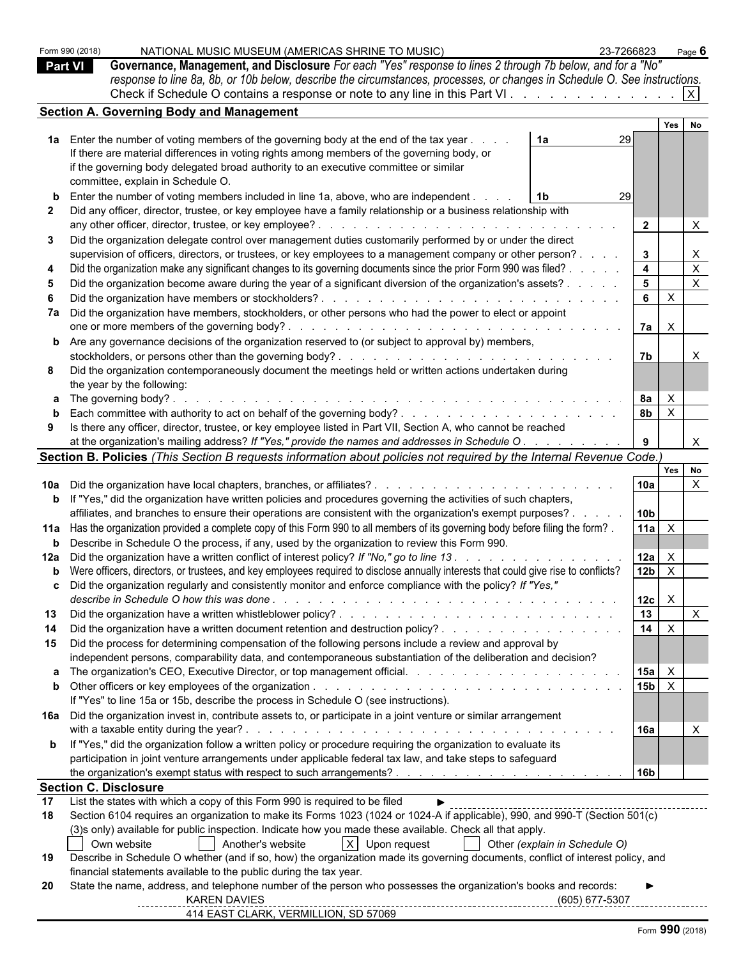|                | Form 990 (2018)              | NATIONAL MUSIC MUSEUM (AMERICAS SHRINE TO MUSIC)                                                                                                                                                                         | 23-7266823                      | Page 6                    |  |
|----------------|------------------------------|--------------------------------------------------------------------------------------------------------------------------------------------------------------------------------------------------------------------------|---------------------------------|---------------------------|--|
| <b>Part VI</b> |                              | Governance, Management, and Disclosure For each "Yes" response to lines 2 through 7b below, and for a "No"                                                                                                               |                                 |                           |  |
|                |                              | response to line 8a, 8b, or 10b below, describe the circumstances, processes, or changes in Schedule O. See instructions.                                                                                                |                                 |                           |  |
|                |                              | Check if Schedule O contains a response or note to any line in this Part VI. $\overline{X}$                                                                                                                              |                                 |                           |  |
|                |                              | <b>Section A. Governing Body and Management</b>                                                                                                                                                                          |                                 |                           |  |
|                |                              |                                                                                                                                                                                                                          |                                 | Yes<br>No                 |  |
|                |                              | 1a Enter the number of voting members of the governing body at the end of the tax year.<br>1a                                                                                                                            | 29                              |                           |  |
|                |                              | If there are material differences in voting rights among members of the governing body, or                                                                                                                               |                                 |                           |  |
|                |                              | if the governing body delegated broad authority to an executive committee or similar                                                                                                                                     |                                 |                           |  |
|                |                              | committee, explain in Schedule O.                                                                                                                                                                                        |                                 |                           |  |
|                |                              | <b>b</b> Enter the number of voting members included in line 1a, above, who are independent.<br>1b                                                                                                                       | 29                              |                           |  |
| $\mathbf{2}$   |                              | Did any officer, director, trustee, or key employee have a family relationship or a business relationship with                                                                                                           |                                 |                           |  |
|                |                              | any other officer, director, trustee, or key employee?.<br>and a straight and a straight and                                                                                                                             | $\overline{2}$                  | $\boldsymbol{\mathsf{X}}$ |  |
|                |                              | Did the organization delegate control over management duties customarily performed by or under the direct                                                                                                                |                                 |                           |  |
|                |                              | supervision of officers, directors, or trustees, or key employees to a management company or other person?.                                                                                                              | $\mathbf{3}$                    | $\mathsf{X}$              |  |
|                |                              | Did the organization make any significant changes to its governing documents since the prior Form 990 was filed? .                                                                                                       | $\overline{\mathbf{4}}$         | $\boldsymbol{\mathsf{X}}$ |  |
|                |                              | Did the organization become aware during the year of a significant diversion of the organization's assets?.                                                                                                              | 5 <sub>5</sub>                  | $\boldsymbol{\mathsf{X}}$ |  |
|                |                              | Did the organization have members or stockholders?.                                                                                                                                                                      | $6\overline{6}$<br>$\mathsf{X}$ |                           |  |
|                |                              | 7a Did the organization have members, stockholders, or other persons who had the power to elect or appoint                                                                                                               |                                 |                           |  |
|                |                              | one or more members of the governing body?.                                                                                                                                                                              | 7a<br>$\mathsf{X}$              |                           |  |
|                |                              | <b>b</b> Are any governance decisions of the organization reserved to (or subject to approval by) members,                                                                                                               |                                 |                           |  |
|                |                              | stockholders, or persons other than the governing body?.                                                                                                                                                                 | 7b                              | $\mathsf{X}$              |  |
|                |                              | Did the organization contemporaneously document the meetings held or written actions undertaken during                                                                                                                   |                                 |                           |  |
|                |                              | the year by the following:                                                                                                                                                                                               |                                 |                           |  |
|                |                              |                                                                                                                                                                                                                          | <b>8a</b><br>$\mathsf{X}$       |                           |  |
|                |                              |                                                                                                                                                                                                                          | 8 <sub>b</sub><br>$\mathsf{X}$  |                           |  |
| 9              |                              | Is there any officer, director, trustee, or key employee listed in Part VII, Section A, who cannot be reached                                                                                                            |                                 |                           |  |
|                |                              | at the organization's mailing address? If "Yes," provide the names and addresses in Schedule O.                                                                                                                          | 9                               | $\mathsf{X}$              |  |
|                |                              | Section B. Policies (This Section B requests information about policies not required by the Internal Revenue Code.)                                                                                                      |                                 |                           |  |
|                |                              |                                                                                                                                                                                                                          |                                 | Yes  <br>No               |  |
|                |                              |                                                                                                                                                                                                                          | 10a                             | $\boldsymbol{\mathsf{X}}$ |  |
|                |                              | <b>b</b> If "Yes," did the organization have written policies and procedures governing the activities of such chapters,                                                                                                  |                                 |                           |  |
|                |                              | affiliates, and branches to ensure their operations are consistent with the organization's exempt purposes?.                                                                                                             | 10 <sub>b</sub>                 |                           |  |
|                |                              | 11a Has the organization provided a complete copy of this Form 990 to all members of its governing body before filing the form?.                                                                                         | 11a<br>$\mathsf{X}$             |                           |  |
|                |                              | <b>b</b> Describe in Schedule O the process, if any, used by the organization to review this Form 990.                                                                                                                   |                                 |                           |  |
|                |                              | 12a Did the organization have a written conflict of interest policy? If "No," go to line 13.                                                                                                                             | 12a<br>$\mathsf{X}$             |                           |  |
|                |                              | <b>b</b> Were officers, directors, or trustees, and key employees required to disclose annually interests that could give rise to conflicts?                                                                             | 12 <sub>b</sub><br>$\mathsf{X}$ |                           |  |
|                |                              | Did the organization regularly and consistently monitor and enforce compliance with the policy? If "Yes,"                                                                                                                |                                 |                           |  |
|                |                              |                                                                                                                                                                                                                          | 12c<br>$\mathsf{X}$             |                           |  |
|                |                              |                                                                                                                                                                                                                          | $\overline{13}$                 | $\mathsf{X}$              |  |
| 14             |                              | Did the organization have a written document retention and destruction policy?                                                                                                                                           | 14<br>X                         |                           |  |
|                |                              | 15 Did the process for determining compensation of the following persons include a review and approval by                                                                                                                |                                 |                           |  |
|                |                              | independent persons, comparability data, and contemporaneous substantiation of the deliberation and decision?                                                                                                            |                                 |                           |  |
|                |                              |                                                                                                                                                                                                                          | 15a<br>$\mathsf{X}$             |                           |  |
|                |                              |                                                                                                                                                                                                                          | 15 <sub>b</sub><br>X            |                           |  |
|                |                              | If "Yes" to line 15a or 15b, describe the process in Schedule O (see instructions).                                                                                                                                      |                                 |                           |  |
|                |                              | 16a Did the organization invest in, contribute assets to, or participate in a joint venture or similar arrangement                                                                                                       |                                 |                           |  |
|                |                              |                                                                                                                                                                                                                          | 16a                             | $\mathsf{X}$              |  |
|                |                              | <b>b</b> If "Yes," did the organization follow a written policy or procedure requiring the organization to evaluate its                                                                                                  |                                 |                           |  |
|                |                              | participation in joint venture arrangements under applicable federal tax law, and take steps to safeguard                                                                                                                |                                 |                           |  |
|                |                              |                                                                                                                                                                                                                          | 16 <sub>b</sub>                 |                           |  |
|                | <b>Section C. Disclosure</b> |                                                                                                                                                                                                                          |                                 |                           |  |
| 17             |                              | List the states with which a copy of this Form 990 is required to be filed<br>$\color{blue}\blacktriangleright\text{}$                                                                                                   |                                 |                           |  |
| 18             |                              | Section 6104 requires an organization to make its Forms 1023 (1024 or 1024-A if applicable), 990, and 990-T (Section 501(c)                                                                                              |                                 |                           |  |
|                |                              | (3)s only) available for public inspection. Indicate how you made these available. Check all that apply.                                                                                                                 |                                 |                           |  |
|                |                              | $X$ Upon request<br>Own website<br>Another's website<br>Other (explain in Schedule O)<br>Describe in Schedule O whether (and if so, how) the organization made its governing documents, conflict of interest policy, and |                                 |                           |  |
| 19             |                              | financial statements available to the public during the tax year.                                                                                                                                                        |                                 |                           |  |
| 20             |                              | State the name, address, and telephone number of the person who possesses the organization's books and records:                                                                                                          |                                 |                           |  |
|                |                              | <b>KAREN DAVIES</b>                                                                                                                                                                                                      |                                 |                           |  |
|                |                              | 414 EAST CLARK, VERMILLION, SD 57069                                                                                                                                                                                     |                                 |                           |  |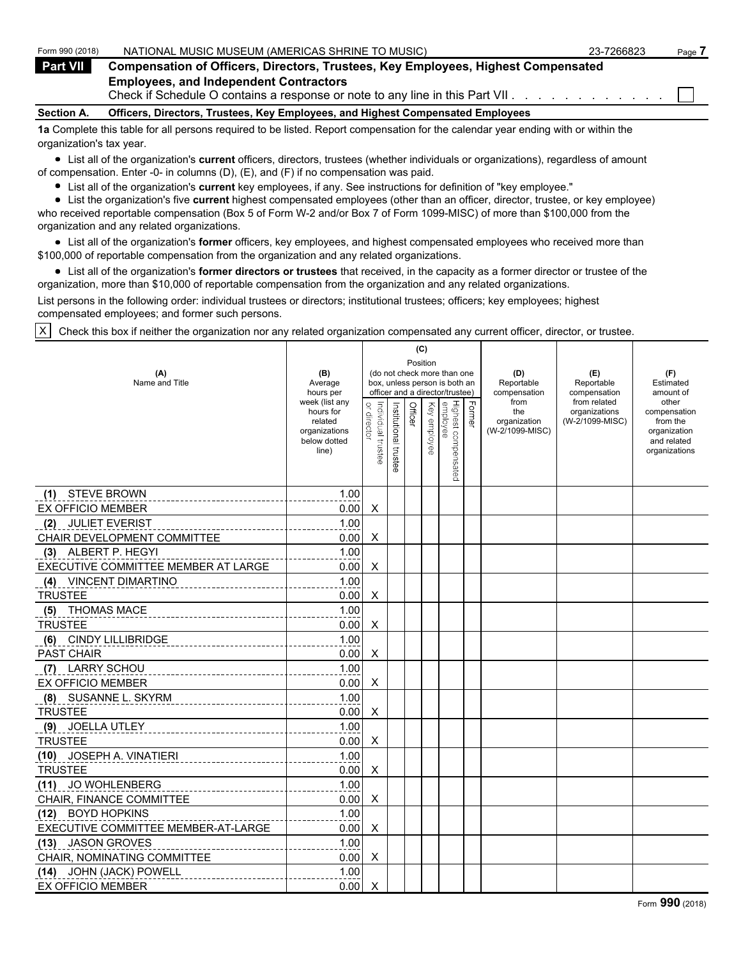| Form 990 (2018)   | NATIONAL MUSIC MUSEUM (AMERICAS SHRINE TO MUSIC)                                                                                  | 23-7266823 | Page |
|-------------------|-----------------------------------------------------------------------------------------------------------------------------------|------------|------|
| <b>Part VII</b>   | <b>Compensation of Officers, Directors, Trustees, Key Employees, Highest Compensated</b>                                          |            |      |
|                   | <b>Employees, and Independent Contractors</b><br>Check if Schedule O contains a response or note to any line in this Part VII.    |            |      |
| <b>Section A.</b> | Officers, Directors, Trustees, Key Employees, and Highest Compensated Employees                                                   |            |      |
|                   | An Complete this tople for all persons required to be listed. Depart componention for the colondar were anding with or within the |            |      |

**1a** Complete this table for all persons required to be listed. Report compensation for the calendar year ending with or within the organization's tax year.

List all of the organization's **current** officers, directors, trustees (whether individuals or organizations), regardless of amount of compensation. Enter -0- in columns (D), (E), and (F) if no compensation was paid.

List all of the organization's **current** key employees, if any. See instructions for definition of "key employee."

List the organization's five **current** highest compensated employees (other than an officer, director, trustee, or key employee) who received reportable compensation (Box 5 of Form W-2 and/or Box 7 of Form 1099-MISC) of more than \$100,000 from the organization and any related organizations.

List all of the organization's **former** officers, key employees, and highest compensated employees who received more than \$100,000 of reportable compensation from the organization and any related organizations.

List all of the organization's **former directors or trustees** that received, in the capacity as a former director or trustee of the organization, more than \$10,000 of reportable compensation from the organization and any related organizations.

List persons in the following order: individual trustees or directors; institutional trustees; officers; key employees; highest compensated employees; and former such persons.

X Check this box if neither the organization nor any related organization compensated any current officer, director, or trustee.

|                                     |                             |                                                                  |                       | (C)     |          |                                 |        |                                 |                                  |                              |
|-------------------------------------|-----------------------------|------------------------------------------------------------------|-----------------------|---------|----------|---------------------------------|--------|---------------------------------|----------------------------------|------------------------------|
| (A)                                 | (B)                         | Position<br>(do not check more than one                          |                       |         |          |                                 |        | (D)                             | (F)                              |                              |
| Name and Title                      | Average                     | box, unless person is both an<br>officer and a director/trustee) |                       |         |          |                                 |        | Reportable                      | (E)<br>Reportable                | Estimated                    |
|                                     | hours per<br>week (list any |                                                                  |                       |         |          |                                 |        | compensation<br>from            | compensation<br>from related     | amount of<br>other           |
|                                     | hours for<br>related        | or director<br>Individual trustee                                | Institutional trustee | Officer | Key      | Highest compensated<br>employee | Former | the                             | organizations<br>(W-2/1099-MISC) | compensation<br>from the     |
|                                     | organizations               |                                                                  |                       |         |          |                                 |        | organization<br>(W-2/1099-MISC) |                                  | organization                 |
|                                     | below dotted<br>line)       |                                                                  |                       |         | employee |                                 |        |                                 |                                  | and related<br>organizations |
|                                     |                             |                                                                  |                       |         |          |                                 |        |                                 |                                  |                              |
|                                     |                             |                                                                  |                       |         |          |                                 |        |                                 |                                  |                              |
| (1) STEVE BROWN                     | 1.00                        |                                                                  |                       |         |          |                                 |        |                                 |                                  |                              |
| <b>EX OFFICIO MEMBER</b>            | 0.00                        | X                                                                |                       |         |          |                                 |        |                                 |                                  |                              |
| (2) JULIET EVERIST                  | 1.00                        |                                                                  |                       |         |          |                                 |        |                                 |                                  |                              |
| CHAIR DEVELOPMENT COMMITTEE         | 0.00                        | X                                                                |                       |         |          |                                 |        |                                 |                                  |                              |
| (3) ALBERT P. HEGYI                 | 1.00                        |                                                                  |                       |         |          |                                 |        |                                 |                                  |                              |
| EXECUTIVE COMMITTEE MEMBER AT LARGE | 0.00                        | $\boldsymbol{\mathsf{X}}$                                        |                       |         |          |                                 |        |                                 |                                  |                              |
| (4) VINCENT DIMARTINO               | 1.00                        |                                                                  |                       |         |          |                                 |        |                                 |                                  |                              |
| <b>TRUSTEE</b>                      | 0.00                        | $\boldsymbol{\mathsf{X}}$                                        |                       |         |          |                                 |        |                                 |                                  |                              |
| (5) THOMAS MACE                     | 1.00                        |                                                                  |                       |         |          |                                 |        |                                 |                                  |                              |
| <b>TRUSTEE</b>                      | 0.00                        | Χ                                                                |                       |         |          |                                 |        |                                 |                                  |                              |
| (6) CINDY LILLIBRIDGE               | 1.00                        |                                                                  |                       |         |          |                                 |        |                                 |                                  |                              |
| <b>PAST CHAIR</b>                   | 0.00                        | $\boldsymbol{\mathsf{X}}$                                        |                       |         |          |                                 |        |                                 |                                  |                              |
| <b>LARRY SCHOU</b><br>(7)           | 1.00                        |                                                                  |                       |         |          |                                 |        |                                 |                                  |                              |
| <b>EX OFFICIO MEMBER</b>            | 0.00                        | $\times$                                                         |                       |         |          |                                 |        |                                 |                                  |                              |
| (8) SUSANNE L. SKYRM                | 1.00                        |                                                                  |                       |         |          |                                 |        |                                 |                                  |                              |
| <b>TRUSTEE</b>                      | 0.00                        | X                                                                |                       |         |          |                                 |        |                                 |                                  |                              |
| (9) JOELLA UTLEY                    | 1.00                        |                                                                  |                       |         |          |                                 |        |                                 |                                  |                              |
| <b>TRUSTEE</b>                      | 0.00                        | $\boldsymbol{\mathsf{X}}$                                        |                       |         |          |                                 |        |                                 |                                  |                              |
| (10) JOSEPH A. VINATIERI            | 1.00                        |                                                                  |                       |         |          |                                 |        |                                 |                                  |                              |
| <b>TRUSTEE</b>                      | 0.00                        | $\boldsymbol{\mathsf{X}}$                                        |                       |         |          |                                 |        |                                 |                                  |                              |
| (11) JO WOHLENBERG                  | 1.00                        |                                                                  |                       |         |          |                                 |        |                                 |                                  |                              |
| <b>CHAIR, FINANCE COMMITTEE</b>     | 0.00                        | $\boldsymbol{\mathsf{X}}$                                        |                       |         |          |                                 |        |                                 |                                  |                              |
| (12) BOYD HOPKINS                   | 1.00                        |                                                                  |                       |         |          |                                 |        |                                 |                                  |                              |
| EXECUTIVE COMMITTEE MEMBER-AT-LARGE | 0.00                        | X                                                                |                       |         |          |                                 |        |                                 |                                  |                              |
| (13) JASON GROVES                   | 1.00                        |                                                                  |                       |         |          |                                 |        |                                 |                                  |                              |
| CHAIR, NOMINATING COMMITTEE         | 0.00                        | Χ                                                                |                       |         |          |                                 |        |                                 |                                  |                              |
| (14) JOHN (JACK) POWELL             | 1.00                        |                                                                  |                       |         |          |                                 |        |                                 |                                  |                              |
| <b>EX OFFICIO MEMBER</b>            | 0.00                        | X                                                                |                       |         |          |                                 |        |                                 |                                  |                              |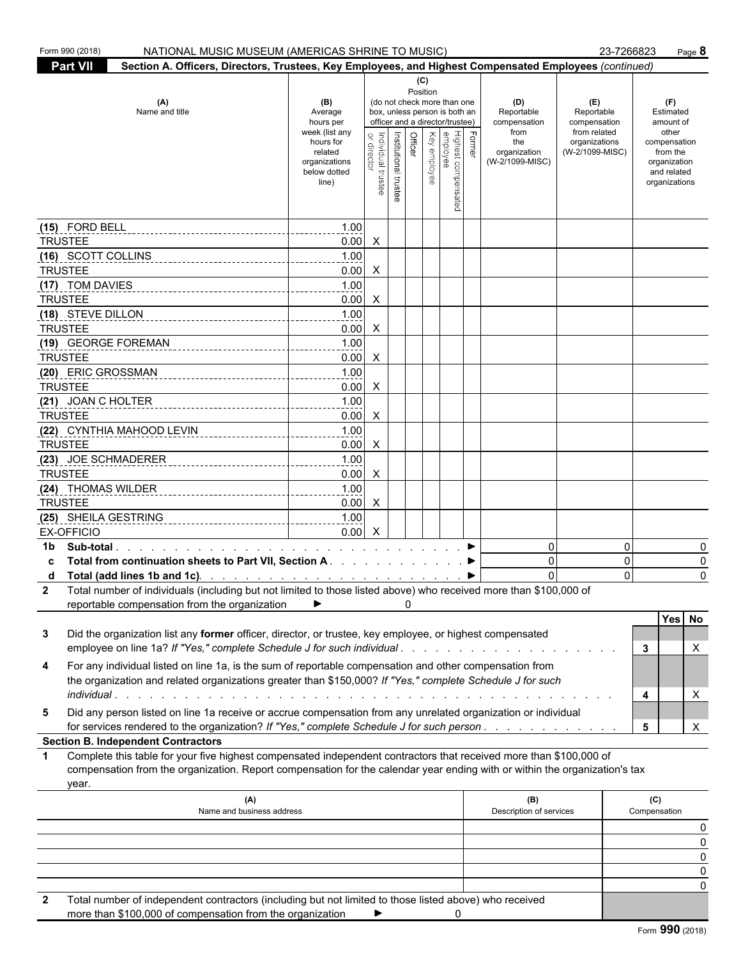| Form 990 (2018)<br>NATIONAL MUSIC MUSEUM (AMERICAS SHRINE TO MUSIC)                                                                                                                                                                                   |                                                                                                        |                            |                                  |                 |                                                                                                                                                               |        |                                                                                     |                                                                                       | 23-7266823  | Page 8                                                                                            |
|-------------------------------------------------------------------------------------------------------------------------------------------------------------------------------------------------------------------------------------------------------|--------------------------------------------------------------------------------------------------------|----------------------------|----------------------------------|-----------------|---------------------------------------------------------------------------------------------------------------------------------------------------------------|--------|-------------------------------------------------------------------------------------|---------------------------------------------------------------------------------------|-------------|---------------------------------------------------------------------------------------------------|
| <b>Part VII</b><br>Section A. Officers, Directors, Trustees, Key Employees, and Highest Compensated Employees (continued)                                                                                                                             |                                                                                                        |                            |                                  |                 |                                                                                                                                                               |        |                                                                                     |                                                                                       |             |                                                                                                   |
| (A)<br>Name and title                                                                                                                                                                                                                                 | (B)<br>Average<br>hours per<br>week (list any<br>hours for<br>related<br>organizations<br>below dotted | Individual trustee<br>dire | Officer<br>Institutional trustee | (C)<br>Position | (do not check more than one<br>box, unless person is both an<br>officer and a director/trustee)<br>  Highest compensated<br> <br>  employee<br>  Key employee | Former | (D)<br>Reportable<br>compensation<br>from<br>the<br>organization<br>(W-2/1099-MISC) | (E)<br>Reportable<br>compensation<br>from related<br>organizations<br>(W-2/1099-MISC) |             | (F)<br>Estimated<br>amount of<br>other<br>compensation<br>from the<br>organization<br>and related |
|                                                                                                                                                                                                                                                       | line)                                                                                                  |                            |                                  |                 |                                                                                                                                                               |        |                                                                                     |                                                                                       |             | organizations                                                                                     |
| (15) FORD BELL                                                                                                                                                                                                                                        | 1.00                                                                                                   |                            |                                  |                 |                                                                                                                                                               |        |                                                                                     |                                                                                       |             |                                                                                                   |
| <b>TRUSTEE</b>                                                                                                                                                                                                                                        | ---------<br>0.00                                                                                      | $\mathsf{X}$               |                                  |                 |                                                                                                                                                               |        |                                                                                     |                                                                                       |             |                                                                                                   |
|                                                                                                                                                                                                                                                       | 1.00                                                                                                   |                            |                                  |                 |                                                                                                                                                               |        |                                                                                     |                                                                                       |             |                                                                                                   |
| <b>TRUSTEE</b>                                                                                                                                                                                                                                        | 0.00                                                                                                   | $\mathsf{X}$               |                                  |                 |                                                                                                                                                               |        |                                                                                     |                                                                                       |             |                                                                                                   |
| (17) TOM DAVIES                                                                                                                                                                                                                                       | 1.00                                                                                                   |                            |                                  |                 |                                                                                                                                                               |        |                                                                                     |                                                                                       |             |                                                                                                   |
| <b>TRUSTEE</b>                                                                                                                                                                                                                                        | 0.00                                                                                                   | $\mathsf{X}$               |                                  |                 |                                                                                                                                                               |        |                                                                                     |                                                                                       |             |                                                                                                   |
|                                                                                                                                                                                                                                                       | 1.00                                                                                                   |                            |                                  |                 |                                                                                                                                                               |        |                                                                                     |                                                                                       |             |                                                                                                   |
| <b>TRUSTEE</b>                                                                                                                                                                                                                                        | 0.00                                                                                                   | $\mathsf{X}$               |                                  |                 |                                                                                                                                                               |        |                                                                                     |                                                                                       |             |                                                                                                   |
| <b>TRUSTEE</b>                                                                                                                                                                                                                                        | 1.00                                                                                                   | $\mathsf{X}$               |                                  |                 |                                                                                                                                                               |        |                                                                                     |                                                                                       |             |                                                                                                   |
|                                                                                                                                                                                                                                                       | 0.00<br>1.00                                                                                           |                            |                                  |                 |                                                                                                                                                               |        |                                                                                     |                                                                                       |             |                                                                                                   |
| <b>TRUSTEE</b>                                                                                                                                                                                                                                        | 0.00                                                                                                   | $\mathsf{X}$               |                                  |                 |                                                                                                                                                               |        |                                                                                     |                                                                                       |             |                                                                                                   |
|                                                                                                                                                                                                                                                       | 1.00                                                                                                   |                            |                                  |                 |                                                                                                                                                               |        |                                                                                     |                                                                                       |             |                                                                                                   |
| <b>TRUSTEE</b>                                                                                                                                                                                                                                        | 0.00                                                                                                   | $\mathsf{X}$               |                                  |                 |                                                                                                                                                               |        |                                                                                     |                                                                                       |             |                                                                                                   |
|                                                                                                                                                                                                                                                       | 1.00                                                                                                   |                            |                                  |                 |                                                                                                                                                               |        |                                                                                     |                                                                                       |             |                                                                                                   |
| <b>TRUSTEE</b>                                                                                                                                                                                                                                        | 0.00                                                                                                   | $\mathsf{X}$               |                                  |                 |                                                                                                                                                               |        |                                                                                     |                                                                                       |             |                                                                                                   |
|                                                                                                                                                                                                                                                       | 1.00                                                                                                   |                            |                                  |                 |                                                                                                                                                               |        |                                                                                     |                                                                                       |             |                                                                                                   |
| <b>TRUSTEE</b>                                                                                                                                                                                                                                        | 0.00                                                                                                   | $\mathsf{X}$               |                                  |                 |                                                                                                                                                               |        |                                                                                     |                                                                                       |             |                                                                                                   |
|                                                                                                                                                                                                                                                       | 1.00                                                                                                   |                            |                                  |                 |                                                                                                                                                               |        |                                                                                     |                                                                                       |             |                                                                                                   |
| <b>TRUSTEE</b>                                                                                                                                                                                                                                        | $0.00\quad$ X                                                                                          |                            |                                  |                 |                                                                                                                                                               |        |                                                                                     |                                                                                       |             |                                                                                                   |
|                                                                                                                                                                                                                                                       | 1.00                                                                                                   |                            |                                  |                 |                                                                                                                                                               |        |                                                                                     |                                                                                       |             |                                                                                                   |
| <b>EX-OFFICIO</b>                                                                                                                                                                                                                                     | $0.00\quad$ X                                                                                          |                            |                                  |                 |                                                                                                                                                               |        |                                                                                     |                                                                                       |             |                                                                                                   |
| 1b                                                                                                                                                                                                                                                    |                                                                                                        |                            |                                  |                 |                                                                                                                                                               |        | $\overline{0}$                                                                      |                                                                                       | 0           | 0                                                                                                 |
| Total from continuation sheets to Part VII, Section A. ▶                                                                                                                                                                                              |                                                                                                        |                            |                                  |                 |                                                                                                                                                               |        | $\overline{0}$                                                                      |                                                                                       | $\mathbf 0$ | 0                                                                                                 |
| Total (add lines 1b and 1c) All and 1ch and 1ch and 1ch and the metal with the line of individuals (including but not limited to those listed above) who received more than \$100,000 of Total number of individuals (includin<br>d                   |                                                                                                        |                            |                                  |                 |                                                                                                                                                               |        | $\overline{0}$                                                                      |                                                                                       | 0           | $\Omega$                                                                                          |
| 2<br>reportable compensation from the organization                                                                                                                                                                                                    |                                                                                                        |                            | 0                                |                 |                                                                                                                                                               |        |                                                                                     |                                                                                       |             |                                                                                                   |
|                                                                                                                                                                                                                                                       |                                                                                                        |                            |                                  |                 |                                                                                                                                                               |        |                                                                                     |                                                                                       |             | Yes No                                                                                            |
| Did the organization list any former officer, director, or trustee, key employee, or highest compensated<br>3                                                                                                                                         |                                                                                                        |                            |                                  |                 |                                                                                                                                                               |        |                                                                                     |                                                                                       |             |                                                                                                   |
| employee on line 1a? If "Yes," complete Schedule J for such individual                                                                                                                                                                                |                                                                                                        |                            |                                  |                 |                                                                                                                                                               |        |                                                                                     |                                                                                       | 3           | X                                                                                                 |
| For any individual listed on line 1a, is the sum of reportable compensation and other compensation from<br>4                                                                                                                                          |                                                                                                        |                            |                                  |                 |                                                                                                                                                               |        |                                                                                     |                                                                                       |             |                                                                                                   |
| the organization and related organizations greater than \$150,000? If "Yes," complete Schedule J for such                                                                                                                                             |                                                                                                        |                            |                                  |                 |                                                                                                                                                               |        |                                                                                     |                                                                                       | 4           | X                                                                                                 |
| Did any person listed on line 1a receive or accrue compensation from any unrelated organization or individual<br>5                                                                                                                                    |                                                                                                        |                            |                                  |                 |                                                                                                                                                               |        |                                                                                     |                                                                                       |             |                                                                                                   |
| for services rendered to the organization? If "Yes," complete Schedule J for such person                                                                                                                                                              |                                                                                                        |                            |                                  |                 |                                                                                                                                                               |        |                                                                                     |                                                                                       | 5           | X                                                                                                 |
| <b>Section B. Independent Contractors</b>                                                                                                                                                                                                             |                                                                                                        |                            |                                  |                 |                                                                                                                                                               |        |                                                                                     |                                                                                       |             |                                                                                                   |
| Complete this table for your five highest compensated independent contractors that received more than \$100,000 of<br>1<br>compensation from the organization. Report compensation for the calendar year ending with or within the organization's tax |                                                                                                        |                            |                                  |                 |                                                                                                                                                               |        |                                                                                     |                                                                                       |             |                                                                                                   |
| year.                                                                                                                                                                                                                                                 |                                                                                                        |                            |                                  |                 |                                                                                                                                                               |        |                                                                                     |                                                                                       |             |                                                                                                   |
| (A)<br>Name and business address                                                                                                                                                                                                                      |                                                                                                        |                            |                                  |                 |                                                                                                                                                               |        | (B)<br>Description of services                                                      |                                                                                       |             | (C)<br>Compensation                                                                               |
|                                                                                                                                                                                                                                                       |                                                                                                        |                            |                                  |                 |                                                                                                                                                               |        |                                                                                     |                                                                                       |             | 0                                                                                                 |
|                                                                                                                                                                                                                                                       |                                                                                                        |                            |                                  |                 |                                                                                                                                                               |        |                                                                                     |                                                                                       |             | 0                                                                                                 |
|                                                                                                                                                                                                                                                       |                                                                                                        |                            |                                  |                 |                                                                                                                                                               |        |                                                                                     |                                                                                       |             | 0                                                                                                 |
|                                                                                                                                                                                                                                                       |                                                                                                        |                            |                                  |                 |                                                                                                                                                               |        |                                                                                     |                                                                                       |             | 0                                                                                                 |
|                                                                                                                                                                                                                                                       |                                                                                                        |                            |                                  |                 |                                                                                                                                                               |        |                                                                                     |                                                                                       |             |                                                                                                   |
|                                                                                                                                                                                                                                                       |                                                                                                        |                            |                                  |                 |                                                                                                                                                               |        |                                                                                     |                                                                                       |             |                                                                                                   |

| Total number of independent contractors (including but not limited to those listed above) who received |  |  |
|--------------------------------------------------------------------------------------------------------|--|--|
| more than \$100,000 of compensation from the organization                                              |  |  |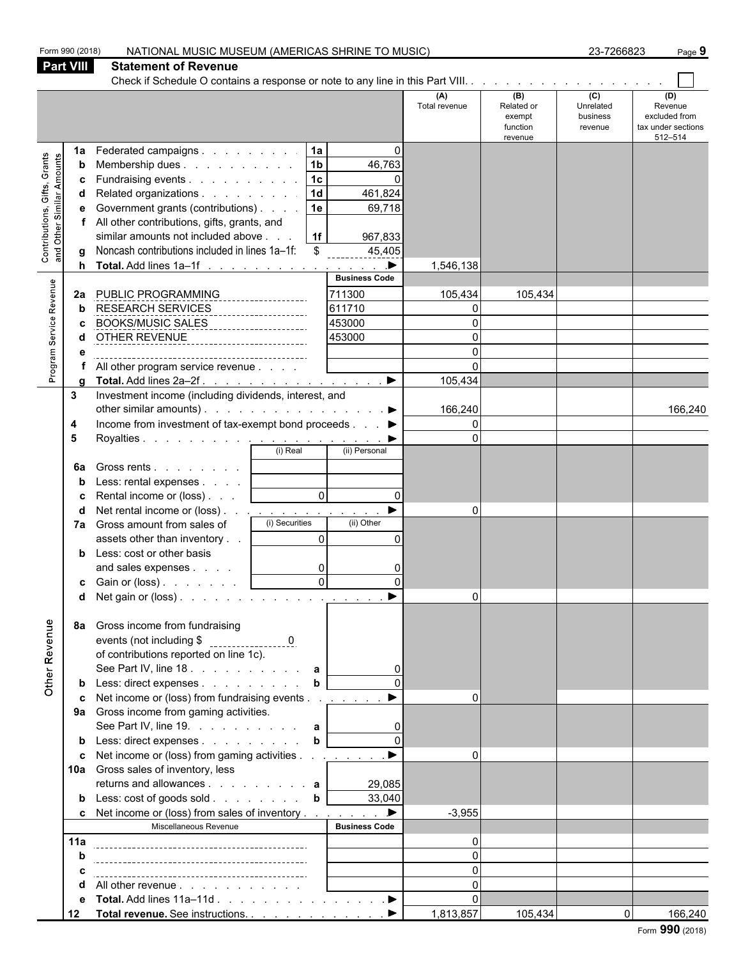| Part VIII<br><b>Statement of Revenue</b><br>(A)<br>(B)<br>$\overline{c}$<br>(D)<br>Unrelated<br>Total revenue<br>Related or<br>Revenue<br>excluded from<br>business<br>exempt<br>function<br>tax under sections<br>revenue<br>512-514<br>revenue<br> 1a <br>Federated campaigns<br>$\Omega$<br>1a<br>Contributions, Gifts, Grants<br>and Other Similar Amounts<br> 1 <sub>b</sub><br>46,763<br>Membership dues<br>b<br>Fundraising events<br> 1c <br>$\Omega$<br>c<br>461,824<br> 1d <br>Related organizations<br>Government grants (contributions)<br>69,718<br> 1e <br>All other contributions, gifts, grants, and<br>similar amounts not included above<br>  1f  <br>967,833<br>Noncash contributions included in lines 1a-1f:<br>$\mathfrak{S}$<br>45,405<br>$\blacktriangleright$<br>Total. Add lines 1a-1f<br>1,546,138<br><b>Business Code</b><br>Program Service Revenue<br>711300<br>PUBLIC PROGRAMMING<br>105,434<br>105,434<br>2a<br>611710<br>THE SEARCH SERVICES<br>$\Omega$<br>453000<br>BOOKS/MUSIC SALES<br>BOOKS/MUSIC SALES<br><u>OTHER REVENUE</u><br>OTHE <u>R REVENUE</u><br><sub> —</sub><br>453000<br>$\Omega$<br>$\Omega$<br>$\Omega$<br>All other program service revenue<br>105,434<br>Investment income (including dividends, interest, and<br>3<br>other similar amounts). $\ldots$ $\ldots$ $\ldots$ $\ldots$ $\ldots$ $\ldots$<br>166,240<br>166,240<br>Income from investment of tax-exempt bond proceeds ▶<br>$\Omega$<br>4<br>$\Omega$<br>5<br>Gross rents  <br>6а<br>Less: rental expenses  <br>$\overline{0}$<br>$\Omega$<br>Rental income or (loss)  <br>$\blacktriangleright$<br>Net rental income or (loss) <u>.</u><br>$\Omega$<br>(i) Securities<br>(ii) Other<br>Gross amount from sales of<br>7a<br>$\overline{0}$<br>assets other than inventory<br>$\Omega$<br>Less: cost or other basis<br>$\overline{0}$<br>and sales expenses<br>0<br>$\mathsf{o}$<br>$\Omega$<br><b>c</b> Gain or (loss) $\ldots$ $\ldots$<br>$\Omega$<br>Other Revenue<br>Gross income from fundraising<br>8а<br>of contributions reported on line 1c).<br>See Part IV, line 18. a<br>Less: direct expenses<br>$\mathbf b$<br>Net income or (loss) from fundraising events $\ldots$ $\ldots$ $\blacktriangleright$<br>$\Omega$<br>9a Gross income from gaming activities.<br>See Part IV, line 19. $\ldots$ $\ldots$ $\ldots$ <b>a</b><br>Less: direct expenses<br>b<br>b<br>Net income or (loss) from gaming activities ▶<br>$\Omega$<br>10a Gross sales of inventory, less<br>returns and allowances $\mathbf{a}$<br>29,085<br><b>b</b> Less: cost of goods sold <b>b</b><br>33,040<br>c Net income or (loss) from sales of inventory ▶<br>$-3,955$<br>Miscellaneous Revenue<br><b>Business Code</b><br>11a<br>All other revenue<br>Total. Add lines 11a-11d ▶<br>Total revenue. See instructions. ▶<br>1,813,857<br>$\overline{0}$<br>166,240<br>105,434<br>12<br>Form 990 (2018) | Form 990 (2018) | NATIONAL MUSIC MUSEUM (AMERICAS SHRINE TO MUSIC) |  | 23-7266823 | Page 9 |
|-------------------------------------------------------------------------------------------------------------------------------------------------------------------------------------------------------------------------------------------------------------------------------------------------------------------------------------------------------------------------------------------------------------------------------------------------------------------------------------------------------------------------------------------------------------------------------------------------------------------------------------------------------------------------------------------------------------------------------------------------------------------------------------------------------------------------------------------------------------------------------------------------------------------------------------------------------------------------------------------------------------------------------------------------------------------------------------------------------------------------------------------------------------------------------------------------------------------------------------------------------------------------------------------------------------------------------------------------------------------------------------------------------------------------------------------------------------------------------------------------------------------------------------------------------------------------------------------------------------------------------------------------------------------------------------------------------------------------------------------------------------------------------------------------------------------------------------------------------------------------------------------------------------------------------------------------------------------------------------------------------------------------------------------------------------------------------------------------------------------------------------------------------------------------------------------------------------------------------------------------------------------------------------------------------------------------------------------------------------------------------------------------------------------------------------------------------------------------------------------------------------------------------------------------------------------------------------------------------------------------------------------------------------------------------------------------------------------------------------------------------------------------------------------------------------------------------------------------------------------------------------------------------|-----------------|--------------------------------------------------|--|------------|--------|
|                                                                                                                                                                                                                                                                                                                                                                                                                                                                                                                                                                                                                                                                                                                                                                                                                                                                                                                                                                                                                                                                                                                                                                                                                                                                                                                                                                                                                                                                                                                                                                                                                                                                                                                                                                                                                                                                                                                                                                                                                                                                                                                                                                                                                                                                                                                                                                                                                                                                                                                                                                                                                                                                                                                                                                                                                                                                                                       |                 |                                                  |  |            |        |
|                                                                                                                                                                                                                                                                                                                                                                                                                                                                                                                                                                                                                                                                                                                                                                                                                                                                                                                                                                                                                                                                                                                                                                                                                                                                                                                                                                                                                                                                                                                                                                                                                                                                                                                                                                                                                                                                                                                                                                                                                                                                                                                                                                                                                                                                                                                                                                                                                                                                                                                                                                                                                                                                                                                                                                                                                                                                                                       |                 |                                                  |  |            |        |
|                                                                                                                                                                                                                                                                                                                                                                                                                                                                                                                                                                                                                                                                                                                                                                                                                                                                                                                                                                                                                                                                                                                                                                                                                                                                                                                                                                                                                                                                                                                                                                                                                                                                                                                                                                                                                                                                                                                                                                                                                                                                                                                                                                                                                                                                                                                                                                                                                                                                                                                                                                                                                                                                                                                                                                                                                                                                                                       |                 |                                                  |  |            |        |
|                                                                                                                                                                                                                                                                                                                                                                                                                                                                                                                                                                                                                                                                                                                                                                                                                                                                                                                                                                                                                                                                                                                                                                                                                                                                                                                                                                                                                                                                                                                                                                                                                                                                                                                                                                                                                                                                                                                                                                                                                                                                                                                                                                                                                                                                                                                                                                                                                                                                                                                                                                                                                                                                                                                                                                                                                                                                                                       |                 |                                                  |  |            |        |
|                                                                                                                                                                                                                                                                                                                                                                                                                                                                                                                                                                                                                                                                                                                                                                                                                                                                                                                                                                                                                                                                                                                                                                                                                                                                                                                                                                                                                                                                                                                                                                                                                                                                                                                                                                                                                                                                                                                                                                                                                                                                                                                                                                                                                                                                                                                                                                                                                                                                                                                                                                                                                                                                                                                                                                                                                                                                                                       |                 |                                                  |  |            |        |
|                                                                                                                                                                                                                                                                                                                                                                                                                                                                                                                                                                                                                                                                                                                                                                                                                                                                                                                                                                                                                                                                                                                                                                                                                                                                                                                                                                                                                                                                                                                                                                                                                                                                                                                                                                                                                                                                                                                                                                                                                                                                                                                                                                                                                                                                                                                                                                                                                                                                                                                                                                                                                                                                                                                                                                                                                                                                                                       |                 |                                                  |  |            |        |
|                                                                                                                                                                                                                                                                                                                                                                                                                                                                                                                                                                                                                                                                                                                                                                                                                                                                                                                                                                                                                                                                                                                                                                                                                                                                                                                                                                                                                                                                                                                                                                                                                                                                                                                                                                                                                                                                                                                                                                                                                                                                                                                                                                                                                                                                                                                                                                                                                                                                                                                                                                                                                                                                                                                                                                                                                                                                                                       |                 |                                                  |  |            |        |
|                                                                                                                                                                                                                                                                                                                                                                                                                                                                                                                                                                                                                                                                                                                                                                                                                                                                                                                                                                                                                                                                                                                                                                                                                                                                                                                                                                                                                                                                                                                                                                                                                                                                                                                                                                                                                                                                                                                                                                                                                                                                                                                                                                                                                                                                                                                                                                                                                                                                                                                                                                                                                                                                                                                                                                                                                                                                                                       |                 |                                                  |  |            |        |
|                                                                                                                                                                                                                                                                                                                                                                                                                                                                                                                                                                                                                                                                                                                                                                                                                                                                                                                                                                                                                                                                                                                                                                                                                                                                                                                                                                                                                                                                                                                                                                                                                                                                                                                                                                                                                                                                                                                                                                                                                                                                                                                                                                                                                                                                                                                                                                                                                                                                                                                                                                                                                                                                                                                                                                                                                                                                                                       |                 |                                                  |  |            |        |
|                                                                                                                                                                                                                                                                                                                                                                                                                                                                                                                                                                                                                                                                                                                                                                                                                                                                                                                                                                                                                                                                                                                                                                                                                                                                                                                                                                                                                                                                                                                                                                                                                                                                                                                                                                                                                                                                                                                                                                                                                                                                                                                                                                                                                                                                                                                                                                                                                                                                                                                                                                                                                                                                                                                                                                                                                                                                                                       |                 |                                                  |  |            |        |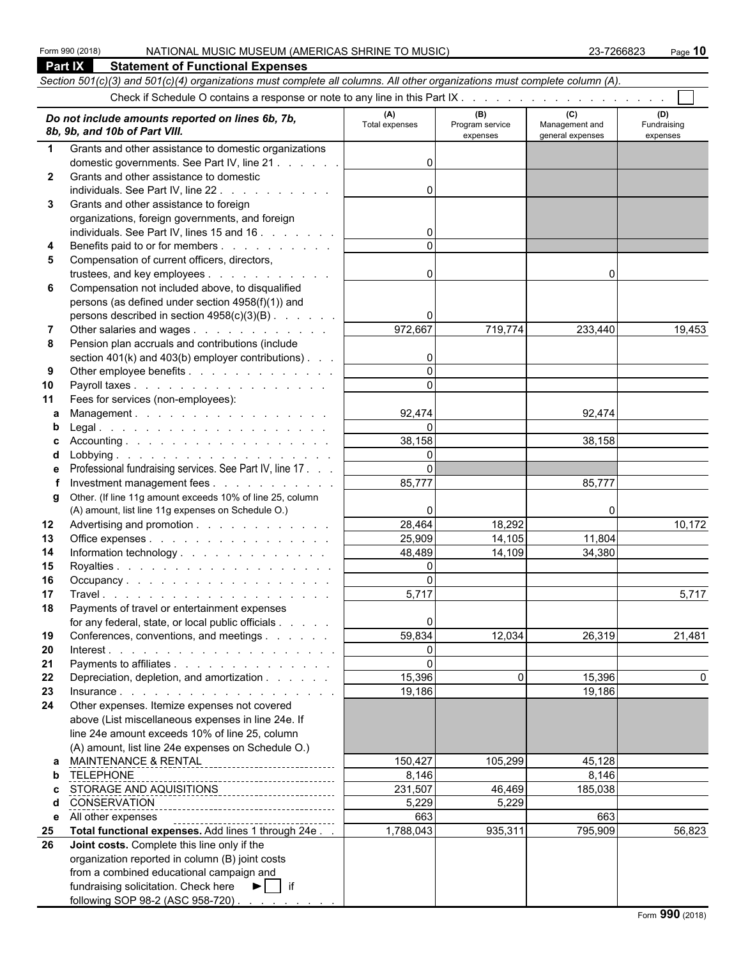**Part IX Statement of Functional Expenses**

|              | Section 501(c)(3) and 501(c)(4) organizations must complete all columns. All other organizations must complete column (A). |                       |                                    |                                           |                                |
|--------------|----------------------------------------------------------------------------------------------------------------------------|-----------------------|------------------------------------|-------------------------------------------|--------------------------------|
|              |                                                                                                                            |                       |                                    |                                           |                                |
|              | Do not include amounts reported on lines 6b, 7b,<br>8b, 9b, and 10b of Part VIII.                                          | (A)<br>Total expenses | (B)<br>Program service<br>expenses | (C)<br>Management and<br>general expenses | (D)<br>Fundraising<br>expenses |
| $\mathbf 1$  | Grants and other assistance to domestic organizations                                                                      |                       |                                    |                                           |                                |
|              | domestic governments. See Part IV, line 21                                                                                 | $\Omega$              |                                    |                                           |                                |
| $\mathbf{2}$ | Grants and other assistance to domestic                                                                                    |                       |                                    |                                           |                                |
|              | individuals. See Part IV, line 22.                                                                                         | $\Omega$              |                                    |                                           |                                |
| 3            | Grants and other assistance to foreign                                                                                     |                       |                                    |                                           |                                |
|              | organizations, foreign governments, and foreign<br>individuals. See Part IV, lines 15 and 16                               |                       |                                    |                                           |                                |
|              | Benefits paid to or for members                                                                                            | 0                     |                                    |                                           |                                |
| 5            | Compensation of current officers, directors,                                                                               |                       |                                    |                                           |                                |
|              | trustees, and key employees                                                                                                | $\Omega$              |                                    | O                                         |                                |
| 6            | Compensation not included above, to disqualified                                                                           |                       |                                    |                                           |                                |
|              | persons (as defined under section 4958(f)(1)) and                                                                          |                       |                                    |                                           |                                |
|              | persons described in section 4958(c)(3)(B)                                                                                 |                       |                                    |                                           |                                |
|              | Other salaries and wages                                                                                                   | 972,667               | 719,774                            | 233,440                                   | 19,453                         |
| 8            | Pension plan accruals and contributions (include                                                                           |                       |                                    |                                           |                                |
|              | section 401(k) and 403(b) employer contributions).                                                                         | $\Omega$              |                                    |                                           |                                |
| 9            | Other employee benefits                                                                                                    | $\Omega$              |                                    |                                           |                                |
| 10           | Payroll taxes                                                                                                              |                       |                                    |                                           |                                |
| 11           | Fees for services (non-employees):                                                                                         |                       |                                    |                                           |                                |
| a            | Management.<br>L <mark>egal.</mark>                                                                                        | 92,474<br>$\Omega$    |                                    | 92,474                                    |                                |
|              |                                                                                                                            | 38,158                |                                    | 38,158                                    |                                |
| d            |                                                                                                                            | $\Omega$              |                                    |                                           |                                |
| е            | Professional fundraising services. See Part IV, line 17                                                                    | $\Omega$              |                                    |                                           |                                |
|              | Investment management fees                                                                                                 | 85,777                |                                    | 85,777                                    |                                |
| g            | Other. (If line 11g amount exceeds 10% of line 25, column                                                                  |                       |                                    |                                           |                                |
|              | (A) amount, list line 11g expenses on Schedule O.)                                                                         | $\Omega$              |                                    | O                                         |                                |
| 12           | Advertising and promotion                                                                                                  | 28,464                | 18,292                             |                                           | 10,172                         |
| 13           | Office expenses                                                                                                            | 25,909                | 14,105                             | 11,804                                    |                                |
| 14           | Information technology                                                                                                     | 48,489                | 14,109                             | 34,380                                    |                                |
| 15           |                                                                                                                            | $\Omega$<br>$\Omega$  |                                    |                                           |                                |
| 16<br>17     | Occupancy.                                                                                                                 | 5,717                 |                                    |                                           | 5,717                          |
| 18           | Payments of travel or entertainment expenses                                                                               |                       |                                    |                                           |                                |
|              | for any federal, state, or local public officials                                                                          | $\overline{0}$        |                                    |                                           |                                |
| 19           | Conferences, conventions, and meetings                                                                                     | 59,834                | 12,034                             | 26,319                                    | 21,481                         |
| 20           |                                                                                                                            | $\Omega$              |                                    |                                           |                                |
| 21           | Payments to affiliates                                                                                                     | $\Omega$              |                                    |                                           |                                |
| 22           | Depreciation, depletion, and amortization                                                                                  | 15,396                | $\Omega$                           | 15,396                                    | 0                              |
| 23           |                                                                                                                            | 19,186                |                                    | 19,186                                    |                                |
| 24           | Other expenses. Itemize expenses not covered                                                                               |                       |                                    |                                           |                                |
|              | above (List miscellaneous expenses in line 24e. If                                                                         |                       |                                    |                                           |                                |
|              | line 24e amount exceeds 10% of line 25, column<br>(A) amount, list line 24e expenses on Schedule O.)                       |                       |                                    |                                           |                                |
|              | a MAINTENANCE & RENTAL                                                                                                     | 150,427               | 105,299                            | 45,128                                    |                                |
| b            | <b>TELEPHONE</b>                                                                                                           | 8,146                 |                                    | 8,146                                     |                                |
| c            |                                                                                                                            | 231,507               | 46,469                             | 185,038                                   |                                |
| d            | <b>CONSERVATION</b><br>---------------------------------                                                                   | 5,229                 | 5,229                              |                                           |                                |
| e            | All other expenses<br>----------------------------------                                                                   | 663                   |                                    | 663                                       |                                |
| 25           | Total functional expenses. Add lines 1 through 24e                                                                         | 1,788,043             | 935,311                            | 795,909                                   | 56,823                         |
| 26           | Joint costs. Complete this line only if the                                                                                |                       |                                    |                                           |                                |
|              | organization reported in column (B) joint costs                                                                            |                       |                                    |                                           |                                |
|              | from a combined educational campaign and                                                                                   |                       |                                    |                                           |                                |
|              | fundraising solicitation. Check here $\blacktriangleright$   if                                                            |                       |                                    |                                           |                                |
|              | following SOP 98-2 (ASC 958-720)                                                                                           |                       |                                    |                                           |                                |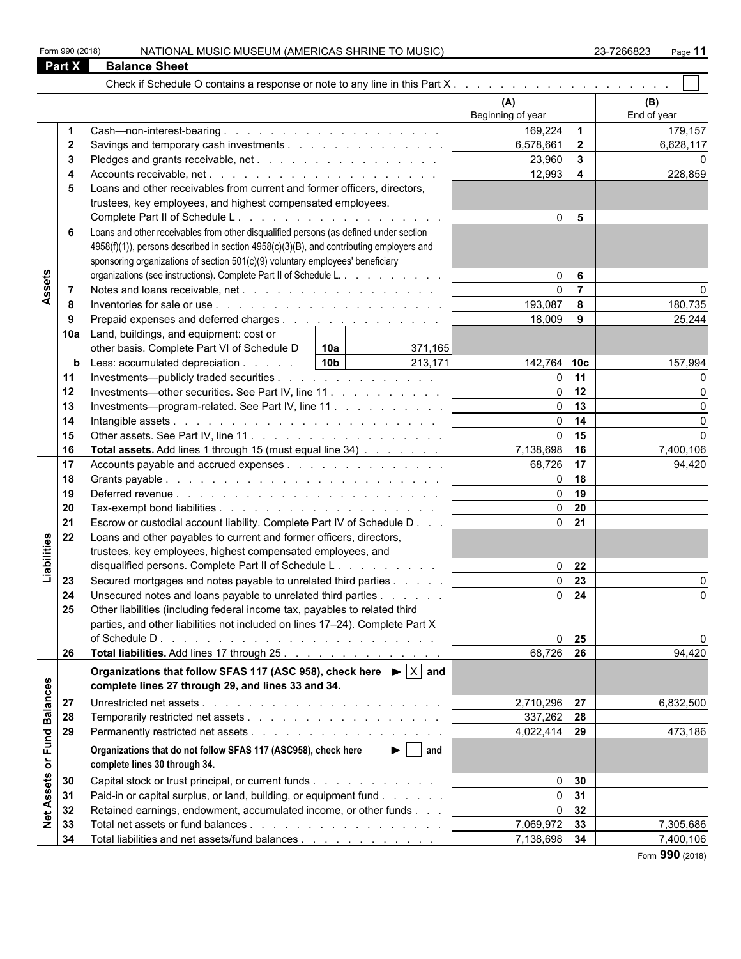|                   | <b>Part X</b> | <b>Balance Sheet</b>                                                                                                                                     |                          |                         |                    |
|-------------------|---------------|----------------------------------------------------------------------------------------------------------------------------------------------------------|--------------------------|-------------------------|--------------------|
|                   |               |                                                                                                                                                          |                          |                         |                    |
|                   |               |                                                                                                                                                          | (A)<br>Beginning of year |                         | (B)<br>End of year |
|                   | -1            |                                                                                                                                                          | 169,224                  | $\overline{1}$          | 179,157            |
|                   | $\mathbf{2}$  | Savings and temporary cash investments                                                                                                                   | 6,578,661                | $\overline{2}$          | 6,628,117          |
|                   | 3             |                                                                                                                                                          | 23,960                   | $\overline{\mathbf{3}}$ |                    |
|                   | 4             |                                                                                                                                                          | 12,993                   | $\overline{\mathbf{4}}$ | 228,859            |
|                   | 5             | Loans and other receivables from current and former officers, directors,                                                                                 |                          |                         |                    |
|                   |               | trustees, key employees, and highest compensated employees.                                                                                              |                          |                         |                    |
|                   |               |                                                                                                                                                          | $\overline{0}$           | 5                       |                    |
|                   | 6             | Loans and other receivables from other disqualified persons (as defined under section                                                                    |                          |                         |                    |
|                   |               | 4958(f)(1)), persons described in section 4958(c)(3)(B), and contributing employers and                                                                  |                          |                         |                    |
|                   |               | sponsoring organizations of section 501(c)(9) voluntary employees' beneficiary                                                                           |                          |                         |                    |
|                   |               | organizations (see instructions). Complete Part II of Schedule L.                                                                                        | $\Omega$                 | 6                       |                    |
| Assets            | 7             |                                                                                                                                                          | $\Omega$                 | $\overline{7}$          |                    |
|                   | 8             |                                                                                                                                                          | 193,087                  | 8                       | 180,735            |
|                   | 9             | Prepaid expenses and deferred charges                                                                                                                    | 18,009                   | 9                       | 25,244             |
|                   | 10a           | Land, buildings, and equipment: cost or                                                                                                                  |                          |                         |                    |
|                   |               | other basis. Complete Part VI of Schedule D<br>  10a  <br>371,165                                                                                        |                          |                         |                    |
|                   | b             | 10 <sub>b</sub><br>213,171<br>Less: accumulated depreciation                                                                                             | 142,764 10c              |                         | 157,994            |
|                   | 11            | Investments—publicly traded securities                                                                                                                   |                          | 11                      |                    |
|                   | 12            | Investments—other securities. See Part IV, line 11                                                                                                       | n l                      | 12                      |                    |
|                   | 13            | Investments—program-related. See Part IV, line 11                                                                                                        | $\Omega$                 | 13                      |                    |
|                   | 14            |                                                                                                                                                          | $\Omega$                 | 14                      | U                  |
|                   | 15            |                                                                                                                                                          | $\Omega$                 | 15                      | U                  |
|                   | 16            | <b>Total assets.</b> Add lines 1 through 15 (must equal line 34)                                                                                         | 7,138,698 16             |                         | 7,400,106          |
|                   | 17            |                                                                                                                                                          | 68,726                   | 17                      |                    |
|                   | 18            | Accounts payable and accrued expenses                                                                                                                    | $\Omega$                 | 18                      | 94,420             |
|                   |               |                                                                                                                                                          | $\Omega$                 | 19                      |                    |
|                   | 19            |                                                                                                                                                          | $\Omega$                 | 20                      |                    |
|                   | 20            |                                                                                                                                                          | $\Omega$                 |                         |                    |
|                   | 21            | Escrow or custodial account liability. Complete Part IV of Schedule D                                                                                    |                          | 21                      |                    |
| Liabilities       | 22            | Loans and other payables to current and former officers, directors,                                                                                      |                          |                         |                    |
|                   |               | trustees, key employees, highest compensated employees, and                                                                                              |                          |                         |                    |
|                   |               | disqualified persons. Complete Part II of Schedule L.                                                                                                    | $\Omega$                 | 22                      |                    |
|                   | 23            | Secured mortgages and notes payable to unrelated third parties                                                                                           | $\Omega$                 | 23                      |                    |
|                   | 24            | Unsecured notes and loans payable to unrelated third parties                                                                                             | $\Omega$                 | 24                      | U                  |
|                   | 25            | Other liabilities (including federal income tax, payables to related third                                                                               |                          |                         |                    |
|                   |               | parties, and other liabilities not included on lines 17-24). Complete Part X                                                                             |                          |                         |                    |
|                   |               |                                                                                                                                                          | 0                        | 25                      |                    |
|                   | 26            | Total liabilities. Add lines 17 through 25.                                                                                                              | 68,726                   | 26                      | 94,420             |
|                   |               | Organizations that follow SFAS 117 (ASC 958), check here $\blacktriangleright \lceil X \rceil$ and<br>complete lines 27 through 29, and lines 33 and 34. |                          |                         |                    |
|                   |               |                                                                                                                                                          |                          |                         |                    |
|                   | 27            |                                                                                                                                                          | 2,710,296 27             |                         | 6,832,500          |
|                   | 28            |                                                                                                                                                          | 337,262                  | 28                      |                    |
|                   | 29            |                                                                                                                                                          | 4,022,414                | 29                      | 473,186            |
| or Fund Balances  |               | $\blacktriangleright$   and<br>Organizations that do not follow SFAS 117 (ASC958), check here<br>complete lines 30 through 34.                           |                          |                         |                    |
|                   | 30            | Capital stock or trust principal, or current funds                                                                                                       | $\overline{0}$           | 30                      |                    |
| <b>Net Assets</b> | 31            | Paid-in or capital surplus, or land, building, or equipment fund                                                                                         | $\overline{0}$           | 31                      |                    |
|                   | 32            | Retained earnings, endowment, accumulated income, or other funds                                                                                         | $\Omega$                 | 32                      |                    |
|                   | 33            |                                                                                                                                                          | 7,069,972                | 33                      | 7,305,686          |
|                   | 34            | Total liabilities and net assets/fund balances                                                                                                           | 7,138,698 34             |                         | 7,400,106          |

Form **990** (2018)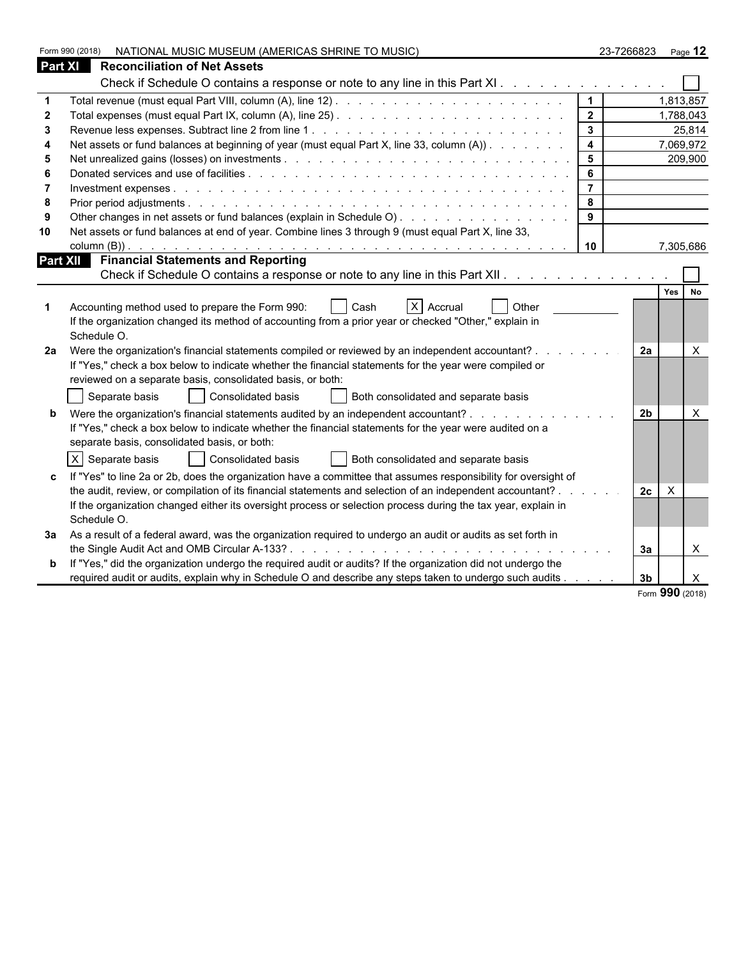|    | Form 990 (2018)<br>NATIONAL MUSIC MUSEUM (AMERICAS SHRINE TO MUSIC)                                            |                         | 23-7266823     |                 | Page 12                   |
|----|----------------------------------------------------------------------------------------------------------------|-------------------------|----------------|-----------------|---------------------------|
|    | <b>Part XI</b> Reconciliation of Net Assets                                                                    |                         |                |                 |                           |
|    | Check if Schedule O contains a response or note to any line in this Part XI                                    |                         |                |                 |                           |
|    |                                                                                                                | $\mathbf 1$             |                | 1,813,857       |                           |
| 2  |                                                                                                                | $\overline{2}$          |                | 1,788,043       |                           |
| 3  |                                                                                                                | $\mathbf{3}$            |                |                 | 25,814                    |
|    | Net assets or fund balances at beginning of year (must equal Part X, line 33, column (A))                      | $\overline{\mathbf{4}}$ |                | 7,069,972       |                           |
| 5  |                                                                                                                | 5 <sup>5</sup>          |                |                 | 209,900                   |
|    |                                                                                                                | 6                       |                |                 |                           |
|    |                                                                                                                | $\overline{7}$          |                |                 |                           |
| 8  |                                                                                                                | 8                       |                |                 |                           |
| 9  |                                                                                                                | $\overline{9}$          |                |                 |                           |
| 10 | Net assets or fund balances at end of year. Combine lines 3 through 9 (must equal Part X, line 33,             |                         |                |                 |                           |
|    |                                                                                                                | 10                      |                | 7,305,686       |                           |
|    | <b>Part XII</b> Financial Statements and Reporting                                                             |                         |                |                 |                           |
|    | Check if Schedule O contains a response or note to any line in this Part XII                                   |                         |                |                 |                           |
|    |                                                                                                                |                         |                | Yes             | <b>No</b>                 |
|    | $X$ Accrual<br>Accounting method used to prepare the Form 990:<br><b>Other</b><br>Cash                         |                         |                |                 |                           |
|    | If the organization changed its method of accounting from a prior year or checked "Other," explain in          |                         |                |                 |                           |
|    | Schedule O.                                                                                                    |                         |                |                 |                           |
| 2a | Were the organization's financial statements compiled or reviewed by an independent accountant?.               |                         | 2a             |                 | $\times$                  |
|    | If "Yes," check a box below to indicate whether the financial statements for the year were compiled or         |                         |                |                 |                           |
|    | reviewed on a separate basis, consolidated basis, or both:                                                     |                         |                |                 |                           |
|    | Consolidated basis<br>Separate basis<br>Both consolidated and separate basis                                   |                         |                |                 |                           |
|    | Were the organization's financial statements audited by an independent accountant?                             |                         | 2 <sub>b</sub> |                 | $\times$                  |
|    | If "Yes," check a box below to indicate whether the financial statements for the year were audited on a        |                         |                |                 |                           |
|    | separate basis, consolidated basis, or both:                                                                   |                         |                |                 |                           |
|    | X Separate basis<br>Consolidated basis<br>Both consolidated and separate basis                                 |                         |                |                 |                           |
|    | If "Yes" to line 2a or 2b, does the organization have a committee that assumes responsibility for oversight of |                         |                |                 |                           |
|    | the audit, review, or compilation of its financial statements and selection of an independent accountant?.     |                         | 2c             | $\times$        |                           |
|    | If the organization changed either its oversight process or selection process during the tax year, explain in  |                         |                |                 |                           |
|    | Schedule O.                                                                                                    |                         |                |                 |                           |
| За | As a result of a federal award, was the organization required to undergo an audit or audits as set forth in    |                         |                |                 |                           |
|    |                                                                                                                |                         | За             |                 | $\boldsymbol{\mathsf{X}}$ |
|    | If "Yes," did the organization undergo the required audit or audits? If the organization did not undergo the   |                         |                |                 |                           |
|    | required audit or audits, explain why in Schedule O and describe any steps taken to undergo such audits        |                         | 3 <sub>b</sub> |                 | X                         |
|    |                                                                                                                |                         |                | Form 990 (2018) |                           |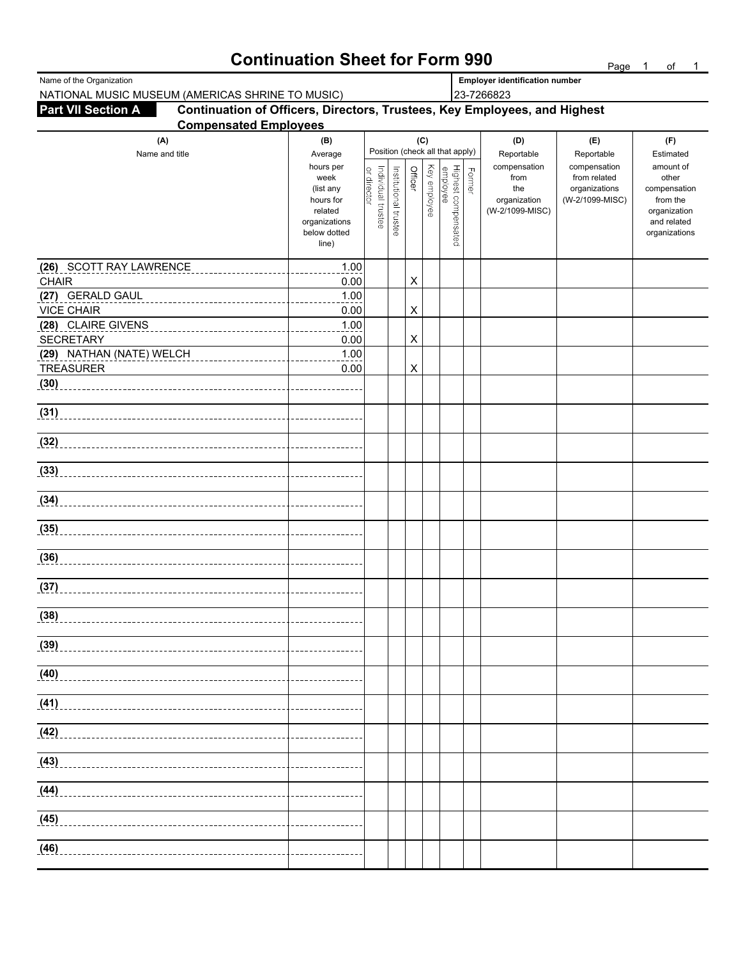## **Continuation Sheet for Form 990** Page 1 of 1

| Name of the Organization                         |                                                                           |                                                                                                  |                                   |                       |         |              |                                 |               | <b>Employer identification number</b>                          |                                                                  |                                                                                                |
|--------------------------------------------------|---------------------------------------------------------------------------|--------------------------------------------------------------------------------------------------|-----------------------------------|-----------------------|---------|--------------|---------------------------------|---------------|----------------------------------------------------------------|------------------------------------------------------------------|------------------------------------------------------------------------------------------------|
| NATIONAL MUSIC MUSEUM (AMERICAS SHRINE TO MUSIC) | Continuation of Officers, Directors, Trustees, Key Employees, and Highest |                                                                                                  |                                   |                       |         |              |                                 |               | 23-7266823                                                     |                                                                  |                                                                                                |
| <b>Part VII Section A</b>                        | <b>Compensated Employees</b>                                              |                                                                                                  |                                   |                       |         |              |                                 |               |                                                                |                                                                  |                                                                                                |
| (A)                                              |                                                                           | (B)                                                                                              |                                   |                       |         | (C)          |                                 |               | (D)                                                            | (E)                                                              | (F)                                                                                            |
| Name and title                                   |                                                                           | Average                                                                                          |                                   |                       |         |              | Position (check all that apply) |               | Reportable                                                     | Reportable                                                       | Estimated                                                                                      |
|                                                  |                                                                           | hours per<br>week<br>(list any<br>hours for<br>related<br>organizations<br>below dotted<br>line) | Individual trustee<br>or director | Institutional trustee | Officer | Key employee | Highest compensated<br>employee | <b>Former</b> | compensation<br>from<br>the<br>organization<br>(W-2/1099-MISC) | compensation<br>from related<br>organizations<br>(W-2/1099-MISC) | amount of<br>other<br>compensation<br>from the<br>organization<br>and related<br>organizations |
| (26) SCOTT RAY LAWRENCE                          |                                                                           | 1.00                                                                                             |                                   |                       |         |              |                                 |               |                                                                |                                                                  |                                                                                                |
| <b>CHAIR</b>                                     |                                                                           | 0.00                                                                                             |                                   |                       | X       |              |                                 |               |                                                                |                                                                  |                                                                                                |
| (27) GERALD GAUL                                 |                                                                           | 1.00                                                                                             |                                   |                       |         |              |                                 |               |                                                                |                                                                  |                                                                                                |
| <b>VICE CHAIR</b>                                |                                                                           | 0.00                                                                                             |                                   |                       | X       |              |                                 |               |                                                                |                                                                  |                                                                                                |
| (28) CLAIRE GIVENS                               |                                                                           | 1.00                                                                                             |                                   |                       |         |              |                                 |               |                                                                |                                                                  |                                                                                                |
| <b>SECRETARY</b>                                 |                                                                           | 0.00                                                                                             |                                   |                       | X       |              |                                 |               |                                                                |                                                                  |                                                                                                |
| (29) NATHAN (NATE) WELCH<br><b>TREASURER</b>     |                                                                           | 1.00<br>0.00                                                                                     |                                   |                       | X       |              |                                 |               |                                                                |                                                                  |                                                                                                |
| (30)                                             |                                                                           |                                                                                                  |                                   |                       |         |              |                                 |               |                                                                |                                                                  |                                                                                                |
| <u>(31)</u>                                      |                                                                           |                                                                                                  |                                   |                       |         |              |                                 |               |                                                                |                                                                  |                                                                                                |
| (32)                                             |                                                                           |                                                                                                  |                                   |                       |         |              |                                 |               |                                                                |                                                                  |                                                                                                |
| (33)                                             |                                                                           |                                                                                                  |                                   |                       |         |              |                                 |               |                                                                |                                                                  |                                                                                                |
| (34)                                             |                                                                           |                                                                                                  |                                   |                       |         |              |                                 |               |                                                                |                                                                  |                                                                                                |
| (35)                                             |                                                                           |                                                                                                  |                                   |                       |         |              |                                 |               |                                                                |                                                                  |                                                                                                |
| (36)                                             |                                                                           |                                                                                                  |                                   |                       |         |              |                                 |               |                                                                |                                                                  |                                                                                                |
|                                                  |                                                                           |                                                                                                  |                                   |                       |         |              |                                 |               |                                                                |                                                                  |                                                                                                |
| (37)                                             |                                                                           |                                                                                                  |                                   |                       |         |              |                                 |               |                                                                |                                                                  |                                                                                                |
| (38)                                             |                                                                           |                                                                                                  |                                   |                       |         |              |                                 |               |                                                                |                                                                  |                                                                                                |
| (39)                                             |                                                                           |                                                                                                  |                                   |                       |         |              |                                 |               |                                                                |                                                                  |                                                                                                |
| (40)                                             |                                                                           |                                                                                                  |                                   |                       |         |              |                                 |               |                                                                |                                                                  |                                                                                                |
| (41)                                             |                                                                           |                                                                                                  |                                   |                       |         |              |                                 |               |                                                                |                                                                  |                                                                                                |
| $\sqrt{(42)}$                                    |                                                                           |                                                                                                  |                                   |                       |         |              |                                 |               |                                                                |                                                                  |                                                                                                |
| (43)                                             |                                                                           |                                                                                                  |                                   |                       |         |              |                                 |               |                                                                |                                                                  |                                                                                                |
| (44)                                             |                                                                           |                                                                                                  |                                   |                       |         |              |                                 |               |                                                                |                                                                  |                                                                                                |
| (45)                                             |                                                                           |                                                                                                  |                                   |                       |         |              |                                 |               |                                                                |                                                                  |                                                                                                |
| (46)                                             |                                                                           |                                                                                                  |                                   |                       |         |              |                                 |               |                                                                |                                                                  |                                                                                                |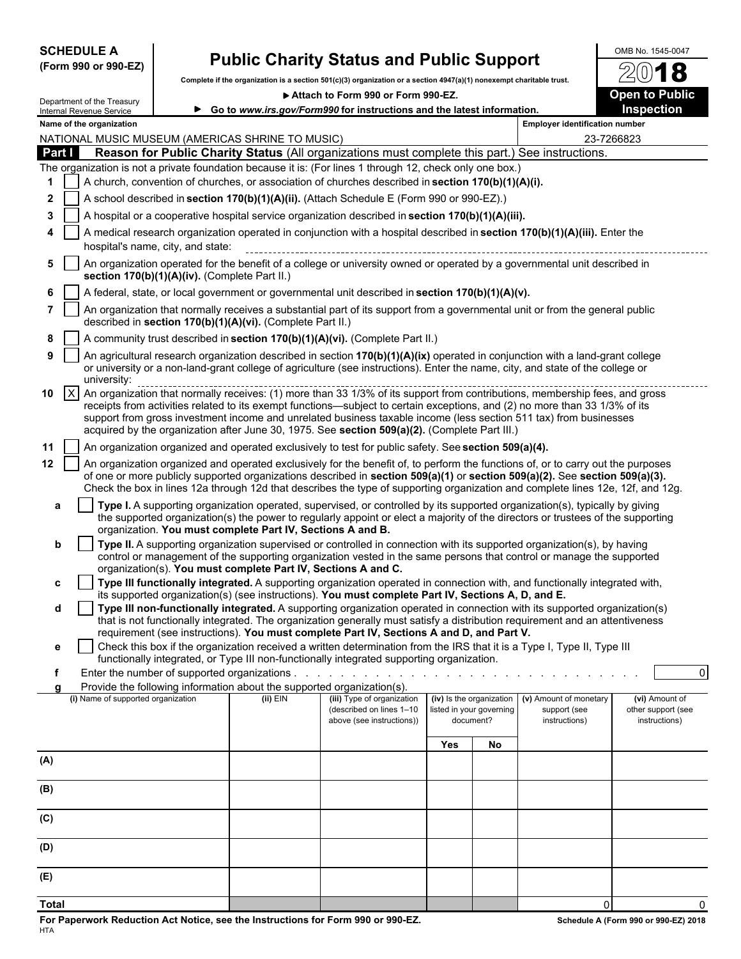| <b>SCHEDULE A</b> |  |                      |
|-------------------|--|----------------------|
|                   |  | (Form 990 or 990-EZ) |

# **Public Charity Status and Public Support**  $\frac{60\text{dB No. }1545-0047}{20}$

**Complete if the organization is a section 501(c)(3) organization or a section 4947(a)(1) nonexempt charitable trust.**

▶ Attach to Form 990 or Form 990-EZ. **Demand Strategie Public** 



| Department of the Treasury |
|----------------------------|
| Internal Revenue Service   |
| Name of the organization   |

| $\blacktriangleright$ Go to www.irs.gov/Form990 for instructions and the latest information. | <b>Inspection</b> |
|----------------------------------------------------------------------------------------------|-------------------|
|----------------------------------------------------------------------------------------------|-------------------|

|                 |                                                                                                                                                                                                                                                                                                                                                                                                                                                                                                                    | Name of the organization                                                                                                                                                                                                                                                                                                                                                                                                                                    |            |                                                                                     |     |                                       | <b>Employer identification number</b>                                            |                                                       |  |  |  |
|-----------------|--------------------------------------------------------------------------------------------------------------------------------------------------------------------------------------------------------------------------------------------------------------------------------------------------------------------------------------------------------------------------------------------------------------------------------------------------------------------------------------------------------------------|-------------------------------------------------------------------------------------------------------------------------------------------------------------------------------------------------------------------------------------------------------------------------------------------------------------------------------------------------------------------------------------------------------------------------------------------------------------|------------|-------------------------------------------------------------------------------------|-----|---------------------------------------|----------------------------------------------------------------------------------|-------------------------------------------------------|--|--|--|
|                 |                                                                                                                                                                                                                                                                                                                                                                                                                                                                                                                    | NATIONAL MUSIC MUSEUM (AMERICAS SHRINE TO MUSIC)                                                                                                                                                                                                                                                                                                                                                                                                            |            |                                                                                     |     |                                       | 23-7266823                                                                       |                                                       |  |  |  |
| Part I          |                                                                                                                                                                                                                                                                                                                                                                                                                                                                                                                    | Reason for Public Charity Status (All organizations must complete this part.) See instructions.                                                                                                                                                                                                                                                                                                                                                             |            |                                                                                     |     |                                       |                                                                                  |                                                       |  |  |  |
| 1               |                                                                                                                                                                                                                                                                                                                                                                                                                                                                                                                    | The organization is not a private foundation because it is: (For lines 1 through 12, check only one box.)<br>A church, convention of churches, or association of churches described in section 170(b)(1)(A)(i).                                                                                                                                                                                                                                             |            |                                                                                     |     |                                       |                                                                                  |                                                       |  |  |  |
|                 |                                                                                                                                                                                                                                                                                                                                                                                                                                                                                                                    |                                                                                                                                                                                                                                                                                                                                                                                                                                                             |            |                                                                                     |     |                                       |                                                                                  |                                                       |  |  |  |
| 2               |                                                                                                                                                                                                                                                                                                                                                                                                                                                                                                                    | A school described in section 170(b)(1)(A)(ii). (Attach Schedule E (Form 990 or 990-EZ).)                                                                                                                                                                                                                                                                                                                                                                   |            |                                                                                     |     |                                       |                                                                                  |                                                       |  |  |  |
|                 | A hospital or a cooperative hospital service organization described in section 170(b)(1)(A)(iii).<br>3                                                                                                                                                                                                                                                                                                                                                                                                             |                                                                                                                                                                                                                                                                                                                                                                                                                                                             |            |                                                                                     |     |                                       |                                                                                  |                                                       |  |  |  |
| 4               | A medical research organization operated in conjunction with a hospital described in section 170(b)(1)(A)(iii). Enter the<br>hospital's name, city, and state:                                                                                                                                                                                                                                                                                                                                                     |                                                                                                                                                                                                                                                                                                                                                                                                                                                             |            |                                                                                     |     |                                       |                                                                                  |                                                       |  |  |  |
| 5               | An organization operated for the benefit of a college or university owned or operated by a governmental unit described in<br>section 170(b)(1)(A)(iv). (Complete Part II.)                                                                                                                                                                                                                                                                                                                                         |                                                                                                                                                                                                                                                                                                                                                                                                                                                             |            |                                                                                     |     |                                       |                                                                                  |                                                       |  |  |  |
| 6               |                                                                                                                                                                                                                                                                                                                                                                                                                                                                                                                    | A federal, state, or local government or governmental unit described in section 170(b)(1)(A)(v).                                                                                                                                                                                                                                                                                                                                                            |            |                                                                                     |     |                                       |                                                                                  |                                                       |  |  |  |
| 7               |                                                                                                                                                                                                                                                                                                                                                                                                                                                                                                                    | An organization that normally receives a substantial part of its support from a governmental unit or from the general public<br>described in section 170(b)(1)(A)(vi). (Complete Part II.)                                                                                                                                                                                                                                                                  |            |                                                                                     |     |                                       |                                                                                  |                                                       |  |  |  |
| 8               |                                                                                                                                                                                                                                                                                                                                                                                                                                                                                                                    | A community trust described in section 170(b)(1)(A)(vi). (Complete Part II.)                                                                                                                                                                                                                                                                                                                                                                                |            |                                                                                     |     |                                       |                                                                                  |                                                       |  |  |  |
| 9               | An agricultural research organization described in section 170(b)(1)(A)(ix) operated in conjunction with a land-grant college<br>or university or a non-land-grant college of agriculture (see instructions). Enter the name, city, and state of the college or<br>university:                                                                                                                                                                                                                                     |                                                                                                                                                                                                                                                                                                                                                                                                                                                             |            |                                                                                     |     |                                       |                                                                                  |                                                       |  |  |  |
| 10 <sup>1</sup> | dinvolvity.<br>An organization that normally receives: (1) more than 33 1/3% of its support from contributions, membership fees, and gross<br>$\vert x \vert$<br>receipts from activities related to its exempt functions—subject to certain exceptions, and (2) no more than 33 1/3% of its<br>support from gross investment income and unrelated business taxable income (less section 511 tax) from businesses<br>acquired by the organization after June 30, 1975. See section 509(a)(2). (Complete Part III.) |                                                                                                                                                                                                                                                                                                                                                                                                                                                             |            |                                                                                     |     |                                       |                                                                                  |                                                       |  |  |  |
| 11              | An organization organized and operated exclusively to test for public safety. See section 509(a)(4).                                                                                                                                                                                                                                                                                                                                                                                                               |                                                                                                                                                                                                                                                                                                                                                                                                                                                             |            |                                                                                     |     |                                       |                                                                                  |                                                       |  |  |  |
| 12              | An organization organized and operated exclusively for the benefit of, to perform the functions of, or to carry out the purposes<br>of one or more publicly supported organizations described in section 509(a)(1) or section 509(a)(2). See section 509(a)(3).<br>Check the box in lines 12a through 12d that describes the type of supporting organization and complete lines 12e, 12f, and 12g.                                                                                                                 |                                                                                                                                                                                                                                                                                                                                                                                                                                                             |            |                                                                                     |     |                                       |                                                                                  |                                                       |  |  |  |
|                 | Type I. A supporting organization operated, supervised, or controlled by its supported organization(s), typically by giving<br>a<br>the supported organization(s) the power to regularly appoint or elect a majority of the directors or trustees of the supporting<br>organization. You must complete Part IV, Sections A and B.                                                                                                                                                                                  |                                                                                                                                                                                                                                                                                                                                                                                                                                                             |            |                                                                                     |     |                                       |                                                                                  |                                                       |  |  |  |
| b               |                                                                                                                                                                                                                                                                                                                                                                                                                                                                                                                    | Type II. A supporting organization supervised or controlled in connection with its supported organization(s), by having<br>control or management of the supporting organization vested in the same persons that control or manage the supported<br>organization(s). You must complete Part IV, Sections A and C.                                                                                                                                            |            |                                                                                     |     |                                       |                                                                                  |                                                       |  |  |  |
| c               |                                                                                                                                                                                                                                                                                                                                                                                                                                                                                                                    | Type III functionally integrated. A supporting organization operated in connection with, and functionally integrated with,                                                                                                                                                                                                                                                                                                                                  |            |                                                                                     |     |                                       |                                                                                  |                                                       |  |  |  |
| d               |                                                                                                                                                                                                                                                                                                                                                                                                                                                                                                                    | its supported organization(s) (see instructions). You must complete Part IV, Sections A, D, and E.<br>Type III non-functionally integrated. A supporting organization operated in connection with its supported organization(s)<br>that is not functionally integrated. The organization generally must satisfy a distribution requirement and an attentiveness<br>requirement (see instructions). You must complete Part IV, Sections A and D, and Part V. |            |                                                                                     |     |                                       |                                                                                  |                                                       |  |  |  |
| е               |                                                                                                                                                                                                                                                                                                                                                                                                                                                                                                                    | Check this box if the organization received a written determination from the IRS that it is a Type I, Type II, Type III                                                                                                                                                                                                                                                                                                                                     |            |                                                                                     |     |                                       |                                                                                  |                                                       |  |  |  |
|                 |                                                                                                                                                                                                                                                                                                                                                                                                                                                                                                                    | functionally integrated, or Type III non-functionally integrated supporting organization.                                                                                                                                                                                                                                                                                                                                                                   |            |                                                                                     |     |                                       |                                                                                  | $\overline{0}$                                        |  |  |  |
|                 |                                                                                                                                                                                                                                                                                                                                                                                                                                                                                                                    | Provide the following information about the supported organization(s).                                                                                                                                                                                                                                                                                                                                                                                      |            |                                                                                     |     |                                       |                                                                                  |                                                       |  |  |  |
|                 |                                                                                                                                                                                                                                                                                                                                                                                                                                                                                                                    | (i) Name of supported organization                                                                                                                                                                                                                                                                                                                                                                                                                          | $(ii)$ EIN | (iii) Type of organization<br>(described on lines 1-10<br>above (see instructions)) |     | listed in your governing<br>document? | (iv) Is the organization (v) Amount of monetary<br>support (see<br>instructions) | (vi) Amount of<br>other support (see<br>instructions) |  |  |  |
|                 |                                                                                                                                                                                                                                                                                                                                                                                                                                                                                                                    |                                                                                                                                                                                                                                                                                                                                                                                                                                                             |            |                                                                                     | Yes | No                                    |                                                                                  |                                                       |  |  |  |
| (A)             |                                                                                                                                                                                                                                                                                                                                                                                                                                                                                                                    |                                                                                                                                                                                                                                                                                                                                                                                                                                                             |            |                                                                                     |     |                                       |                                                                                  |                                                       |  |  |  |
| (B)             |                                                                                                                                                                                                                                                                                                                                                                                                                                                                                                                    |                                                                                                                                                                                                                                                                                                                                                                                                                                                             |            |                                                                                     |     |                                       |                                                                                  |                                                       |  |  |  |
| (C)             |                                                                                                                                                                                                                                                                                                                                                                                                                                                                                                                    |                                                                                                                                                                                                                                                                                                                                                                                                                                                             |            |                                                                                     |     |                                       |                                                                                  |                                                       |  |  |  |
| (D)             |                                                                                                                                                                                                                                                                                                                                                                                                                                                                                                                    |                                                                                                                                                                                                                                                                                                                                                                                                                                                             |            |                                                                                     |     |                                       |                                                                                  |                                                       |  |  |  |
| (E)             |                                                                                                                                                                                                                                                                                                                                                                                                                                                                                                                    |                                                                                                                                                                                                                                                                                                                                                                                                                                                             |            |                                                                                     |     |                                       |                                                                                  |                                                       |  |  |  |

**Total** 0 0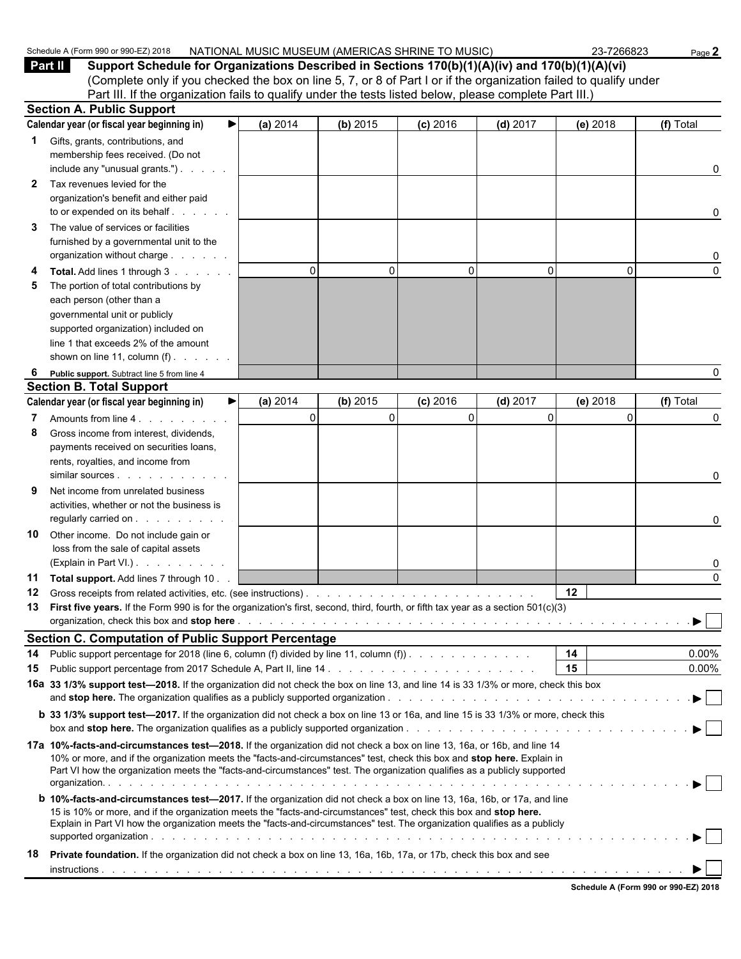|              | Part II<br>Support Schedule for Organizations Described in Sections 170(b)(1)(A)(iv) and 170(b)(1)(A)(vi)<br>(Complete only if you checked the box on line 5, 7, or 8 of Part I or if the organization failed to qualify under                       |              |          |            |              |          |           |
|--------------|------------------------------------------------------------------------------------------------------------------------------------------------------------------------------------------------------------------------------------------------------|--------------|----------|------------|--------------|----------|-----------|
|              | Part III. If the organization fails to qualify under the tests listed below, please complete Part III.)                                                                                                                                              |              |          |            |              |          |           |
|              | <b>Section A. Public Support</b>                                                                                                                                                                                                                     |              |          |            |              |          |           |
|              | Calendar year (or fiscal year beginning in)                                                                                                                                                                                                          | (a) 2014     | (b) 2015 | $(c)$ 2016 | $(d)$ 2017   | (e) 2018 | (f) Total |
| 1.           | Gifts, grants, contributions, and                                                                                                                                                                                                                    |              |          |            |              |          |           |
|              | membership fees received. (Do not                                                                                                                                                                                                                    |              |          |            |              |          |           |
|              | include any "unusual grants.")                                                                                                                                                                                                                       |              |          |            |              |          | 0         |
| $\mathbf{2}$ | Tax revenues levied for the                                                                                                                                                                                                                          |              |          |            |              |          |           |
|              | organization's benefit and either paid                                                                                                                                                                                                               |              |          |            |              |          |           |
|              | to or expended on its behalf.                                                                                                                                                                                                                        |              |          |            |              |          | 0         |
| 3            | The value of services or facilities                                                                                                                                                                                                                  |              |          |            |              |          |           |
|              | furnished by a governmental unit to the<br>organization without charge                                                                                                                                                                               |              |          |            |              |          | 0         |
|              | Total. Add lines 1 through 3                                                                                                                                                                                                                         | $\Omega$     | $\Omega$ | $\Omega$   | $\mathbf{0}$ | $\Omega$ | $\Omega$  |
| 5            | The portion of total contributions by                                                                                                                                                                                                                |              |          |            |              |          |           |
|              | each person (other than a                                                                                                                                                                                                                            |              |          |            |              |          |           |
|              | governmental unit or publicly                                                                                                                                                                                                                        |              |          |            |              |          |           |
|              | supported organization) included on                                                                                                                                                                                                                  |              |          |            |              |          |           |
|              | line 1 that exceeds 2% of the amount                                                                                                                                                                                                                 |              |          |            |              |          |           |
|              | shown on line 11, column $(f)$ .                                                                                                                                                                                                                     |              |          |            |              |          |           |
| 6            | Public support. Subtract line 5 from line 4                                                                                                                                                                                                          |              |          |            |              |          | 0         |
|              | <b>Section B. Total Support</b>                                                                                                                                                                                                                      |              |          |            |              |          |           |
|              | Calendar year (or fiscal year beginning in)                                                                                                                                                                                                          | (a) 2014     | (b) 2015 | $(c)$ 2016 | $(d)$ 2017   | (e) 2018 | (f) Total |
|              | Amounts from line 4.                                                                                                                                                                                                                                 | $\mathbf{0}$ | $\Omega$ | $\Omega$   | $\Omega$     | $\Omega$ | 0         |
| 8            | Gross income from interest, dividends,                                                                                                                                                                                                               |              |          |            |              |          |           |
|              | payments received on securities loans,<br>rents, royalties, and income from                                                                                                                                                                          |              |          |            |              |          |           |
|              |                                                                                                                                                                                                                                                      |              |          |            |              |          | 0         |
| 9            | Net income from unrelated business                                                                                                                                                                                                                   |              |          |            |              |          |           |
|              | activities, whether or not the business is                                                                                                                                                                                                           |              |          |            |              |          |           |
|              | regularly carried on                                                                                                                                                                                                                                 |              |          |            |              |          | 0         |
| 10           | Other income. Do not include gain or                                                                                                                                                                                                                 |              |          |            |              |          |           |
|              | loss from the sale of capital assets                                                                                                                                                                                                                 |              |          |            |              |          |           |
|              | (Explain in Part VI.)                                                                                                                                                                                                                                |              |          |            |              |          | 0         |
| 11           | Total support. Add lines 7 through 10.                                                                                                                                                                                                               |              |          |            |              |          | 0         |
| 12           | Gross receipts from related activities, etc. (see instructions).                                                                                                                                                                                     |              |          |            |              | 12       |           |
|              | 13 First five years. If the Form 990 is for the organization's first, second, third, fourth, or fifth tax year as a section 501(c)(3)                                                                                                                |              |          |            |              |          | ▶         |
|              |                                                                                                                                                                                                                                                      |              |          |            |              |          |           |
| 14           | <b>Section C. Computation of Public Support Percentage</b><br>Public support percentage for 2018 (line 6, column (f) divided by line 11, column (f)).                                                                                                |              |          |            |              | 14       | $0.00\%$  |
| 15           |                                                                                                                                                                                                                                                      |              |          |            |              | 15       | $0.00\%$  |
|              | 16a 33 1/3% support test-2018. If the organization did not check the box on line 13, and line 14 is 33 1/3% or more, check this box                                                                                                                  |              |          |            |              |          |           |
|              |                                                                                                                                                                                                                                                      |              |          |            |              |          |           |
|              | b 33 1/3% support test-2017. If the organization did not check a box on line 13 or 16a, and line 15 is 33 1/3% or more, check this                                                                                                                   |              |          |            |              |          |           |
|              | box and <b>stop here.</b> The organization qualifies as a publicly supported organization.                                                                                                                                                           |              |          |            |              |          |           |
|              | 17a 10%-facts-and-circumstances test-2018. If the organization did not check a box on line 13, 16a, or 16b, and line 14                                                                                                                              |              |          |            |              |          |           |
|              | 10% or more, and if the organization meets the "facts-and-circumstances" test, check this box and stop here. Explain in<br>Part VI how the organization meets the "facts-and-circumstances" test. The organization qualifies as a publicly supported |              |          |            |              |          |           |
|              |                                                                                                                                                                                                                                                      |              |          |            |              |          |           |
|              | <b>b</b> 10%-facts-and-circumstances test-2017. If the organization did not check a box on line 13, 16a, 16b, or 17a, and line                                                                                                                       |              |          |            |              |          |           |
|              | 15 is 10% or more, and if the organization meets the "facts-and-circumstances" test, check this box and stop here.                                                                                                                                   |              |          |            |              |          |           |
|              | Explain in Part VI how the organization meets the "facts-and-circumstances" test. The organization qualifies as a publicly                                                                                                                           |              |          |            |              |          |           |
|              |                                                                                                                                                                                                                                                      |              |          |            |              |          |           |
| 18           | Private foundation. If the organization did not check a box on line 13, 16a, 16b, 17a, or 17b, check this box and see                                                                                                                                |              |          |            |              |          |           |
|              |                                                                                                                                                                                                                                                      |              |          |            |              |          |           |

| Schedule A (Form 990 or 990-EZ) 2018 |  |  |
|--------------------------------------|--|--|
|                                      |  |  |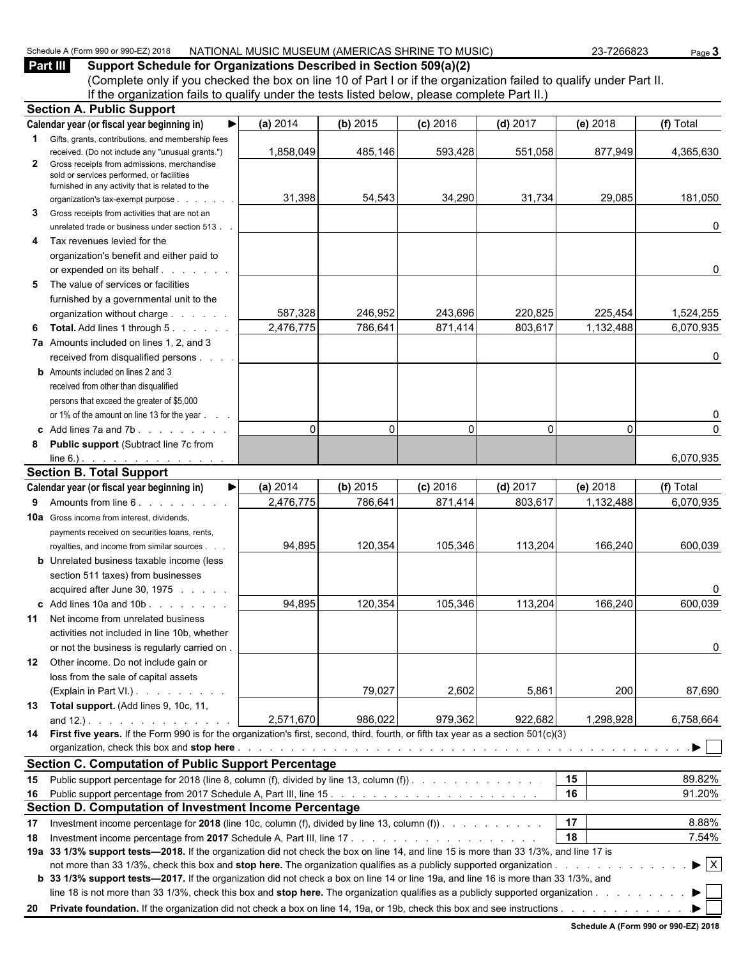**Part III Support Schedule for Organizations Described in Section 509(a)(2)** (Complete only if you checked the box on line 10 of Part I or if the organization failed to qualify under Part II. If the organization fails to qualify under the tests listed below, please complete Part II.)

|              | <b>Section A. Public Support</b>                                                                                                             |           |          |            |            |           |                                |
|--------------|----------------------------------------------------------------------------------------------------------------------------------------------|-----------|----------|------------|------------|-----------|--------------------------------|
|              | Calendar year (or fiscal year beginning in)                                                                                                  | (a) 2014  | (b) 2015 | $(c)$ 2016 | $(d)$ 2017 | (e) 2018  | (f) Total                      |
|              | 1 Gifts, grants, contributions, and membership fees                                                                                          |           |          |            |            |           |                                |
|              | received. (Do not include any "unusual grants.")                                                                                             | 1,858,049 | 485,146  | 593,428    | 551,058    | 877,949   | 4,365,630                      |
| $\mathbf{2}$ | Gross receipts from admissions, merchandise<br>sold or services performed, or facilities<br>furnished in any activity that is related to the |           |          |            |            |           |                                |
|              | organization's tax-exempt purpose                                                                                                            | 31,398    | 54,543   | 34,290     | 31,734     | 29,085    | 181,050                        |
| 3            | Gross receipts from activities that are not an                                                                                               |           |          |            |            |           |                                |
|              | unrelated trade or business under section 513.                                                                                               |           |          |            |            |           | 0                              |
| 4            | Tax revenues levied for the                                                                                                                  |           |          |            |            |           |                                |
|              | organization's benefit and either paid to<br>or expended on its behalf $\ldots$ $\ldots$                                                     |           |          |            |            |           | 0                              |
| 5            | The value of services or facilities                                                                                                          |           |          |            |            |           |                                |
|              | furnished by a governmental unit to the                                                                                                      |           |          |            |            |           |                                |
|              | organization without charge                                                                                                                  | 587,328   | 246,952  | 243,696    | 220,825    | 225,454   | 1,524,255                      |
| 6            | <b>Total.</b> Add lines 1 through 5.                                                                                                         | 2,476,775 | 786,641  | 871,414    | 803,617    | 1,132,488 | 6,070,935                      |
|              | 7a Amounts included on lines 1, 2, and 3                                                                                                     |           |          |            |            |           |                                |
|              | received from disqualified persons                                                                                                           |           |          |            |            |           | 0                              |
|              | <b>b</b> Amounts included on lines 2 and 3                                                                                                   |           |          |            |            |           |                                |
|              | received from other than disqualified                                                                                                        |           |          |            |            |           |                                |
|              | persons that exceed the greater of \$5,000                                                                                                   |           |          |            |            |           |                                |
|              | or 1% of the amount on line 13 for the year                                                                                                  |           |          |            |            |           | 0                              |
|              | c Add lines $7a$ and $7b$ .                                                                                                                  | $\Omega$  | $\Omega$ | $\Omega$   | $\Omega$   | $\Omega$  | $\Omega$                       |
| 8            | <b>Public support (Subtract line 7c from</b>                                                                                                 |           |          |            |            |           |                                |
|              | $line 6.)$ . <u>.</u>                                                                                                                        |           |          |            |            |           | 6,070,935                      |
|              | <b>Section B. Total Support</b><br>▶∣                                                                                                        | (a) 2014  | (b) 2015 | $(c)$ 2016 | $(d)$ 2017 | (e) 2018  | (f) Total                      |
|              | Calendar year (or fiscal year beginning in)<br>9 Amounts from line 6.                                                                        | 2,476,775 | 786,641  | 871,414    | 803,617    | 1,132,488 | 6,070,935                      |
|              |                                                                                                                                              |           |          |            |            |           |                                |
|              | <b>10a</b> Gross income from interest, dividends,                                                                                            |           |          |            |            |           |                                |
|              | payments received on securities loans, rents,                                                                                                | 94,895    | 120,354  | 105,346    | 113,204    | 166,240   | 600,039                        |
|              | royalties, and income from similar sources.<br><b>b</b> Unrelated business taxable income (less                                              |           |          |            |            |           |                                |
|              | section 511 taxes) from businesses                                                                                                           |           |          |            |            |           |                                |
|              | acquired after June 30, 1975                                                                                                                 |           |          |            |            |           | 0                              |
|              | c Add lines 10a and 10b                                                                                                                      | 94,895    | 120,354  | 105,346    | 113,204    | 166,240   | 600,039                        |
| 11           | Net income from unrelated business                                                                                                           |           |          |            |            |           |                                |
|              | activities not included in line 10b, whether                                                                                                 |           |          |            |            |           |                                |
|              | or not the business is regularly carried on.                                                                                                 |           |          |            |            |           | 0                              |
| 12           | Other income. Do not include gain or                                                                                                         |           |          |            |            |           |                                |
|              | loss from the sale of capital assets                                                                                                         |           |          |            |            |           |                                |
|              | (Explain in Part VI.)                                                                                                                        |           | 79,027   | 2,602      | 5,861      | 200       | 87,690                         |
|              | 13 Total support. (Add lines 9, 10c, 11,                                                                                                     |           |          |            |            |           |                                |
|              | and $12.$ ). $\ldots$ $\ldots$ $\ldots$ $\ldots$ $\ldots$                                                                                    | 2,571,670 | 986,022  | 979,362    | 922,682    | 1,298,928 | 6,758,664                      |
|              | 14 First five years. If the Form 990 is for the organization's first, second, third, fourth, or fifth tax year as a section 501(c)(3)        |           |          |            |            |           |                                |
|              |                                                                                                                                              |           |          |            |            |           | ▶                              |
|              | <b>Section C. Computation of Public Support Percentage</b>                                                                                   |           |          |            |            |           |                                |
| 15           | Public support percentage for 2018 (line 8, column (f), divided by line 13, column (f)).                                                     |           |          |            |            | 15        | 89.82%                         |
| 16           |                                                                                                                                              |           |          |            |            | 16        | 91.20%                         |
|              | Section D. Computation of Investment Income Percentage                                                                                       |           |          |            |            |           |                                |
| 17           | Investment income percentage for 2018 (line 10c, column (f), divided by line 13, column (f)). $\ldots$                                       |           |          |            |            | 17        | 8.88%                          |
| 18           |                                                                                                                                              |           |          |            |            | 18        | 7.54%                          |
|              | 19a 33 1/3% support tests-2018. If the organization did not check the box on line 14, and line 15 is more than 33 1/3%, and line 17 is       |           |          |            |            |           |                                |
|              |                                                                                                                                              |           |          |            |            |           | $\blacktriangleright$ $\mid$ X |
|              | b 33 1/3% support tests—2017. If the organization did not check a box on line 14 or line 19a, and line 16 is more than 33 1/3%, and          |           |          |            |            |           |                                |
|              | line 18 is not more than 33 1/3%, check this box and stop here. The organization qualifies as a publicly supported organization              |           |          |            |            |           | ▶                              |
| 20           |                                                                                                                                              |           |          |            |            |           |                                |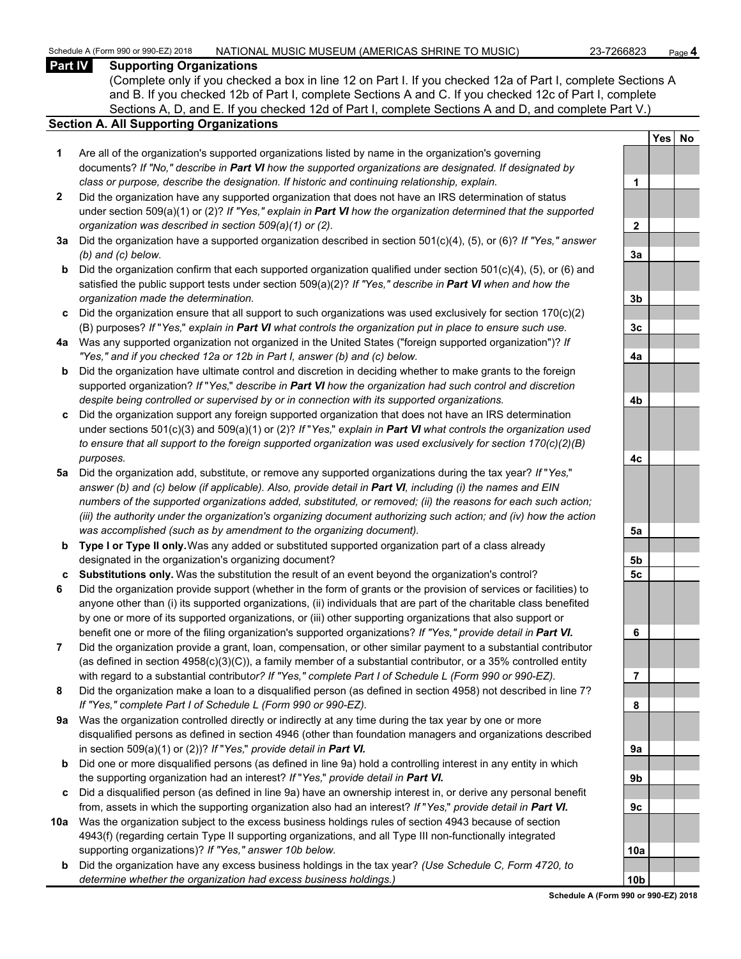#### **Part IV Supporting Organizations**

(Complete only if you checked a box in line 12 on Part I. If you checked 12a of Part I, complete Sections A and B. If you checked 12b of Part I, complete Sections A and C. If you checked 12c of Part I, complete Sections A, D, and E. If you checked 12d of Part I, complete Sections A and D, and complete Part V.)

#### **Section A. All Supporting Organizations**

- **1** Are all of the organization's supported organizations listed by name in the organization's governing documents? *If "No," describe in Part VI how the supported organizations are designated. If designated by class or purpose, describe the designation. If historic and continuing relationship, explain.* **1**
- **2** Did the organization have any supported organization that does not have an IRS determination of status under section 509(a)(1) or (2)? *If "Yes," explain in Part VI how the organization determined that the supported organization was described in section 509(a)(1) or (2).*
- **3a** Did the organization have a supported organization described in section 501(c)(4), (5), or (6)? *If "Yes," answer (b) and (c) below.* **3a**
- **b** Did the organization confirm that each supported organization qualified under section 501(c)(4), (5), or (6) and satisfied the public support tests under section 509(a)(2)? *If "Yes," describe in Part VI when and how the organization made the determination.* **3b**
- **c** Did the organization ensure that all support to such organizations was used exclusively for section 170(c)(2) (B) purposes? *If* "*Yes,*" *explain in Part VI what controls the organization put in place to ensure such use.* **3c**
- **4a** Was any supported organization not organized in the United States ("foreign supported organization")? *If "Yes," and if you checked 12a or 12b in Part I, answer (b) and (c) below.* **4a**
- **b** Did the organization have ultimate control and discretion in deciding whether to make grants to the foreign supported organization? *If* "*Yes,*" *describe in Part VI how the organization had such control and discretion despite being controlled or supervised by or in connection with its supported organizations.* **4b**
- **c** Did the organization support any foreign supported organization that does not have an IRS determination under sections 501(c)(3) and 509(a)(1) or (2)? *If* "*Yes,*" *explain in Part VI what controls the organization used to ensure that all support to the foreign supported organization was used exclusively for section 170(c)(2)(B) purposes.* **4c**
- **5a** Did the organization add, substitute, or remove any supported organizations during the tax year? *If* "*Yes,*" *answer (b) and (c) below (if applicable). Also, provide detail in Part VI, including (i) the names and EIN numbers of the supported organizations added, substituted, or removed; (ii) the reasons for each such action; (iii) the authority under the organization's organizing document authorizing such action; and (iv) how the action was accomplished (such as by amendment to the organizing document).* **5a**
- **b Type I or Type II only.** Was any added or substituted supported organization part of a class already designated in the organization's organizing document? **5b**
- **c Substitutions only.** Was the substitution the result of an event beyond the organization's control? **5c**
- **6** Did the organization provide support (whether in the form of grants or the provision of services or facilities) to anyone other than (i) its supported organizations, (ii) individuals that are part of the charitable class benefited by one or more of its supported organizations, or (iii) other supporting organizations that also support or benefit one or more of the filing organization's supported organizations? *If "Yes," provide detail in Part VI.* **6**
- **7** Did the organization provide a grant, loan, compensation, or other similar payment to a substantial contributor (as defined in section 4958(c)(3)(C)), a family member of a substantial contributor, or a 35% controlled entity with regard to a substantial contribut*or? If "Yes," complete Part I of Schedule L (Form 990 or 990-EZ).* **7**
- **8** Did the organization make a loan to a disqualified person (as defined in section 4958) not described in line 7? *If "Yes," complete Part I of Schedule L (Form 990 or 990-EZ).* **8**
- **9a** Was the organization controlled directly or indirectly at any time during the tax year by one or more disqualified persons as defined in section 4946 (other than foundation managers and organizations described in section 509(a)(1) or (2))? *If* "*Yes*," *provide detail in Part VI.*
- **b** Did one or more disqualified persons (as defined in line 9a) hold a controlling interest in any entity in which the supporting organization had an interest? *If* "*Yes,*" *provide detail in Part VI.* **9b**
- **c** Did a disqualified person (as defined in line 9a) have an ownership interest in, or derive any personal benefit from, assets in which the supporting organization also had an interest? *If* "Yes," *provide detail in Part VI.*
- **10a** Was the organization subject to the excess business holdings rules of section 4943 because of section 4943(f) (regarding certain Type II supporting organizations, and all Type III non-functionally integrated supporting organizations)? If "Yes," answer 10b below.
	- **b** Did the organization have any excess business holdings in the tax year? *(Use Schedule C, Form 4720, to determine whether the organization had excess business holdings.)* **10b**

|                | <u>Yes</u><br>I | $No$ |
|----------------|-----------------|------|
|                |                 |      |
| 1              |                 |      |
|                |                 |      |
| $\overline{2}$ |                 |      |
|                |                 |      |
| <u>3a</u>      |                 |      |
|                |                 |      |
| $\frac{3b}{2}$ |                 |      |
|                |                 |      |
| <u>3c</u>      |                 |      |
| <u>4a</u>      |                 |      |
|                |                 |      |
| 4 <sub>b</sub> |                 |      |
|                |                 |      |
| 4c             |                 |      |
|                |                 |      |
| <u>5a</u>      |                 |      |
|                |                 |      |
| <u>5b</u>      |                 |      |
| <u>5c</u>      |                 |      |
| 6              |                 |      |
|                |                 |      |
| 7              |                 |      |
| 8              |                 |      |
|                |                 |      |
| 9а             |                 |      |
|                |                 |      |
| 9b             |                 |      |
| 9c             |                 |      |
|                |                 |      |
| 0a             |                 |      |
|                |                 |      |
| ۱<br>n         |                 |      |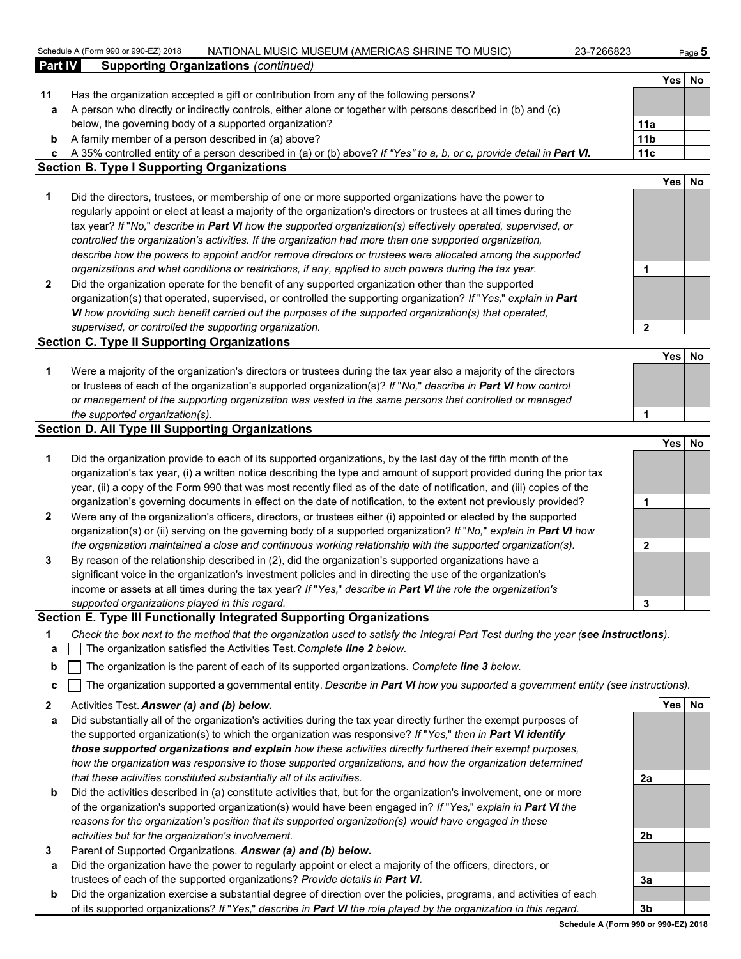|              | Schedule A (Form 990 or 990-EZ) 2018<br>NATIONAL MUSIC MUSEUM (AMERICAS SHRINE TO MUSIC)                                                                                                                      | 23-7266823      |            | Page $5$ |
|--------------|---------------------------------------------------------------------------------------------------------------------------------------------------------------------------------------------------------------|-----------------|------------|----------|
| Part IV      | <b>Supporting Organizations (continued)</b>                                                                                                                                                                   |                 |            |          |
|              |                                                                                                                                                                                                               |                 | Yes No     |          |
| 11           | Has the organization accepted a gift or contribution from any of the following persons?                                                                                                                       |                 |            |          |
| a            | A person who directly or indirectly controls, either alone or together with persons described in (b) and (c)                                                                                                  |                 |            |          |
|              | below, the governing body of a supported organization?                                                                                                                                                        | 11a             |            |          |
| b            | A family member of a person described in (a) above?                                                                                                                                                           | 11 <sub>b</sub> |            |          |
| с            | A 35% controlled entity of a person described in (a) or (b) above? If "Yes" to a, b, or c, provide detail in Part VI.                                                                                         | 11c             |            |          |
|              | <b>Section B. Type I Supporting Organizations</b>                                                                                                                                                             |                 |            |          |
|              |                                                                                                                                                                                                               |                 | <b>Yes</b> | No       |
| 1            | Did the directors, trustees, or membership of one or more supported organizations have the power to                                                                                                           |                 |            |          |
|              | regularly appoint or elect at least a majority of the organization's directors or trustees at all times during the                                                                                            |                 |            |          |
|              | tax year? If "No," describe in Part VI how the supported organization(s) effectively operated, supervised, or                                                                                                 |                 |            |          |
|              | controlled the organization's activities. If the organization had more than one supported organization,                                                                                                       |                 |            |          |
|              | describe how the powers to appoint and/or remove directors or trustees were allocated among the supported                                                                                                     | 1               |            |          |
|              | organizations and what conditions or restrictions, if any, applied to such powers during the tax year.<br>Did the organization operate for the benefit of any supported organization other than the supported |                 |            |          |
| $\mathbf{2}$ | organization(s) that operated, supervised, or controlled the supporting organization? If "Yes," explain in Part                                                                                               |                 |            |          |
|              | VI how providing such benefit carried out the purposes of the supported organization(s) that operated,                                                                                                        |                 |            |          |
|              | supervised, or controlled the supporting organization.                                                                                                                                                        | 2               |            |          |
|              | <b>Section C. Type II Supporting Organizations</b>                                                                                                                                                            |                 |            |          |
|              |                                                                                                                                                                                                               |                 | Yes        | No       |
| 1            | Were a majority of the organization's directors or trustees during the tax year also a majority of the directors                                                                                              |                 |            |          |
|              | or trustees of each of the organization's supported organization(s)? If "No," describe in Part VI how control                                                                                                 |                 |            |          |
|              | or management of the supporting organization was vested in the same persons that controlled or managed                                                                                                        |                 |            |          |
|              | the supported organization(s).                                                                                                                                                                                | 1               |            |          |
|              | <b>Section D. All Type III Supporting Organizations</b>                                                                                                                                                       |                 |            |          |
|              |                                                                                                                                                                                                               |                 | <b>Yes</b> | No       |
| 1            | Did the organization provide to each of its supported organizations, by the last day of the fifth month of the                                                                                                |                 |            |          |
|              | organization's tax year, (i) a written notice describing the type and amount of support provided during the prior tax                                                                                         |                 |            |          |
|              | year, (ii) a copy of the Form 990 that was most recently filed as of the date of notification, and (iii) copies of the                                                                                        |                 |            |          |
|              | organization's governing documents in effect on the date of notification, to the extent not previously provided?                                                                                              | 1               |            |          |
| $\mathbf{2}$ | Were any of the organization's officers, directors, or trustees either (i) appointed or elected by the supported                                                                                              |                 |            |          |
|              | organization(s) or (ii) serving on the governing body of a supported organization? If "No," explain in Part VI how                                                                                            |                 |            |          |
|              | the organization maintained a close and continuous working relationship with the supported organization(s).                                                                                                   | 2               |            |          |
| 3            | By reason of the relationship described in (2), did the organization's supported organizations have a                                                                                                         |                 |            |          |
|              | significant voice in the organization's investment policies and in directing the use of the organization's                                                                                                    |                 |            |          |
|              | income or assets at all times during the tax year? If "Yes," describe in Part VI the role the organization's                                                                                                  |                 |            |          |
|              | supported organizations played in this regard.                                                                                                                                                                | 3               |            |          |
|              | Section E. Type III Functionally Integrated Supporting Organizations                                                                                                                                          |                 |            |          |
| 1            | Check the box next to the method that the organization used to satisfy the Integral Part Test during the year (see instructions).                                                                             |                 |            |          |
| а            | The organization satisfied the Activities Test. Complete line 2 below.                                                                                                                                        |                 |            |          |
| b            | The organization is the parent of each of its supported organizations. Complete line 3 below.                                                                                                                 |                 |            |          |
| c            | The organization supported a governmental entity. Describe in Part VI how you supported a government entity (see instructions).                                                                               |                 |            |          |
|              |                                                                                                                                                                                                               |                 |            |          |
| 2            | Activities Test. Answer (a) and (b) below.<br>Did substantially all of the organization's activities during the tax year directly further the exempt nurnoses of                                              |                 | Yesl       | No       |

- tantially all of the organization's activities during the tax year directly further the exempt purposes of the supported organization(s) to which the organization was responsive? *If* "*Yes,*" *then in Part VI identify those supported organizations and explain how these activities directly furthered their exempt purposes, how the organization was responsive to those supported organizations, and how the organization determined that these activities constituted substantially all of its activities.* **2a**
- **b** Did the activities described in (a) constitute activities that, but for the organization's involvement, one or more of the organization's supported organization(s) would have been engaged in? *If* "*Yes,*" *explain in Part VI the reasons for the organization's position that its supported organization(s) would have engaged in these activities but for the organization's involvement.* **2b**
- **3** Parent of Supported Organizations. *Answer (a) and (b) below.*
- **a** Did the organization have the power to regularly appoint or elect a majority of the officers, directors, or trustees of each of the supported organizations? *Provide details in Part VI.* **3a**
- **b** Did the organization exercise a substantial degree of direction over the policies, programs, and activities of each of its supported organizations? *If* "*Yes,*" *describe in Part VI the role played by the organization in this regard.* **3b**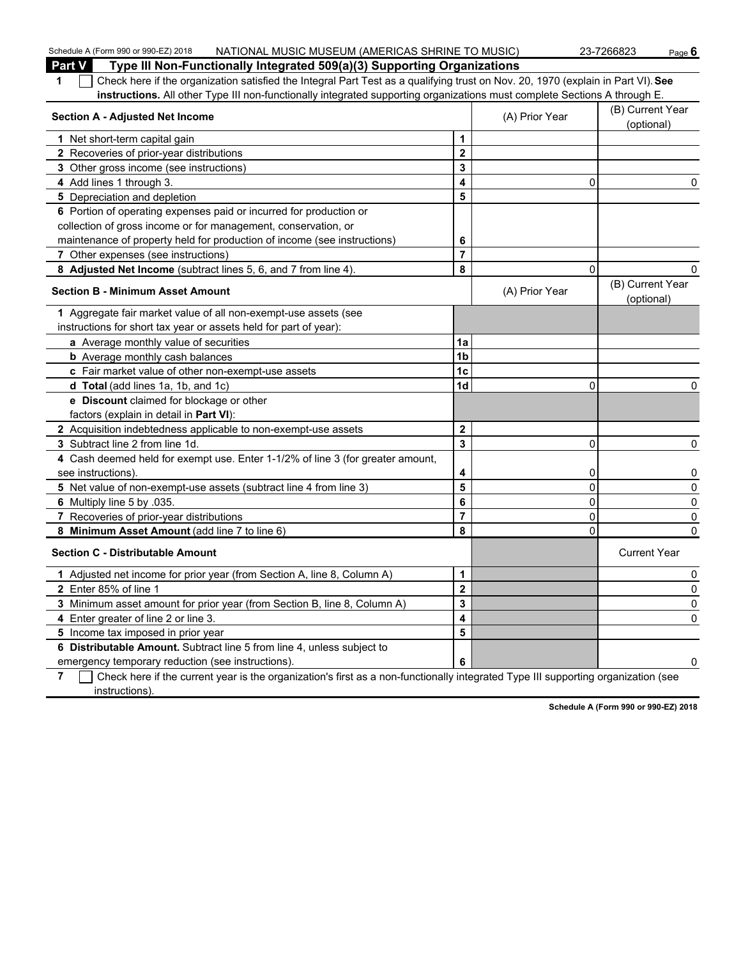| <b>Part V</b><br>Type III Non-Functionally Integrated 509(a)(3) Supporting Organizations                                                |                         |                |                                |  |
|-----------------------------------------------------------------------------------------------------------------------------------------|-------------------------|----------------|--------------------------------|--|
| Check here if the organization satisfied the Integral Part Test as a qualifying trust on Nov. 20, 1970 (explain in Part VI). See<br>1   |                         |                |                                |  |
| instructions. All other Type III non-functionally integrated supporting organizations must complete Sections A through E.               |                         |                |                                |  |
| <b>Section A - Adjusted Net Income</b>                                                                                                  |                         | (A) Prior Year | (B) Current Year<br>(optional) |  |
| 1 Net short-term capital gain                                                                                                           | 1                       |                |                                |  |
| 2 Recoveries of prior-year distributions                                                                                                | $\overline{\mathbf{2}}$ |                |                                |  |
| 3 Other gross income (see instructions)                                                                                                 | 3                       |                |                                |  |
| 4 Add lines 1 through 3.                                                                                                                | $\overline{\mathbf{4}}$ | 0              | 0                              |  |
| 5 Depreciation and depletion                                                                                                            | 5                       |                |                                |  |
| 6 Portion of operating expenses paid or incurred for production or                                                                      |                         |                |                                |  |
| collection of gross income or for management, conservation, or                                                                          |                         |                |                                |  |
| maintenance of property held for production of income (see instructions)                                                                | 6                       |                |                                |  |
| 7 Other expenses (see instructions)                                                                                                     | $\overline{7}$          |                |                                |  |
| 8 Adjusted Net Income (subtract lines 5, 6, and 7 from line 4).                                                                         | 8                       | 0              | 0                              |  |
| <b>Section B - Minimum Asset Amount</b>                                                                                                 |                         | (A) Prior Year | (B) Current Year<br>(optional) |  |
| 1 Aggregate fair market value of all non-exempt-use assets (see                                                                         |                         |                |                                |  |
| instructions for short tax year or assets held for part of year):                                                                       |                         |                |                                |  |
| a Average monthly value of securities                                                                                                   | 1a                      |                |                                |  |
| <b>b</b> Average monthly cash balances                                                                                                  | 1 <sub>b</sub>          |                |                                |  |
| c Fair market value of other non-exempt-use assets                                                                                      | 1c                      |                |                                |  |
| <b>d Total</b> (add lines 1a, 1b, and 1c)                                                                                               | 1d                      | 0              | 0                              |  |
| e Discount claimed for blockage or other                                                                                                |                         |                |                                |  |
| factors (explain in detail in Part VI):                                                                                                 |                         |                |                                |  |
| 2 Acquisition indebtedness applicable to non-exempt-use assets                                                                          | $\mathbf 2$             |                |                                |  |
| 3 Subtract line 2 from line 1d.                                                                                                         | 3                       | 0              | 0                              |  |
| 4 Cash deemed held for exempt use. Enter 1-1/2% of line 3 (for greater amount,                                                          |                         |                |                                |  |
| see instructions)                                                                                                                       | 4                       | 0              | 0                              |  |
| 5 Net value of non-exempt-use assets (subtract line 4 from line 3)                                                                      | 5                       | $\Omega$       | 0                              |  |
| 6 Multiply line 5 by .035.                                                                                                              | 6                       | 0              | 0                              |  |
| <b>7</b> Recoveries of prior-year distributions                                                                                         | $\overline{7}$          | 0              | 0                              |  |
| 8 Minimum Asset Amount (add line 7 to line 6)                                                                                           | 8                       | $\overline{0}$ | $\Omega$                       |  |
| <b>Section C - Distributable Amount</b>                                                                                                 |                         |                | <b>Current Year</b>            |  |
| 1 Adjusted net income for prior year (from Section A, line 8, Column A)                                                                 | 1                       |                | 0                              |  |
| 2 Enter 85% of line 1                                                                                                                   | $\overline{\mathbf{2}}$ |                | 0                              |  |
| 3 Minimum asset amount for prior year (from Section B, line 8, Column A)                                                                | 3                       |                | 0                              |  |
| 4 Enter greater of line 2 or line 3.                                                                                                    | 4                       |                | $\Omega$                       |  |
| 5 Income tax imposed in prior year                                                                                                      | 5                       |                |                                |  |
| 6 Distributable Amount. Subtract line 5 from line 4, unless subject to                                                                  |                         |                |                                |  |
| emergency temporary reduction (see instructions).                                                                                       | 6                       |                |                                |  |
| Check here if the ourrent veer is the ergenization's first ee a nep functionally integrated Type III ourperting ergenization (aco<br>,, |                         |                |                                |  |

**7** Check here if the current year is the organization's first as a non-functionally integrated Type III supporting organization (see instructions).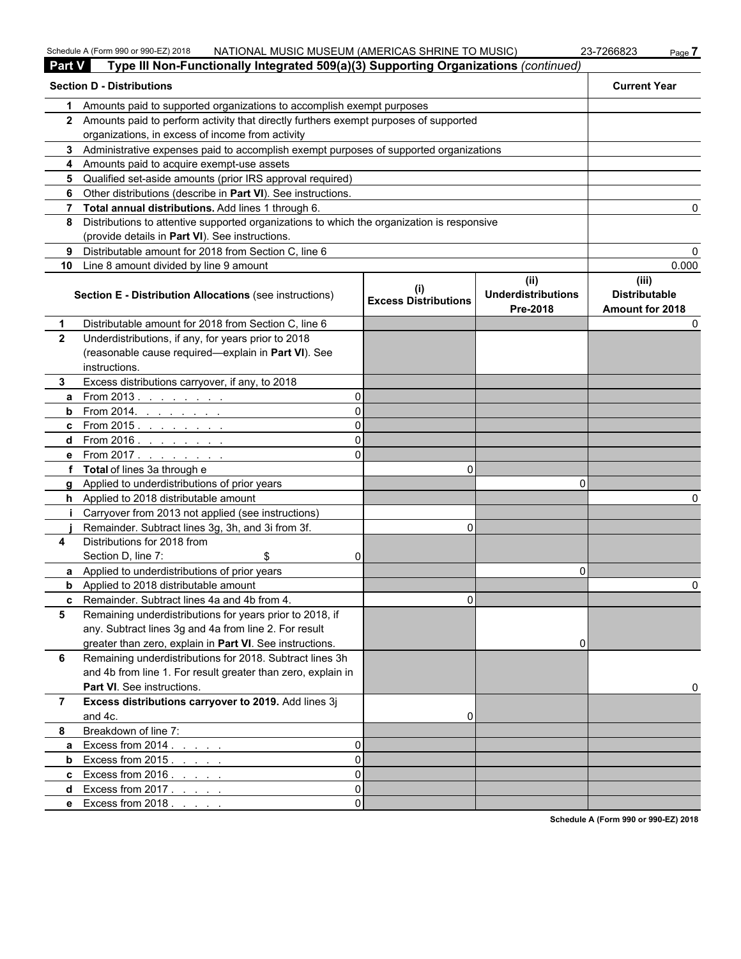| MUSIC MUSEUM<br><b>(AMERICAS SHRINE TO)</b><br>∖ MUSIC.<br>23-7266823<br><b>NATIONAL</b><br>-EZ) 2018<br>Schedule A (Form 990 or 990-E | ്ade |  |
|----------------------------------------------------------------------------------------------------------------------------------------|------|--|
|----------------------------------------------------------------------------------------------------------------------------------------|------|--|

| <b>Part V</b>  | Type III Non-Functionally Integrated 509(a)(3) Supporting Organizations (continued)        |                                             |                                               |                                                  |
|----------------|--------------------------------------------------------------------------------------------|---------------------------------------------|-----------------------------------------------|--------------------------------------------------|
|                | <b>Section D - Distributions</b>                                                           |                                             |                                               | <b>Current Year</b>                              |
| 1              | Amounts paid to supported organizations to accomplish exempt purposes                      |                                             |                                               |                                                  |
|                | 2 Amounts paid to perform activity that directly furthers exempt purposes of supported     |                                             |                                               |                                                  |
|                | organizations, in excess of income from activity                                           |                                             |                                               |                                                  |
|                | 3 Administrative expenses paid to accomplish exempt purposes of supported organizations    |                                             |                                               |                                                  |
|                | 4 Amounts paid to acquire exempt-use assets                                                |                                             |                                               |                                                  |
| 5.             | Qualified set-aside amounts (prior IRS approval required)                                  |                                             |                                               |                                                  |
| 6              | Other distributions (describe in Part VI). See instructions.                               |                                             |                                               |                                                  |
|                | 7 Total annual distributions. Add lines 1 through 6.                                       |                                             |                                               |                                                  |
| 8              | Distributions to attentive supported organizations to which the organization is responsive |                                             |                                               |                                                  |
|                | (provide details in Part VI). See instructions.                                            |                                             |                                               |                                                  |
| 9              | Distributable amount for 2018 from Section C, line 6                                       |                                             |                                               |                                                  |
| 10             | Line 8 amount divided by line 9 amount                                                     |                                             |                                               | 0.000                                            |
|                | <b>Section E - Distribution Allocations (see instructions)</b>                             | $\sf ^{(l)}$<br><b>Excess Distributions</b> | (ii)<br><b>Underdistributions</b><br>Pre-2018 | (iii)<br><b>Distributable</b><br>Amount for 2018 |
| $\mathbf 1$    | Distributable amount for 2018 from Section C, line 6                                       |                                             |                                               |                                                  |
| $\mathbf{2}$   | Underdistributions, if any, for years prior to 2018                                        |                                             |                                               |                                                  |
|                | (reasonable cause required-explain in Part VI). See                                        |                                             |                                               |                                                  |
|                | instructions.                                                                              |                                             |                                               |                                                  |
| 3.             | Excess distributions carryover, if any, to 2018                                            |                                             |                                               |                                                  |
| a              | From 2013 <u>.</u><br>0                                                                    |                                             |                                               |                                                  |
|                | 0                                                                                          |                                             |                                               |                                                  |
|                | <b>c</b> From 2015.<br>0                                                                   |                                             |                                               |                                                  |
|                | d From 2016.<br>0                                                                          |                                             |                                               |                                                  |
|                | e From 2017.<br>ΩI                                                                         |                                             |                                               |                                                  |
|                | f Total of lines 3a through e                                                              | 0                                           |                                               |                                                  |
|                | g Applied to underdistributions of prior years                                             |                                             | U                                             |                                                  |
|                | h Applied to 2018 distributable amount                                                     |                                             |                                               |                                                  |
| Ť.             | Carryover from 2013 not applied (see instructions)                                         |                                             |                                               |                                                  |
|                | Remainder. Subtract lines 3g, 3h, and 3i from 3f.                                          | $\Omega$                                    |                                               |                                                  |
| 4              | Distributions for 2018 from                                                                |                                             |                                               |                                                  |
|                | Section D, line 7:<br>\$<br>0                                                              |                                             |                                               |                                                  |
|                | a Applied to underdistributions of prior years                                             |                                             | 0                                             |                                                  |
|                | <b>b</b> Applied to 2018 distributable amount                                              |                                             |                                               |                                                  |
|                | <b>c</b> Remainder. Subtract lines 4a and 4b from 4.                                       | U.                                          |                                               |                                                  |
| 5              | Remaining underdistributions for years prior to 2018, if                                   |                                             |                                               |                                                  |
|                | any. Subtract lines 3g and 4a from line 2. For result                                      |                                             |                                               |                                                  |
|                | greater than zero, explain in Part VI. See instructions.                                   |                                             | 0                                             |                                                  |
| 6              | Remaining underdistributions for 2018. Subtract lines 3h                                   |                                             |                                               |                                                  |
|                | and 4b from line 1. For result greater than zero, explain in                               |                                             |                                               |                                                  |
|                | Part VI. See instructions.                                                                 |                                             |                                               |                                                  |
| $\overline{7}$ | Excess distributions carryover to 2019. Add lines 3j                                       |                                             |                                               |                                                  |
|                | and 4c.                                                                                    | 0                                           |                                               |                                                  |
| 8              | Breakdown of line 7:                                                                       |                                             |                                               |                                                  |
| a              | Excess from $2014.$<br>0                                                                   |                                             |                                               |                                                  |
| b              | Excess from $2015$ $\ldots$<br>0                                                           |                                             |                                               |                                                  |
|                | <b>c</b> Excess from 2016. $\ldots$<br>0                                                   |                                             |                                               |                                                  |
| d              | Excess from $2017$ .<br>0                                                                  |                                             |                                               |                                                  |
|                | e Excess from 2018.<br>$\Omega$                                                            |                                             |                                               |                                                  |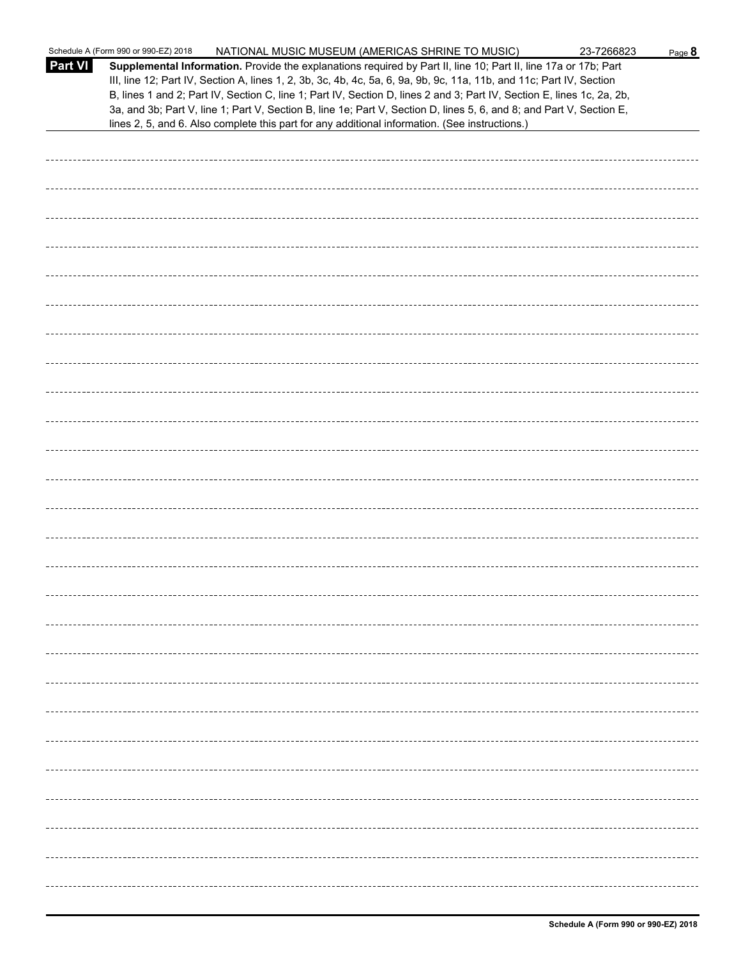|                | Schedule A (Form 990 or 990-EZ) 2018<br>NATIONAL MUSIC MUSEUM (AMERICAS SHRINE TO MUSIC)                                                                                                                                                                                                                                                                                                                                                                                                                                                                                                    | 23-7266823 | Page 8 |
|----------------|---------------------------------------------------------------------------------------------------------------------------------------------------------------------------------------------------------------------------------------------------------------------------------------------------------------------------------------------------------------------------------------------------------------------------------------------------------------------------------------------------------------------------------------------------------------------------------------------|------------|--------|
| <b>Part VI</b> | Supplemental Information. Provide the explanations required by Part II, line 10; Part II, line 17a or 17b; Part<br>III, line 12; Part IV, Section A, lines 1, 2, 3b, 3c, 4b, 4c, 5a, 6, 9a, 9b, 9c, 11a, 11b, and 11c; Part IV, Section<br>B, lines 1 and 2; Part IV, Section C, line 1; Part IV, Section D, lines 2 and 3; Part IV, Section E, lines 1c, 2a, 2b,<br>3a, and 3b; Part V, line 1; Part V, Section B, line 1e; Part V, Section D, lines 5, 6, and 8; and Part V, Section E,<br>lines 2, 5, and 6. Also complete this part for any additional information. (See instructions.) |            |        |
|                |                                                                                                                                                                                                                                                                                                                                                                                                                                                                                                                                                                                             |            |        |
|                |                                                                                                                                                                                                                                                                                                                                                                                                                                                                                                                                                                                             |            |        |
|                |                                                                                                                                                                                                                                                                                                                                                                                                                                                                                                                                                                                             |            |        |
|                |                                                                                                                                                                                                                                                                                                                                                                                                                                                                                                                                                                                             |            |        |
|                |                                                                                                                                                                                                                                                                                                                                                                                                                                                                                                                                                                                             |            |        |
|                |                                                                                                                                                                                                                                                                                                                                                                                                                                                                                                                                                                                             |            |        |
|                |                                                                                                                                                                                                                                                                                                                                                                                                                                                                                                                                                                                             |            |        |
|                |                                                                                                                                                                                                                                                                                                                                                                                                                                                                                                                                                                                             |            |        |
|                |                                                                                                                                                                                                                                                                                                                                                                                                                                                                                                                                                                                             |            |        |
|                |                                                                                                                                                                                                                                                                                                                                                                                                                                                                                                                                                                                             |            |        |
|                |                                                                                                                                                                                                                                                                                                                                                                                                                                                                                                                                                                                             |            |        |
|                |                                                                                                                                                                                                                                                                                                                                                                                                                                                                                                                                                                                             |            |        |
|                |                                                                                                                                                                                                                                                                                                                                                                                                                                                                                                                                                                                             |            |        |
|                |                                                                                                                                                                                                                                                                                                                                                                                                                                                                                                                                                                                             |            |        |
|                |                                                                                                                                                                                                                                                                                                                                                                                                                                                                                                                                                                                             |            |        |
|                |                                                                                                                                                                                                                                                                                                                                                                                                                                                                                                                                                                                             |            |        |
|                |                                                                                                                                                                                                                                                                                                                                                                                                                                                                                                                                                                                             |            |        |
|                |                                                                                                                                                                                                                                                                                                                                                                                                                                                                                                                                                                                             |            |        |
|                |                                                                                                                                                                                                                                                                                                                                                                                                                                                                                                                                                                                             |            |        |
|                |                                                                                                                                                                                                                                                                                                                                                                                                                                                                                                                                                                                             |            |        |
|                |                                                                                                                                                                                                                                                                                                                                                                                                                                                                                                                                                                                             |            |        |
|                |                                                                                                                                                                                                                                                                                                                                                                                                                                                                                                                                                                                             |            |        |
|                |                                                                                                                                                                                                                                                                                                                                                                                                                                                                                                                                                                                             |            |        |
|                |                                                                                                                                                                                                                                                                                                                                                                                                                                                                                                                                                                                             |            |        |
|                |                                                                                                                                                                                                                                                                                                                                                                                                                                                                                                                                                                                             |            |        |
|                |                                                                                                                                                                                                                                                                                                                                                                                                                                                                                                                                                                                             |            |        |
|                |                                                                                                                                                                                                                                                                                                                                                                                                                                                                                                                                                                                             |            |        |
|                |                                                                                                                                                                                                                                                                                                                                                                                                                                                                                                                                                                                             |            |        |
|                |                                                                                                                                                                                                                                                                                                                                                                                                                                                                                                                                                                                             |            |        |
|                |                                                                                                                                                                                                                                                                                                                                                                                                                                                                                                                                                                                             |            |        |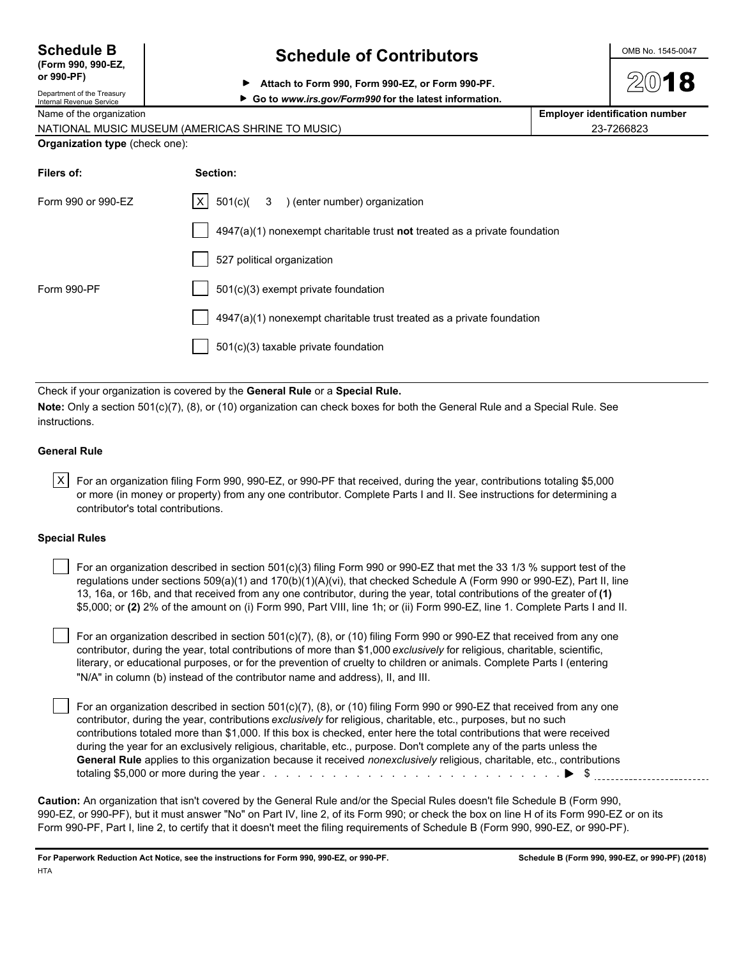| <b>Schedule B</b>  |
|--------------------|
| (Form 990, 990-EZ, |
| or 990-PF)         |

### **Schedule of Contributors**  $\frac{\text{OMB No. 1545-0047}}{}$

**Attach to Form 990, Form 990-EZ, or Form 990-PF.**

| Department of the Treasury<br>Internal Revenue Service | Go to www.irs.gov/Form990 for the latest information. |                                       |
|--------------------------------------------------------|-------------------------------------------------------|---------------------------------------|
| Name of the organization                               |                                                       | <b>Employer identification number</b> |

| NATIONAL MUSIC MUSEUM (AMERICAS SHRINE TO MUSIC) | 23-7266823 |  |                                               |  |  |  |
|--------------------------------------------------|------------|--|-----------------------------------------------|--|--|--|
| <b>Organization type</b> (check one):            |            |  |                                               |  |  |  |
|                                                  |            |  |                                               |  |  |  |
| Filers of:                                       | Section:   |  |                                               |  |  |  |
| Form 990 or 990-EZ                               |            |  | $ X $ 501(c)( 3 ) (enter number) organization |  |  |  |

|  |  | 527 political organization |
|--|--|----------------------------|
|  |  |                            |

| Form 990-PF | $501(c)(3)$ exempt private foundation |
|-------------|---------------------------------------|

4947(a)(1) nonexempt charitable trust treated as a private foundation

501(c)(3) taxable private foundation

Check if your organization is covered by the **General Rule** or a **Special Rule.**

**Note:** Only a section 501(c)(7), (8), or (10) organization can check boxes for both the General Rule and a Special Rule. See instructions.

#### **General Rule**

 $|X|$  For an organization filing Form 990, 990-EZ, or 990-PF that received, during the year, contributions totaling \$5,000 or more (in money or property) from any one contributor. Complete Parts I and II. See instructions for determining a contributor's total contributions.

#### **Special Rules**

| For an organization described in section 501(c)(3) filing Form 990 or 990-EZ that met the 33 1/3 % support test of the      |
|-----------------------------------------------------------------------------------------------------------------------------|
| regulations under sections 509(a)(1) and 170(b)(1)(A)(vi), that checked Schedule A (Form 990 or 990-EZ), Part II, line      |
| 13, 16a, or 16b, and that received from any one contributor, during the year, total contributions of the greater of (1)     |
| \$5,000; or (2) 2% of the amount on (i) Form 990, Part VIII, line 1h; or (ii) Form 990-EZ, line 1. Complete Parts I and II. |

 For an organization described in section 501(c)(7), (8), or (10) filing Form 990 or 990-EZ that received from any one contributor, during the year, total contributions of more than \$1,000 *exclusively* for religious, charitable, scientific, literary, or educational purposes, or for the prevention of cruelty to children or animals. Complete Parts I (entering "N/A" in column (b) instead of the contributor name and address), II, and III.

 For an organization described in section 501(c)(7), (8), or (10) filing Form 990 or 990-EZ that received from any one contributor, during the year, contributions *exclusively* for religious, charitable, etc., purposes, but no such contributions totaled more than \$1,000. If this box is checked, enter here the total contributions that were received during the year for an exclusively religious, charitable, etc., purpose. Don't complete any of the parts unless the **General Rule** applies to this organization because it received *nonexclusively* religious, charitable, etc., contributions totaling \$5,000 or more during the year . . . . . . . . . . . . . . . . . . . . . . . . . . . . . . . . . . . . . . . . . . . . . . . . . . . \$

**Caution:** An organization that isn't covered by the General Rule and/or the Special Rules doesn't file Schedule B (Form 990, 990-EZ, or 990-PF), but it must answer "No" on Part IV, line 2, of its Form 990; or check the box on line H of its Form 990-EZ or on its Form 990-PF, Part I, line 2, to certify that it doesn't meet the filing requirements of Schedule B (Form 990, 990-EZ, or 990-PF).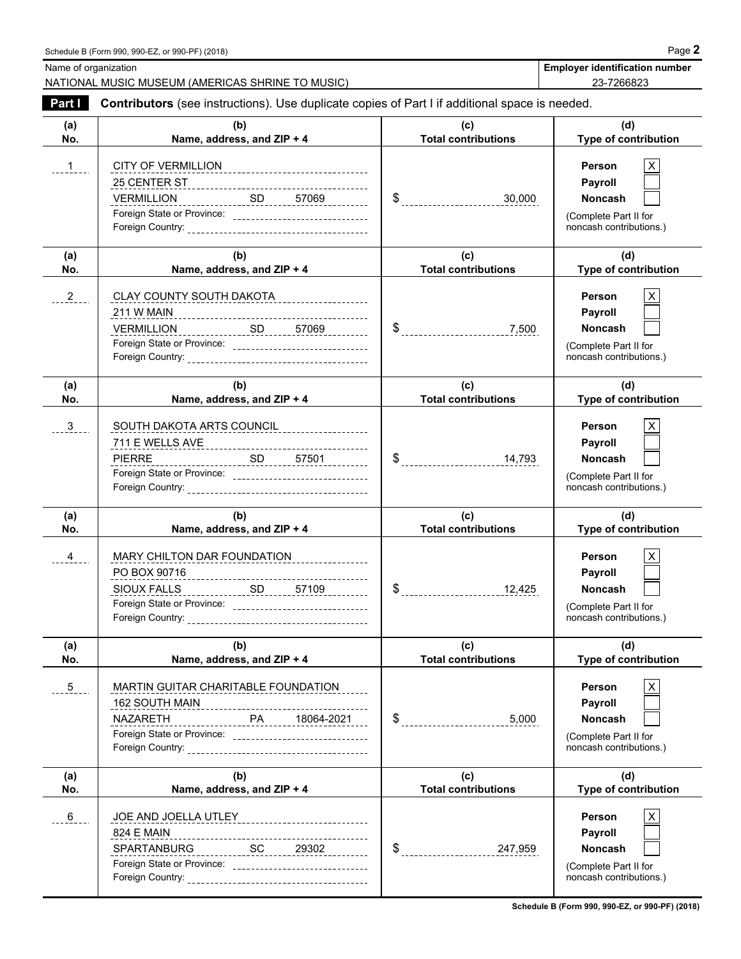Name of organization **Employer identification number Employer identification number** NATIONAL MUSIC MUSEUM (AMERICAS SHRINE TO MUSIC) 23-7266823

| Part I           | <b>Contributors</b> (see instructions). Use duplicate copies of Part I if additional space is needed.                                                               |                                   |                                                                                         |
|------------------|---------------------------------------------------------------------------------------------------------------------------------------------------------------------|-----------------------------------|-----------------------------------------------------------------------------------------|
| (a)<br>No.       | (b)<br>Name, address, and ZIP + 4                                                                                                                                   | (C)<br><b>Total contributions</b> | (d)<br><b>Type of contribution</b>                                                      |
| $1 -$            | Foreign State or Province: ________________________________                                                                                                         |                                   | Person<br>Payroll<br><b>Noncash</b><br>(Complete Part II for<br>noncash contributions.) |
| (a)<br>No.       | (b)<br>Name, address, and ZIP + 4                                                                                                                                   | (c)<br><b>Total contributions</b> | (d)<br>Type of contribution                                                             |
| $^{2}$ .         | CLAY COUNTY SOUTH DAKOTA ____________________<br>211 W MAIN<br>Foreign State or Province: __________________________________                                        | $\text{\$}$<br>7,500              | Person<br>Payroll<br><b>Noncash</b><br>(Complete Part II for<br>noncash contributions.) |
| (a)<br>No.       | (b)<br>Name, address, and ZIP + 4                                                                                                                                   | (c)<br><b>Total contributions</b> | (d)<br>Type of contribution                                                             |
| $\frac{3}{2}$    | SOUTH DAKOTA ARTS COUNCIL<br>PIERRE                                                                                                                                 | 14,793                            | Person<br>Payroll<br><b>Noncash</b><br>(Complete Part II for<br>noncash contributions.) |
| (a)<br>No.       | (b)<br>Name, address, and ZIP + 4                                                                                                                                   | (c)<br><b>Total contributions</b> | (d)<br>Type of contribution                                                             |
| $\frac{4}{1}$    | MARY CHILTON DAR FOUNDATION <b>MARY</b> CHILTON<br>SIOUX FALLS _______________SD ______57109 _________<br>Foreign State or Province: ______________________________ | 12,425                            | Person<br>Payroll<br><b>Noncash</b><br>(Complete Part II for<br>noncash contributions.) |
| (a)<br>No.       | (b)<br>Name, address, and ZIP + 4                                                                                                                                   | (c)<br><b>Total contributions</b> | (d)<br>Type of contribution                                                             |
| $\overline{5}$   | MARTIN GUITAR CHARITABLE FOUNDATION<br>162 SOUTH MAIN<br>NAZARETH<br>PA 18064-2021                                                                                  | \$<br>5,000                       | Person<br>Payroll<br><b>Noncash</b><br>(Complete Part II for<br>noncash contributions.) |
| (a)<br>No.       | (b)<br>Name, address, and ZIP + 4                                                                                                                                   | (c)<br><b>Total contributions</b> | (d)<br>Type of contribution                                                             |
| $6 \overline{6}$ | JOE AND JOELLA UTLEY<br>824 E MAIN<br>-------------------------------------<br>Foreign State or Province: __________________________________                        | \$<br>247,959                     | Person<br>Payroll<br><b>Noncash</b><br>(Complete Part II for<br>noncash contributions.) |

**Schedule B (Form 990, 990-EZ, or 990-PF) (2018)**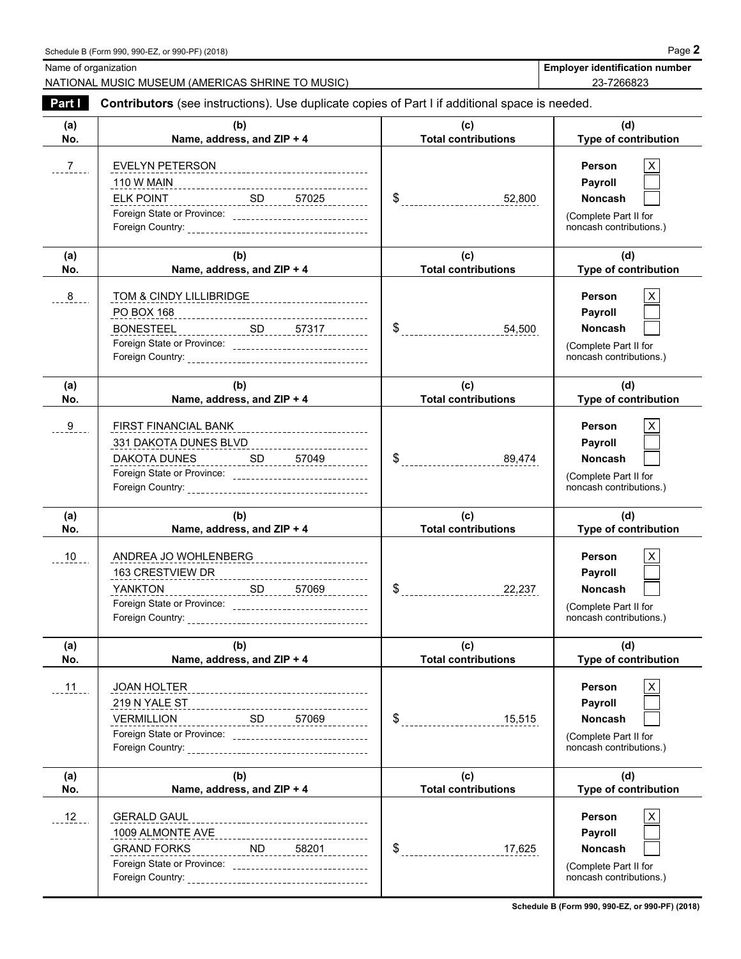|               | NATIONAL MUSIC MUSEUM (AMERICAS SHRINE TO MUSIC)                                                                                                                                                |                                   | 23-7266823                                                                                            |
|---------------|-------------------------------------------------------------------------------------------------------------------------------------------------------------------------------------------------|-----------------------------------|-------------------------------------------------------------------------------------------------------|
| Part I        | <b>Contributors</b> (see instructions). Use duplicate copies of Part I if additional space is needed.                                                                                           |                                   |                                                                                                       |
| (a)<br>No.    | (b)<br>Name, address, and ZIP + 4                                                                                                                                                               | (c)<br><b>Total contributions</b> | (d)<br>Type of contribution                                                                           |
| $\frac{7}{2}$ | EVELYN PETERSON<br>_________________________________<br>Foreign State or Province: ________________________________                                                                             | 52,800                            | <b>Person</b><br><b>Payroll</b><br><b>Noncash</b><br>(Complete Part II for<br>noncash contributions.) |
| (a)<br>No.    | (b)<br>Name, address, and ZIP + 4                                                                                                                                                               | (c)<br><b>Total contributions</b> | (d)<br>Type of contribution                                                                           |
| 8             | TOM & CINDY LILLIBRIDGE _________________________<br>BONESTEEL _______________SD _____ 57317 _________<br>Foreign State or Province: __________________________________                         | 54,500                            | <b>Person</b><br>Payroll<br><b>Noncash</b><br>(Complete Part II for<br>noncash contributions.)        |
| (a)<br>No.    | (b)<br>Name, address, and ZIP + 4                                                                                                                                                               | (c)<br><b>Total contributions</b> | (d)<br>Type of contribution                                                                           |
| 9             | FIRST FINANCIAL BANK<br>---------------------------<br>331 DAKOTA DUNES BLVD<br>DAKOTA DUNES __________ SD _____ 57049 ________<br>Foreign State or Province: _________________________________ | 89,474                            | <b>Person</b><br><b>Payroll</b><br>Noncash<br>(Complete Part II for<br>noncash contributions.)        |
| (a)<br>No.    | (b)<br>Name, address, and ZIP + 4                                                                                                                                                               | (c)<br><b>Total contributions</b> | (d)<br>Type of contribution                                                                           |
| $-10$         | ANDREA JO WOHLENBERG ________________________<br><b>YANKTON</b><br>Foreign State or Province: ________________________________                                                                  | 22,237                            | <b>Person</b><br>Payroll<br><b>Noncash</b><br>(Complete Part II for<br>noncash contributions.)        |
| (a)<br>No.    | (b)<br>Name, address, and ZIP + 4                                                                                                                                                               | (c)<br><b>Total contributions</b> | (d)<br>Type of contribution                                                                           |
| 11            | JOAN HOLTER<br>--------------------------------------<br>______________SD______57069_________<br><b>VERMILLION</b><br>Foreign State or Province: _________________________________              | 15,515                            | Person<br>X<br>Payroll<br>Noncash<br>(Complete Part II for<br>noncash contributions.)                 |
| (a)<br>No.    | (b)<br>Name, address, and ZIP + 4                                                                                                                                                               | (c)<br><b>Total contributions</b> | (d)<br>Type of contribution                                                                           |
| $12 -$        | <b>GERALD GAUL</b><br>----------------------------------<br>ND ______58201__________<br><b>GRAND FORKS</b><br>Foreign State or Province: _________________________________                      | $\frac{1}{2}$<br>17,625           | <b>Person</b><br>Payroll<br><b>Noncash</b><br>(Complete Part II for<br>noncash contributions.)        |

Name of organization **Employer identification number Employer identification number**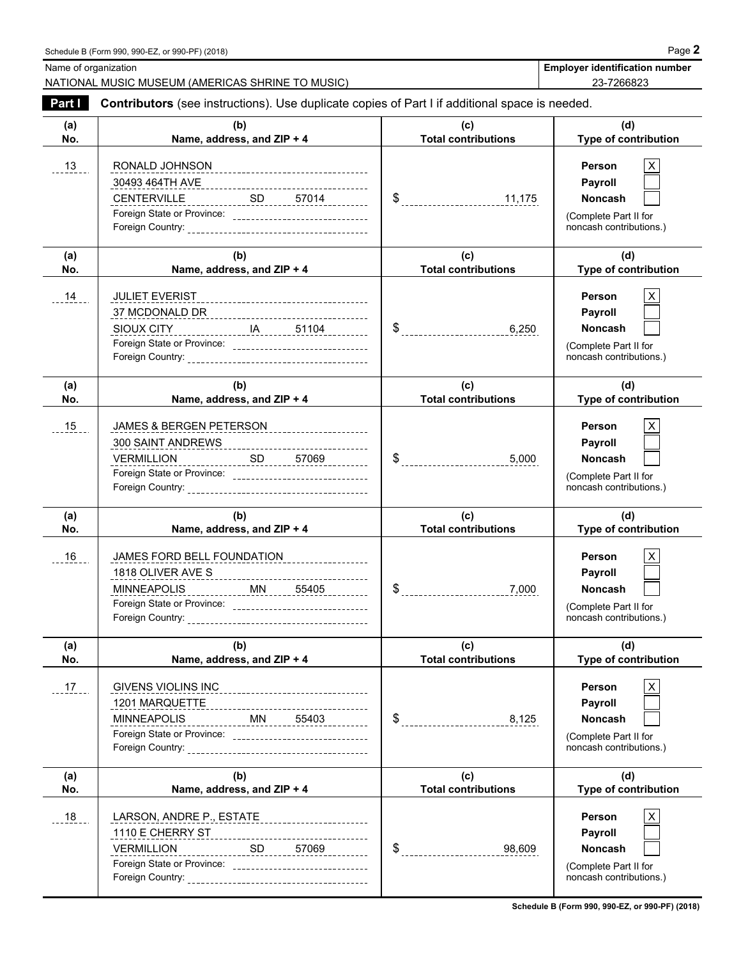|            | NATIONAL MUSIC MUSEUM (AMERICAS SHRINE TO MUSIC)                                                                                                                           |                                   | 23-7266823                                                                                     |
|------------|----------------------------------------------------------------------------------------------------------------------------------------------------------------------------|-----------------------------------|------------------------------------------------------------------------------------------------|
| Part I     | <b>Contributors</b> (see instructions). Use duplicate copies of Part I if additional space is needed.                                                                      |                                   |                                                                                                |
| (a)<br>No. | (b)<br>Name, address, and ZIP + 4                                                                                                                                          | (c)<br><b>Total contributions</b> | (d)<br>Type of contribution                                                                    |
| $13 -$     | RONALD JOHNSON<br>-----------------------------------<br>Foreign State or Province: ________________________________                                                       | $\frac{11,175}{2}$                | Person<br>X<br>Payroll<br>Noncash<br>(Complete Part II for<br>noncash contributions.)          |
| (a)<br>No. | (b)<br>Name, address, and ZIP + 4                                                                                                                                          | (c)<br><b>Total contributions</b> | (d)<br>Type of contribution                                                                    |
| 14         | <b>JULIET EVERIST</b><br>_____________________________________<br>Foreign State or Province: ________________________________                                              | 6,250                             | Person<br><b>Payroll</b><br><b>Noncash</b><br>(Complete Part II for<br>noncash contributions.) |
| (a)<br>No. | (b)<br>Name, address, and ZIP + 4                                                                                                                                          | (c)<br><b>Total contributions</b> | (d)<br>Type of contribution                                                                    |
| 15         | VERMILLION________________SD______57069_________<br>Foreign State or Province: __________________________________                                                          | 5,000                             | Person<br><b>Payroll</b><br><b>Noncash</b><br>(Complete Part II for<br>noncash contributions.) |
| (a)<br>No. | (b)<br>Name, address, and ZIP + 4                                                                                                                                          | (c)<br><b>Total contributions</b> | (d)<br>Type of contribution                                                                    |
| 16         | JAMES FORD BELL FOUNDATION _________________<br>MINNEAPOLIS ____________MN _____55405 ________<br>Foreign State or Province: ________________________________              | 7,000                             | Person<br><b>Payroll</b><br><b>Noncash</b><br>(Complete Part II for<br>noncash contributions.) |
| (a)<br>No. | (b)<br>Name, address, and ZIP + 4                                                                                                                                          | (c)<br><b>Total contributions</b> | (d)<br><b>Type of contribution</b>                                                             |
| $17 -$     | GIVENS VIOLINS INC<br>-----------------------------<br>1201 MARQUETTE<br>MN<br><b>MINNEAPOLIS</b><br>55403<br>Foreign State or Province: _________________________________ | \$<br>8,125                       | Person<br>X<br>Payroll<br><b>Noncash</b><br>(Complete Part II for<br>noncash contributions.)   |
| (a)<br>No. | (b)<br>Name, address, and ZIP + 4                                                                                                                                          | (c)<br><b>Total contributions</b> | (d)<br><b>Type of contribution</b>                                                             |
| 18         | LARSON, ANDRE P., ESTATE<br><u>SD 57069</u><br><b>VERMILLION</b><br>Foreign Country:                                                                                       | \$<br>98,609                      | Person<br>X<br>Payroll<br><b>Noncash</b><br>(Complete Part II for<br>noncash contributions.)   |

Name of organization **Employer identification number Employer identification number**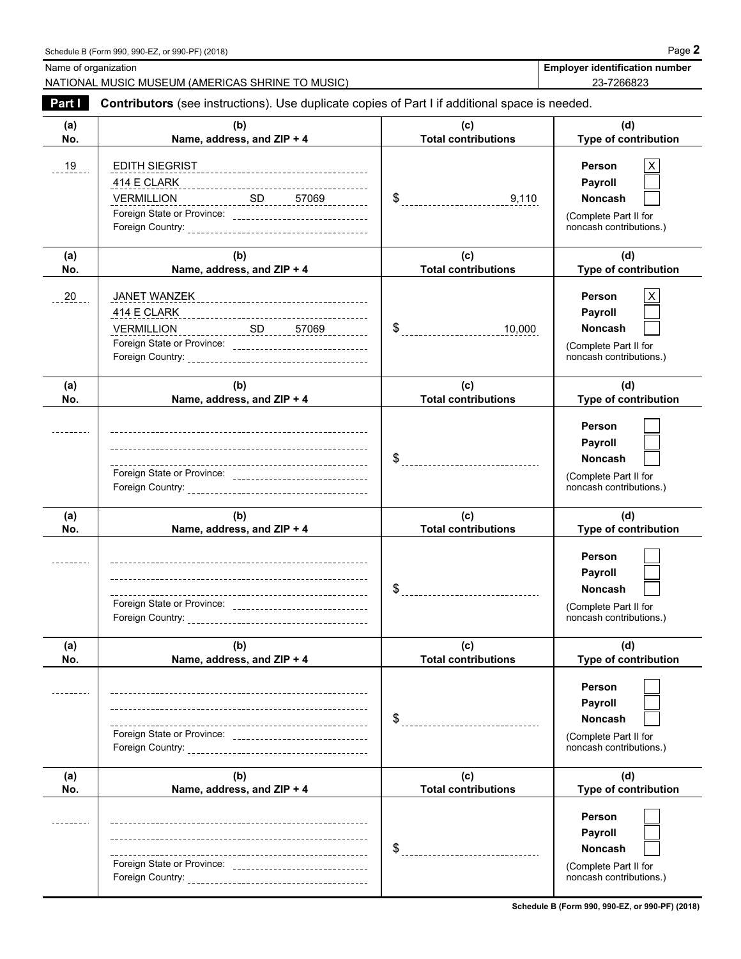Name of organization **Employer identification number** Name of organization number NATIONAL MUSIC MUSEUM (AMERICAS SHRINE TO MUSIC) 23-7266823

| Part I     | Contributors (see instructions). Use duplicate copies of Part I if additional space is needed.                                                      |                                   |                                                                                                |
|------------|-----------------------------------------------------------------------------------------------------------------------------------------------------|-----------------------------------|------------------------------------------------------------------------------------------------|
| (a)<br>No. | (b)<br>Name, address, and ZIP + 4                                                                                                                   | (c)<br><b>Total contributions</b> | (d)<br>Type of contribution                                                                    |
| $19 -$     | <b>EDITH SIEGRIST</b><br>--------------------------------------<br><b>VERMILLION</b><br>Foreign State or Province: ________________________________ | 9,110                             | <b>Person</b><br>Payroll<br><b>Noncash</b><br>(Complete Part II for<br>noncash contributions.) |
| (a)<br>No. | (b)<br>Name, address, and ZIP + 4                                                                                                                   | (c)<br><b>Total contributions</b> | (d)<br>Type of contribution                                                                    |
| 20         | JANET WANZEK<br><b>VERMILLION</b>                                                                                                                   | $\$\$<br>10,000                   | <b>Person</b><br>Payroll<br><b>Noncash</b><br>(Complete Part II for<br>noncash contributions.) |
| (a)<br>No. | (b)<br>Name, address, and ZIP + 4                                                                                                                   | (c)<br><b>Total contributions</b> | (d)<br>Type of contribution                                                                    |
|            | Foreign State or Province: ________________________________                                                                                         | $\$\quad$                         | Person<br><b>Payroll</b><br><b>Noncash</b><br>(Complete Part II for<br>noncash contributions.) |
| (a)<br>No. | (b)<br>Name, address, and ZIP + 4                                                                                                                   | (c)<br><b>Total contributions</b> | (d)<br>Type of contribution                                                                    |
|            | Foreign State or Province: ________________________________                                                                                         | $\$\quad$                         | Person<br><b>Payroll</b><br>Noncash<br>(Complete Part II for<br>noncash contributions.)        |
| (a)<br>No. | (b)<br>Name, address, and ZIP + 4                                                                                                                   | (c)<br><b>Total contributions</b> | (d)<br>Type of contribution                                                                    |
|            |                                                                                                                                                     | \$                                | Person<br>Payroll<br><b>Noncash</b><br>(Complete Part II for<br>noncash contributions.)        |
| (a)<br>No. | (b)<br>Name, address, and ZIP + 4                                                                                                                   | (c)<br><b>Total contributions</b> | (d)<br>Type of contribution                                                                    |
|            |                                                                                                                                                     | \$                                | Person<br>Payroll<br><b>Noncash</b><br>(Complete Part II for<br>noncash contributions.)        |

**Schedule B (Form 990, 990-EZ, or 990-PF) (2018)**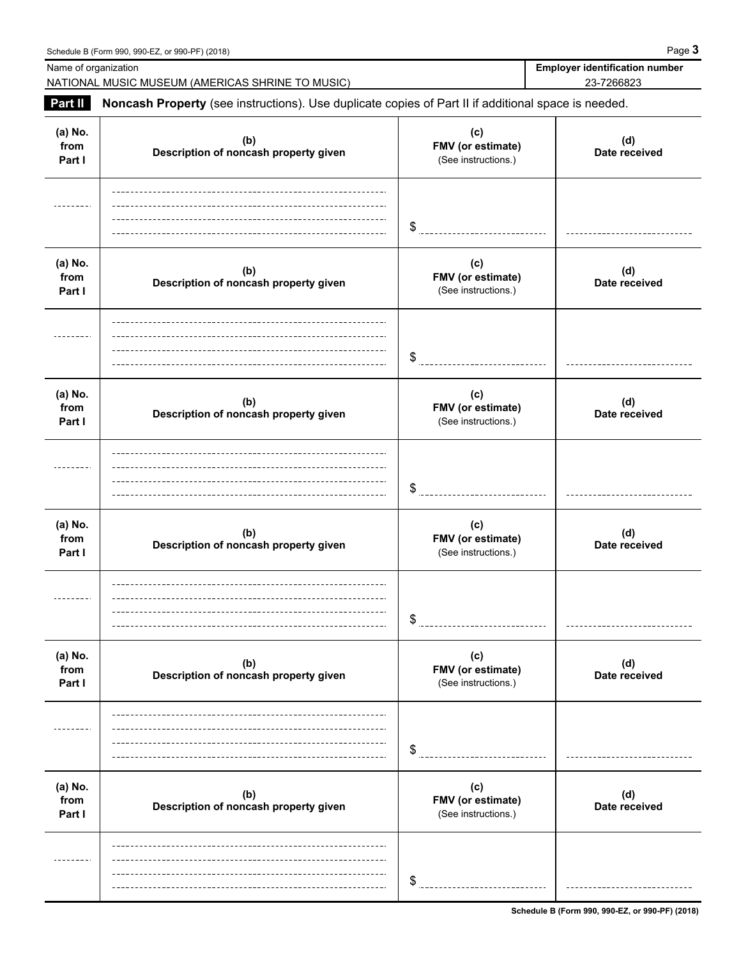| Name of organization<br>NATIONAL MUSIC MUSEUM (AMERICAS SHRINE TO MUSIC)                                       | <b>Employer identification number</b><br>23-7266823 |                      |  |
|----------------------------------------------------------------------------------------------------------------|-----------------------------------------------------|----------------------|--|
| Part II<br>Noncash Property (see instructions). Use duplicate copies of Part II if additional space is needed. |                                                     |                      |  |
| (a) No.<br>(b)<br>from<br>Description of noncash property given<br>Part I                                      | (c)<br>FMV (or estimate)<br>(See instructions.)     | (d)<br>Date received |  |
|                                                                                                                | \$                                                  |                      |  |
| (a) No.<br>(b)<br>from<br>Description of noncash property given<br>Part I                                      | (c)<br>FMV (or estimate)<br>(See instructions.)     | (d)<br>Date received |  |
|                                                                                                                | \$                                                  |                      |  |
| (a) No.<br>(b)<br>from<br>Description of noncash property given<br>Part I                                      | (c)<br>FMV (or estimate)<br>(See instructions.)     | (d)<br>Date received |  |
|                                                                                                                | \$                                                  |                      |  |
| (a) No.<br>(b)<br>from<br>Description of noncash property given<br>Part I                                      | (c)<br>FMV (or estimate)<br>(See instructions.)     | (d)<br>Date received |  |
|                                                                                                                | \$                                                  |                      |  |
| (a) No.<br>(b)<br>from<br>Description of noncash property given<br>Part I                                      | (c)<br>FMV (or estimate)<br>(See instructions.)     | (d)<br>Date received |  |
|                                                                                                                | \$                                                  |                      |  |
| (a) No.<br>(b)<br>from<br>Description of noncash property given<br>Part I                                      | (c)<br>FMV (or estimate)<br>(See instructions.)     | (d)<br>Date received |  |
|                                                                                                                | \$                                                  |                      |  |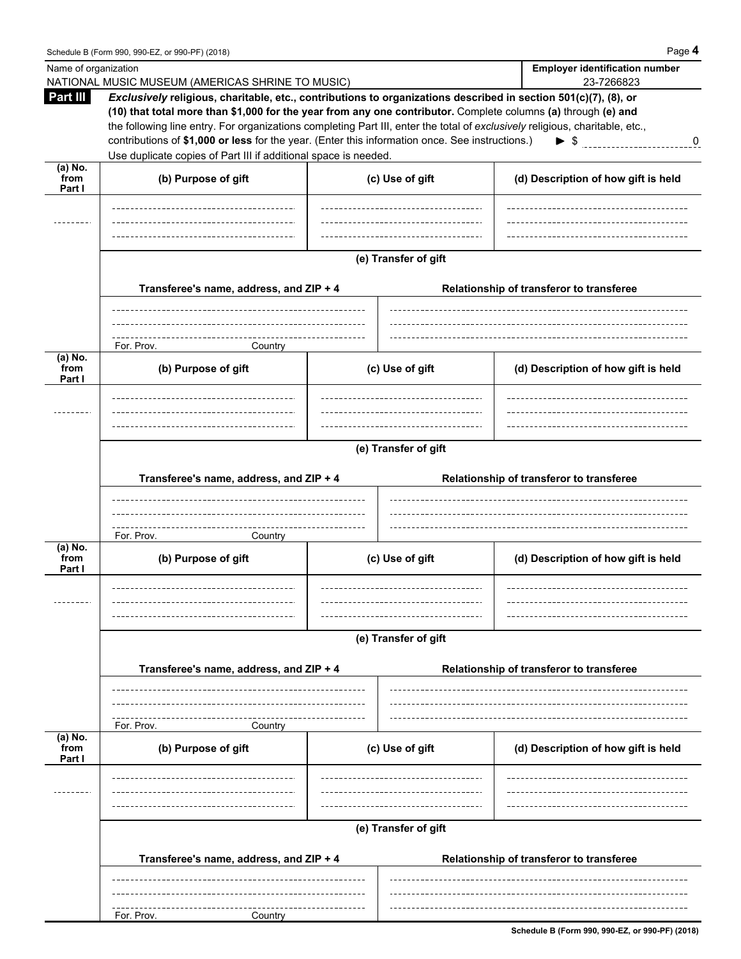| Name of organization                                                                                |                                                                                                 |  |                                                                                                                                                                                                                                                                                                                                                                                                                                                                                                                                                       |  | <b>Employer identification number</b>    |  |
|-----------------------------------------------------------------------------------------------------|-------------------------------------------------------------------------------------------------|--|-------------------------------------------------------------------------------------------------------------------------------------------------------------------------------------------------------------------------------------------------------------------------------------------------------------------------------------------------------------------------------------------------------------------------------------------------------------------------------------------------------------------------------------------------------|--|------------------------------------------|--|
|                                                                                                     | NATIONAL MUSIC MUSEUM (AMERICAS SHRINE TO MUSIC)                                                |  |                                                                                                                                                                                                                                                                                                                                                                                                                                                                                                                                                       |  | 23-7266823                               |  |
| Part III<br>(a) No.<br>from<br>Part I<br>$(a)$ No.<br>from<br>Part I<br>$(a)$ No.<br>from<br>Part I |                                                                                                 |  |                                                                                                                                                                                                                                                                                                                                                                                                                                                                                                                                                       |  |                                          |  |
|                                                                                                     |                                                                                                 |  |                                                                                                                                                                                                                                                                                                                                                                                                                                                                                                                                                       |  |                                          |  |
|                                                                                                     | contributions of \$1,000 or less for the year. (Enter this information once. See instructions.) |  |                                                                                                                                                                                                                                                                                                                                                                                                                                                                                                                                                       |  | $\blacktriangleright$ \$<br>$\mathbf 0$  |  |
|                                                                                                     | Use duplicate copies of Part III if additional space is needed.                                 |  |                                                                                                                                                                                                                                                                                                                                                                                                                                                                                                                                                       |  |                                          |  |
|                                                                                                     |                                                                                                 |  |                                                                                                                                                                                                                                                                                                                                                                                                                                                                                                                                                       |  |                                          |  |
|                                                                                                     | (b) Purpose of gift                                                                             |  |                                                                                                                                                                                                                                                                                                                                                                                                                                                                                                                                                       |  | (d) Description of how gift is held      |  |
|                                                                                                     |                                                                                                 |  | Exclusively religious, charitable, etc., contributions to organizations described in section 501(c)(7), (8), or<br>(10) that total more than \$1,000 for the year from any one contributor. Complete columns (a) through (e) and<br>the following line entry. For organizations completing Part III, enter the total of exclusively religious, charitable, etc.,<br>(c) Use of gift<br>(e) Transfer of gift<br>(c) Use of gift<br>-----------------------------<br>(c) Use of gift<br>(e) Transfer of gift<br>(c) Use of gift<br>(e) Transfer of gift |  |                                          |  |
|                                                                                                     |                                                                                                 |  |                                                                                                                                                                                                                                                                                                                                                                                                                                                                                                                                                       |  |                                          |  |
|                                                                                                     |                                                                                                 |  |                                                                                                                                                                                                                                                                                                                                                                                                                                                                                                                                                       |  |                                          |  |
|                                                                                                     |                                                                                                 |  |                                                                                                                                                                                                                                                                                                                                                                                                                                                                                                                                                       |  |                                          |  |
|                                                                                                     |                                                                                                 |  |                                                                                                                                                                                                                                                                                                                                                                                                                                                                                                                                                       |  |                                          |  |
|                                                                                                     |                                                                                                 |  |                                                                                                                                                                                                                                                                                                                                                                                                                                                                                                                                                       |  |                                          |  |
|                                                                                                     | Transferee's name, address, and ZIP + 4                                                         |  |                                                                                                                                                                                                                                                                                                                                                                                                                                                                                                                                                       |  | Relationship of transferor to transferee |  |
|                                                                                                     |                                                                                                 |  |                                                                                                                                                                                                                                                                                                                                                                                                                                                                                                                                                       |  |                                          |  |
|                                                                                                     |                                                                                                 |  |                                                                                                                                                                                                                                                                                                                                                                                                                                                                                                                                                       |  |                                          |  |
|                                                                                                     |                                                                                                 |  |                                                                                                                                                                                                                                                                                                                                                                                                                                                                                                                                                       |  |                                          |  |
|                                                                                                     | For. Prov.<br>Country                                                                           |  |                                                                                                                                                                                                                                                                                                                                                                                                                                                                                                                                                       |  |                                          |  |
|                                                                                                     | (b) Purpose of gift                                                                             |  |                                                                                                                                                                                                                                                                                                                                                                                                                                                                                                                                                       |  | (d) Description of how gift is held      |  |
|                                                                                                     |                                                                                                 |  |                                                                                                                                                                                                                                                                                                                                                                                                                                                                                                                                                       |  |                                          |  |
|                                                                                                     |                                                                                                 |  |                                                                                                                                                                                                                                                                                                                                                                                                                                                                                                                                                       |  |                                          |  |
|                                                                                                     |                                                                                                 |  |                                                                                                                                                                                                                                                                                                                                                                                                                                                                                                                                                       |  |                                          |  |
|                                                                                                     |                                                                                                 |  |                                                                                                                                                                                                                                                                                                                                                                                                                                                                                                                                                       |  |                                          |  |
|                                                                                                     | (e) Transfer of gift                                                                            |  |                                                                                                                                                                                                                                                                                                                                                                                                                                                                                                                                                       |  |                                          |  |
|                                                                                                     |                                                                                                 |  |                                                                                                                                                                                                                                                                                                                                                                                                                                                                                                                                                       |  |                                          |  |
|                                                                                                     | Transferee's name, address, and ZIP + 4                                                         |  |                                                                                                                                                                                                                                                                                                                                                                                                                                                                                                                                                       |  | Relationship of transferor to transferee |  |
|                                                                                                     |                                                                                                 |  |                                                                                                                                                                                                                                                                                                                                                                                                                                                                                                                                                       |  |                                          |  |
|                                                                                                     |                                                                                                 |  |                                                                                                                                                                                                                                                                                                                                                                                                                                                                                                                                                       |  |                                          |  |
|                                                                                                     |                                                                                                 |  |                                                                                                                                                                                                                                                                                                                                                                                                                                                                                                                                                       |  |                                          |  |
|                                                                                                     | For. Prov.<br>Country                                                                           |  |                                                                                                                                                                                                                                                                                                                                                                                                                                                                                                                                                       |  |                                          |  |
|                                                                                                     | (b) Purpose of gift                                                                             |  |                                                                                                                                                                                                                                                                                                                                                                                                                                                                                                                                                       |  | (d) Description of how gift is held      |  |
|                                                                                                     |                                                                                                 |  |                                                                                                                                                                                                                                                                                                                                                                                                                                                                                                                                                       |  |                                          |  |
|                                                                                                     |                                                                                                 |  |                                                                                                                                                                                                                                                                                                                                                                                                                                                                                                                                                       |  |                                          |  |
|                                                                                                     |                                                                                                 |  |                                                                                                                                                                                                                                                                                                                                                                                                                                                                                                                                                       |  |                                          |  |
|                                                                                                     |                                                                                                 |  |                                                                                                                                                                                                                                                                                                                                                                                                                                                                                                                                                       |  |                                          |  |
|                                                                                                     |                                                                                                 |  |                                                                                                                                                                                                                                                                                                                                                                                                                                                                                                                                                       |  |                                          |  |
|                                                                                                     |                                                                                                 |  |                                                                                                                                                                                                                                                                                                                                                                                                                                                                                                                                                       |  |                                          |  |
|                                                                                                     | Transferee's name, address, and ZIP + 4                                                         |  |                                                                                                                                                                                                                                                                                                                                                                                                                                                                                                                                                       |  | Relationship of transferor to transferee |  |
|                                                                                                     |                                                                                                 |  |                                                                                                                                                                                                                                                                                                                                                                                                                                                                                                                                                       |  |                                          |  |
|                                                                                                     |                                                                                                 |  |                                                                                                                                                                                                                                                                                                                                                                                                                                                                                                                                                       |  |                                          |  |
|                                                                                                     |                                                                                                 |  |                                                                                                                                                                                                                                                                                                                                                                                                                                                                                                                                                       |  |                                          |  |
| (a) No.                                                                                             | For. Prov.<br>Country                                                                           |  |                                                                                                                                                                                                                                                                                                                                                                                                                                                                                                                                                       |  |                                          |  |
| from                                                                                                | (b) Purpose of gift                                                                             |  |                                                                                                                                                                                                                                                                                                                                                                                                                                                                                                                                                       |  | (d) Description of how gift is held      |  |
| Part I                                                                                              |                                                                                                 |  |                                                                                                                                                                                                                                                                                                                                                                                                                                                                                                                                                       |  |                                          |  |
|                                                                                                     |                                                                                                 |  |                                                                                                                                                                                                                                                                                                                                                                                                                                                                                                                                                       |  |                                          |  |
|                                                                                                     |                                                                                                 |  |                                                                                                                                                                                                                                                                                                                                                                                                                                                                                                                                                       |  |                                          |  |
|                                                                                                     |                                                                                                 |  |                                                                                                                                                                                                                                                                                                                                                                                                                                                                                                                                                       |  |                                          |  |
|                                                                                                     |                                                                                                 |  |                                                                                                                                                                                                                                                                                                                                                                                                                                                                                                                                                       |  |                                          |  |
|                                                                                                     |                                                                                                 |  |                                                                                                                                                                                                                                                                                                                                                                                                                                                                                                                                                       |  |                                          |  |
|                                                                                                     | Transferee's name, address, and ZIP + 4                                                         |  |                                                                                                                                                                                                                                                                                                                                                                                                                                                                                                                                                       |  | Relationship of transferor to transferee |  |
|                                                                                                     |                                                                                                 |  |                                                                                                                                                                                                                                                                                                                                                                                                                                                                                                                                                       |  |                                          |  |
|                                                                                                     |                                                                                                 |  |                                                                                                                                                                                                                                                                                                                                                                                                                                                                                                                                                       |  |                                          |  |
|                                                                                                     |                                                                                                 |  |                                                                                                                                                                                                                                                                                                                                                                                                                                                                                                                                                       |  |                                          |  |
|                                                                                                     | For. Prov.<br>Country                                                                           |  |                                                                                                                                                                                                                                                                                                                                                                                                                                                                                                                                                       |  |                                          |  |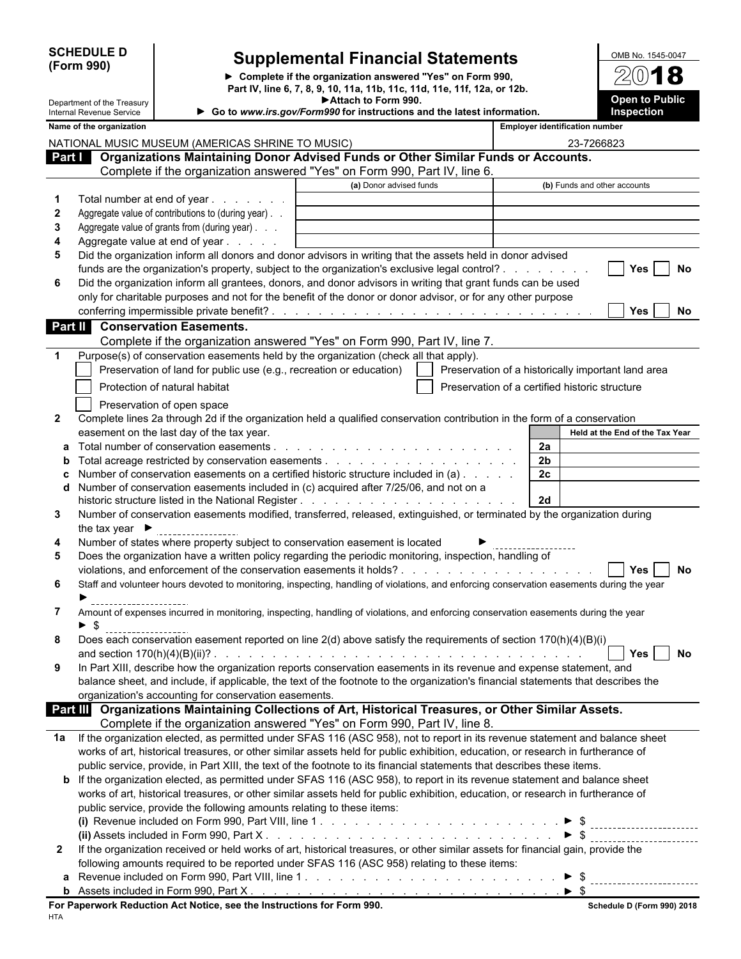| <b>SCHEDULE D</b> |  |
|-------------------|--|
| (Form 990)        |  |

Department of the Treasury

### **E Supplemental Financial Statements**

**Complete if the organization answered "Yes" on Form 990, Part IV, line 6, 7, 8, 9, 10, 11a, 11b, 11c, 11d, 11e, 11f, 12a, or 12b. Attach to Form 990.**

| OMB No. 1545-0047                          |
|--------------------------------------------|
| $2(0)$ <b>18</b>                           |
| <b>Open to Public</b><br><b>Inspection</b> |

|              | Internal Revenue Service           |                                                                                                                                                                | Go to www.irs.gov/Form990 for instructions and the latest information. |                                                    | Inspection                      |           |
|--------------|------------------------------------|----------------------------------------------------------------------------------------------------------------------------------------------------------------|------------------------------------------------------------------------|----------------------------------------------------|---------------------------------|-----------|
|              | Name of the organization           |                                                                                                                                                                |                                                                        | <b>Employer identification number</b>              |                                 |           |
|              |                                    | NATIONAL MUSIC MUSEUM (AMERICAS SHRINE TO MUSIC)                                                                                                               |                                                                        | 23-7266823                                         |                                 |           |
|              |                                    | Part <b>Crysings</b> Organizations Maintaining Donor Advised Funds or Other Similar Funds or Accounts.                                                         |                                                                        |                                                    |                                 |           |
|              |                                    | Complete if the organization answered "Yes" on Form 990, Part IV, line 6.                                                                                      |                                                                        |                                                    |                                 |           |
|              |                                    |                                                                                                                                                                | (a) Donor advised funds                                                | (b) Funds and other accounts                       |                                 |           |
|              |                                    | Total number at end of year                                                                                                                                    |                                                                        |                                                    |                                 |           |
| $\mathbf{2}$ |                                    | Aggregate value of contributions to (during year).                                                                                                             |                                                                        |                                                    |                                 |           |
| 3            |                                    | Aggregate value of grants from (during year)                                                                                                                   |                                                                        |                                                    |                                 |           |
| 4            |                                    | Aggregate value at end of year                                                                                                                                 |                                                                        |                                                    |                                 |           |
| 5            |                                    | Did the organization inform all donors and donor advisors in writing that the assets held in donor advised                                                     |                                                                        |                                                    |                                 |           |
|              |                                    | funds are the organization's property, subject to the organization's exclusive legal control?                                                                  |                                                                        |                                                    | Yes                             | No        |
| 6            |                                    | Did the organization inform all grantees, donors, and donor advisors in writing that grant funds can be used                                                   |                                                                        |                                                    |                                 |           |
|              |                                    | only for charitable purposes and not for the benefit of the donor or donor advisor, or for any other purpose                                                   |                                                                        |                                                    |                                 |           |
|              |                                    |                                                                                                                                                                |                                                                        |                                                    | Yes                             | <b>No</b> |
|              | Part II                            | <b>Conservation Easements.</b>                                                                                                                                 |                                                                        |                                                    |                                 |           |
|              |                                    | Complete if the organization answered "Yes" on Form 990, Part IV, line 7.                                                                                      |                                                                        |                                                    |                                 |           |
| $\mathbf 1$  |                                    | Purpose(s) of conservation easements held by the organization (check all that apply).                                                                          |                                                                        |                                                    |                                 |           |
|              |                                    | Preservation of land for public use (e.g., recreation or education)                                                                                            |                                                                        | Preservation of a historically important land area |                                 |           |
|              |                                    | Protection of natural habitat                                                                                                                                  |                                                                        | Preservation of a certified historic structure     |                                 |           |
|              |                                    | Preservation of open space                                                                                                                                     |                                                                        |                                                    |                                 |           |
| $\mathbf{2}$ |                                    | Complete lines 2a through 2d if the organization held a qualified conservation contribution in the form of a conservation                                      |                                                                        |                                                    |                                 |           |
|              |                                    | easement on the last day of the tax year.                                                                                                                      |                                                                        |                                                    | Held at the End of the Tax Year |           |
| а            |                                    |                                                                                                                                                                |                                                                        | 2a                                                 |                                 |           |
| b            |                                    | Total acreage restricted by conservation easements $\ldots$ , $\ldots$ , $\ldots$ , $\ldots$ , $\ldots$ , $\ldots$ , $\ldots$                                  |                                                                        | 2b                                                 |                                 |           |
| c            |                                    | Number of conservation easements on a certified historic structure included in (a)                                                                             |                                                                        | 2c                                                 |                                 |           |
|              |                                    | Number of conservation easements included in (c) acquired after 7/25/06, and not on a                                                                          |                                                                        |                                                    |                                 |           |
|              |                                    |                                                                                                                                                                |                                                                        | 2d                                                 |                                 |           |
| 3            |                                    | Number of conservation easements modified, transferred, released, extinguished, or terminated by the organization during                                       |                                                                        |                                                    |                                 |           |
|              | the tax year $\blacktriangleright$ |                                                                                                                                                                |                                                                        |                                                    |                                 |           |
| 4            |                                    | Number of states where property subject to conservation easement is located                                                                                    |                                                                        |                                                    |                                 |           |
| 5            |                                    | Does the organization have a written policy regarding the periodic monitoring, inspection, handling of                                                         |                                                                        |                                                    |                                 |           |
|              |                                    |                                                                                                                                                                |                                                                        |                                                    | <b>Yes</b>                      | <b>No</b> |
| 6            |                                    | Staff and volunteer hours devoted to monitoring, inspecting, handling of violations, and enforcing conservation easements during the year                      |                                                                        |                                                    |                                 |           |
|              |                                    |                                                                                                                                                                |                                                                        |                                                    |                                 |           |
| 7            |                                    | Amount of expenses incurred in monitoring, inspecting, handling of violations, and enforcing conservation easements during the year                            |                                                                        |                                                    |                                 |           |
|              |                                    |                                                                                                                                                                |                                                                        |                                                    |                                 |           |
| 8            |                                    | Does each conservation easement reported on line 2(d) above satisfy the requirements of section 170(h)(4)(B)(i)                                                |                                                                        |                                                    |                                 |           |
|              |                                    |                                                                                                                                                                |                                                                        |                                                    | $\sqrt{T}$ Yes $\boxed{ }$ No   |           |
| 9            |                                    | In Part XIII, describe how the organization reports conservation easements in its revenue and expense statement, and                                           |                                                                        |                                                    |                                 |           |
|              |                                    | balance sheet, and include, if applicable, the text of the footnote to the organization's financial statements that describes the                              |                                                                        |                                                    |                                 |           |
|              |                                    | organization's accounting for conservation easements.<br>Part III Organizations Maintaining Collections of Art, Historical Treasures, or Other Similar Assets. |                                                                        |                                                    |                                 |           |
|              |                                    | Complete if the organization answered "Yes" on Form 990, Part IV, line 8.                                                                                      |                                                                        |                                                    |                                 |           |
| 1a           |                                    | If the organization elected, as permitted under SFAS 116 (ASC 958), not to report in its revenue statement and balance sheet                                   |                                                                        |                                                    |                                 |           |
|              |                                    | works of art, historical treasures, or other similar assets held for public exhibition, education, or research in furtherance of                               |                                                                        |                                                    |                                 |           |
|              |                                    | public service, provide, in Part XIII, the text of the footnote to its financial statements that describes these items.                                        |                                                                        |                                                    |                                 |           |
|              |                                    | b If the organization elected, as permitted under SFAS 116 (ASC 958), to report in its revenue statement and balance sheet                                     |                                                                        |                                                    |                                 |           |
|              |                                    | works of art, historical treasures, or other similar assets held for public exhibition, education, or research in furtherance of                               |                                                                        |                                                    |                                 |           |
|              |                                    | public service, provide the following amounts relating to these items:                                                                                         |                                                                        |                                                    |                                 |           |
|              |                                    |                                                                                                                                                                |                                                                        |                                                    |                                 |           |
|              |                                    |                                                                                                                                                                |                                                                        | $\triangleright$ \$                                |                                 |           |
| $\mathbf{2}$ |                                    | If the organization received or held works of art, historical treasures, or other similar assets for financial gain, provide the                               |                                                                        |                                                    |                                 |           |
|              |                                    | following amounts required to be reported under SFAS 116 (ASC 958) relating to these items:                                                                    |                                                                        |                                                    |                                 |           |
| a            |                                    |                                                                                                                                                                |                                                                        |                                                    |                                 |           |
|              |                                    |                                                                                                                                                                |                                                                        |                                                    |                                 |           |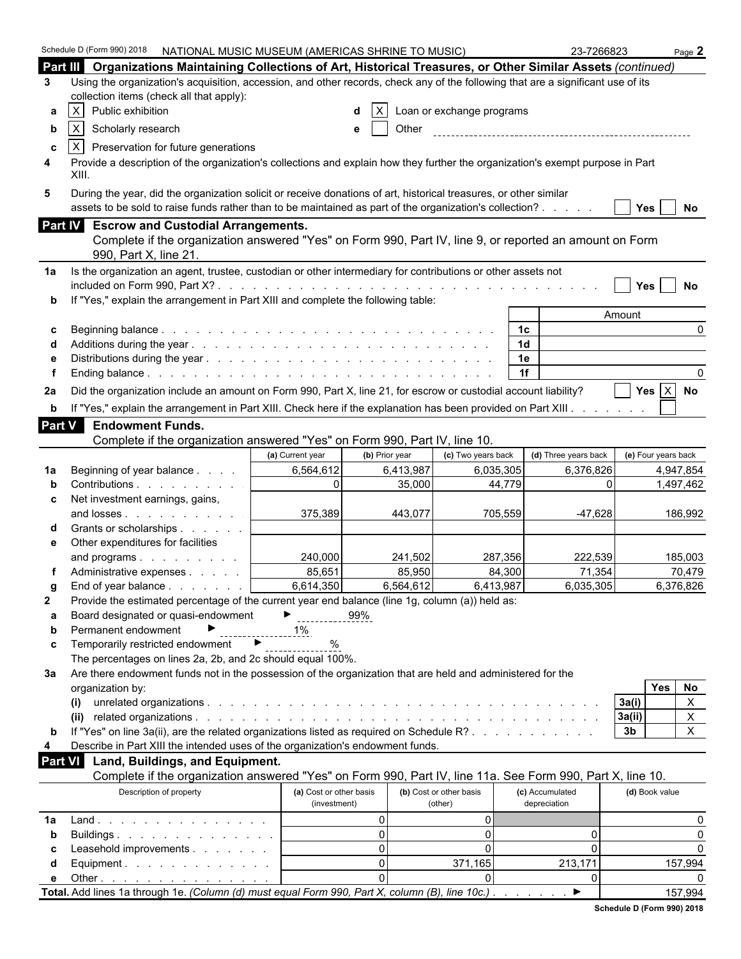|                | Schedule D (Form 990) 2018  NATIONAL MUSIC MUSEUM (AMERICAS SHRINE TO MUSIC)                                                                                                                                                 |                                         |                |                                    |                      | 23-7266823                      |                     | Page $2$     |
|----------------|------------------------------------------------------------------------------------------------------------------------------------------------------------------------------------------------------------------------------|-----------------------------------------|----------------|------------------------------------|----------------------|---------------------------------|---------------------|--------------|
|                | Part III Organizations Maintaining Collections of Art, Historical Treasures, or Other Similar Assets (continued)                                                                                                             |                                         |                |                                    |                      |                                 |                     |              |
| 3              | Using the organization's acquisition, accession, and other records, check any of the following that are a significant use of its                                                                                             |                                         |                |                                    |                      |                                 |                     |              |
|                | collection items (check all that apply):                                                                                                                                                                                     |                                         |                |                                    |                      |                                 |                     |              |
| а              | Public exhibition<br>X<br>Loan or exchange programs                                                                                                                                                                          |                                         |                |                                    |                      |                                 |                     |              |
| b              | X<br>Scholarly research                                                                                                                                                                                                      |                                         | Other          |                                    |                      |                                 |                     |              |
| c              | X<br>Preservation for future generations                                                                                                                                                                                     |                                         |                |                                    |                      |                                 |                     |              |
| 4              | Provide a description of the organization's collections and explain how they further the organization's exempt purpose in Part<br>XIII.                                                                                      |                                         |                |                                    |                      |                                 |                     |              |
| 5              | During the year, did the organization solicit or receive donations of art, historical treasures, or other similar<br>assets to be sold to raise funds rather than to be maintained as part of the organization's collection? |                                         |                |                                    |                      |                                 | Yes $ $             | No           |
|                | Part IV Escrow and Custodial Arrangements.                                                                                                                                                                                   |                                         |                |                                    |                      |                                 |                     |              |
|                | Complete if the organization answered "Yes" on Form 990, Part IV, line 9, or reported an amount on Form<br>990, Part X, line 21                                                                                              |                                         |                |                                    |                      |                                 |                     |              |
| 1a             | Is the organization an agent, trustee, custodian or other intermediary for contributions or other assets not                                                                                                                 |                                         |                |                                    |                      |                                 |                     |              |
|                |                                                                                                                                                                                                                              |                                         |                |                                    |                      |                                 | <b>Yes</b>          | No           |
| b              | If "Yes," explain the arrangement in Part XIII and complete the following table:                                                                                                                                             |                                         |                |                                    |                      |                                 |                     |              |
|                |                                                                                                                                                                                                                              |                                         |                |                                    |                      |                                 | Amount              |              |
| c              |                                                                                                                                                                                                                              |                                         |                |                                    | 1с                   |                                 |                     | 0            |
|                |                                                                                                                                                                                                                              |                                         |                |                                    | 1 <sub>d</sub><br>1e |                                 |                     |              |
|                |                                                                                                                                                                                                                              |                                         |                |                                    | 1f                   |                                 |                     |              |
|                |                                                                                                                                                                                                                              |                                         |                |                                    |                      |                                 |                     |              |
| 2a             | Did the organization include an amount on Form 990, Part X, line 21, for escrow or custodial account liability?                                                                                                              |                                         |                |                                    |                      |                                 | Yes $ X $           | No           |
| b              | If "Yes," explain the arrangement in Part XIII. Check here if the explanation has been provided on Part XIII.                                                                                                                |                                         |                |                                    |                      |                                 |                     |              |
| <b>Part V</b>  | <b>Endowment Funds.</b>                                                                                                                                                                                                      |                                         |                |                                    |                      |                                 |                     |              |
|                | Complete if the organization answered "Yes" on Form 990, Part IV, line 10.                                                                                                                                                   |                                         |                |                                    |                      |                                 |                     |              |
|                |                                                                                                                                                                                                                              | (a) Current year                        | (b) Prior year | (c) Two years back                 |                      | (d) Three years back            | (e) Four years back |              |
| 1a             | Beginning of year balance                                                                                                                                                                                                    | 6,564,612                               | 6,413,987      | 6,035,305                          |                      | 6,376,826                       |                     | 4,947,854    |
|                | Contributions                                                                                                                                                                                                                | $\Omega$                                | 35,000         |                                    | 44,779               | 0                               |                     | 1,497,462    |
| c.             | Net investment earnings, gains,<br>and losses                                                                                                                                                                                | 375,389                                 | 443,077        |                                    | 705,559              | $-47,628$                       |                     | 186,992      |
|                | Grants or scholarships                                                                                                                                                                                                       |                                         |                |                                    |                      |                                 |                     |              |
| e              | Other expenditures for facilities                                                                                                                                                                                            |                                         |                |                                    |                      |                                 |                     |              |
|                | and programs                                                                                                                                                                                                                 | 240,000                                 | 241,502        |                                    | 287,356              | 222,539                         |                     | 185,003      |
|                | Administrative expenses                                                                                                                                                                                                      | 85,651                                  | 85,950         |                                    | 84,300               | 71,354                          |                     | 70,479       |
| a              | End of year balance                                                                                                                                                                                                          | 6,614,350                               | 6,564,612      | 6,413,987                          |                      | 6,035,305                       |                     | 6.376.826    |
| $\mathbf{2}$   | Provide the estimated percentage of the current year end balance (line 1g, column (a)) held as:                                                                                                                              |                                         |                |                                    |                      |                                 |                     |              |
| а              | Board designated or quasi-endowment                                                                                                                                                                                          | ▶.                                      | 99%            |                                    |                      |                                 |                     |              |
| b              | Permanent endowment                                                                                                                                                                                                          | 1%                                      |                |                                    |                      |                                 |                     |              |
| C              | Temporarily restricted endowment                                                                                                                                                                                             | $\blacktriangleright$<br>%              |                |                                    |                      |                                 |                     |              |
|                | The percentages on lines 2a, 2b, and 2c should equal 100%.                                                                                                                                                                   |                                         |                |                                    |                      |                                 |                     |              |
| За             | Are there endowment funds not in the possession of the organization that are held and administered for the                                                                                                                   |                                         |                |                                    |                      |                                 |                     |              |
|                | organization by:                                                                                                                                                                                                             |                                         |                |                                    |                      |                                 | Yes                 | No           |
|                | (i)                                                                                                                                                                                                                          |                                         |                |                                    |                      |                                 | 3a(i)               | $\mathsf{X}$ |
|                | (ii)                                                                                                                                                                                                                         |                                         |                |                                    |                      |                                 | 3a(ii)              | X            |
| b              | If "Yes" on line 3a(ii), are the related organizations listed as required on Schedule R?                                                                                                                                     |                                         |                |                                    |                      |                                 | 3 <sub>b</sub>      | X            |
| 4              | Describe in Part XIII the intended uses of the organization's endowment funds.                                                                                                                                               |                                         |                |                                    |                      |                                 |                     |              |
| <b>Part VI</b> | Land, Buildings, and Equipment.                                                                                                                                                                                              |                                         |                |                                    |                      |                                 |                     |              |
|                | Complete if the organization answered "Yes" on Form 990, Part IV, line 11a. See Form 990, Part X, line 10.                                                                                                                   |                                         |                |                                    |                      |                                 |                     |              |
|                | Description of property                                                                                                                                                                                                      | (a) Cost or other basis<br>(investment) |                | (b) Cost or other basis<br>(other) |                      | (c) Accumulated<br>depreciation | (d) Book value      |              |
| 1a             | $Land.$                                                                                                                                                                                                                      |                                         | $\mathbf{0}$   | $\overline{0}$                     |                      |                                 |                     | 0            |
| b              | Buildings                                                                                                                                                                                                                    |                                         | $\mathbf{0}$   | $\mathbf 0$                        |                      | 0                               |                     | 0            |
| С              | Leasehold improvements                                                                                                                                                                                                       |                                         | $\Omega$       | $\Omega$                           |                      | 0                               |                     | $\Omega$     |
| d              | Equipment.                                                                                                                                                                                                                   |                                         | $\Omega$       | 371,165                            |                      | 213,171                         |                     | 157,994      |
| е              | Other $\ldots$ $\ldots$ $\ldots$ $\ldots$ $\ldots$ $\ldots$                                                                                                                                                                  |                                         | $\Omega$       | $\Omega$                           |                      | 0                               |                     |              |
|                | Total. Add lines 1a through 1e. (Column (d) must equal Form 990, Part X, column (B), line 10c.).                                                                                                                             |                                         |                |                                    |                      | ▸                               |                     | 157,994      |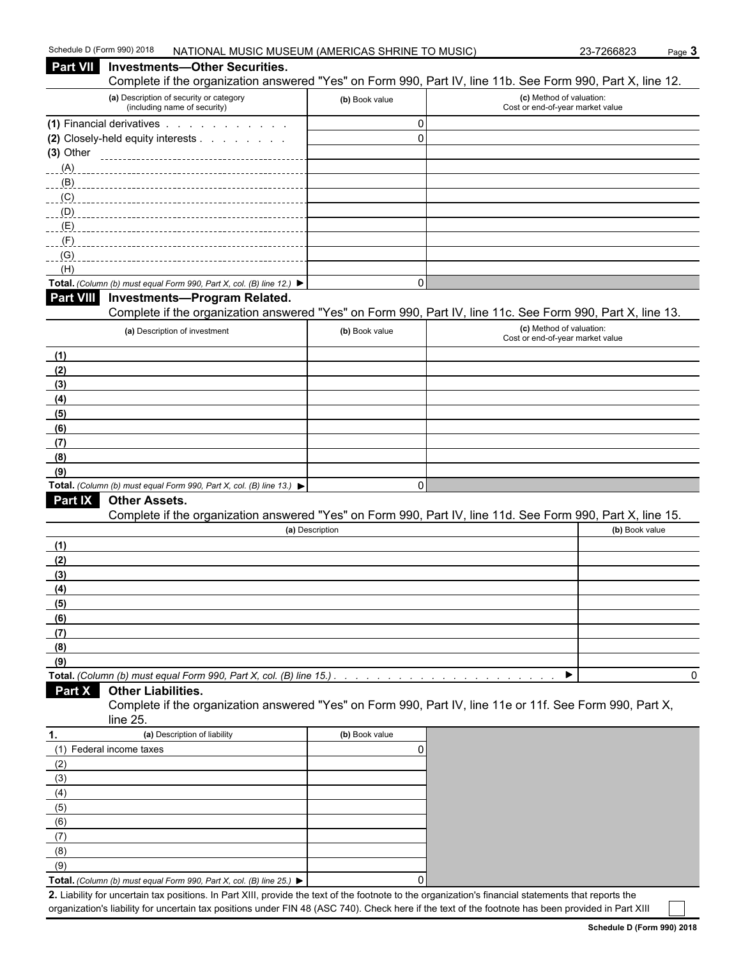|                  | Schedule D (Form 990) 2018<br>NATIONAL MUSIC MUSEUM (AMERICAS SHRINE TO MUSIC)                                       |                 | 23-7266823                                                   | Page $3$       |
|------------------|----------------------------------------------------------------------------------------------------------------------|-----------------|--------------------------------------------------------------|----------------|
| Part VII         | <b>Investments-Other Securities.</b>                                                                                 |                 |                                                              |                |
|                  | Complete if the organization answered "Yes" on Form 990, Part IV, line 11b. See Form 990, Part X, line 12.           |                 |                                                              |                |
|                  | (a) Description of security or category<br>(including name of security)                                              | (b) Book value  | (c) Method of valuation:<br>Cost or end-of-year market value |                |
|                  | (1) Financial derivatives                                                                                            | 0               |                                                              |                |
|                  | (2) Closely-held equity interests                                                                                    | $\Omega$        |                                                              |                |
| $(3)$ Other      |                                                                                                                      |                 |                                                              |                |
| (A)              |                                                                                                                      |                 |                                                              |                |
| (B)              |                                                                                                                      |                 |                                                              |                |
| (C)              |                                                                                                                      |                 |                                                              |                |
| (D)              |                                                                                                                      |                 |                                                              |                |
| (E)              |                                                                                                                      |                 |                                                              |                |
| (F)              |                                                                                                                      |                 |                                                              |                |
| (G)<br>(H)       |                                                                                                                      |                 |                                                              |                |
|                  | Total. (Column (b) must equal Form 990, Part X, col. (B) line 12.) $\blacktriangleright$                             | $\Omega$        |                                                              |                |
| <b>Part VIII</b> | <b>Investments-Program Related.</b>                                                                                  |                 |                                                              |                |
|                  | Complete if the organization answered "Yes" on Form 990, Part IV, line 11c. See Form 990, Part X, line 13.           |                 |                                                              |                |
|                  | (a) Description of investment                                                                                        | (b) Book value  | (c) Method of valuation:                                     |                |
|                  |                                                                                                                      |                 | Cost or end-of-year market value                             |                |
| (1)              |                                                                                                                      |                 |                                                              |                |
| (2)              |                                                                                                                      |                 |                                                              |                |
| (3)              |                                                                                                                      |                 |                                                              |                |
| (4)              |                                                                                                                      |                 |                                                              |                |
| (5)              |                                                                                                                      |                 |                                                              |                |
| (6)              |                                                                                                                      |                 |                                                              |                |
| (7)              |                                                                                                                      |                 |                                                              |                |
| (8)              |                                                                                                                      |                 |                                                              |                |
| (9)              |                                                                                                                      |                 |                                                              |                |
|                  | Total. (Column (b) must equal Form 990, Part X, col. (B) line 13.) $\blacktriangleright$                             | $\Omega$        |                                                              |                |
| <b>Part IX</b>   | <b>Other Assets.</b>                                                                                                 |                 |                                                              |                |
|                  | Complete if the organization answered "Yes" on Form 990, Part IV, line 11d. See Form 990, Part X, line 15.           |                 |                                                              |                |
|                  |                                                                                                                      | (a) Description |                                                              | (b) Book value |
| (1)              |                                                                                                                      |                 |                                                              |                |
| (2)              |                                                                                                                      |                 |                                                              |                |
| (3)              |                                                                                                                      |                 |                                                              |                |
| (4)<br>(5)       |                                                                                                                      |                 |                                                              |                |
| (6)              |                                                                                                                      |                 |                                                              |                |
| (7)              |                                                                                                                      |                 |                                                              |                |
| (8)              |                                                                                                                      |                 |                                                              |                |
| (9)              |                                                                                                                      |                 |                                                              |                |
|                  |                                                                                                                      |                 |                                                              | 0              |
| <b>Part X</b>    | <b>Other Liabilities.</b>                                                                                            |                 |                                                              |                |
|                  | Complete if the organization answered "Yes" on Form 990, Part IV, line 11e or 11f. See Form 990, Part X,<br>line 25. |                 |                                                              |                |
| 1.               | (a) Description of liability                                                                                         | (b) Book value  |                                                              |                |
|                  | (1) Federal income taxes                                                                                             | 0               |                                                              |                |
| (2)              |                                                                                                                      |                 |                                                              |                |
| (3)              |                                                                                                                      |                 |                                                              |                |
| (4)              |                                                                                                                      |                 |                                                              |                |
| (5)              |                                                                                                                      |                 |                                                              |                |

| <b>Total.</b> (Column (b) must equal Form 990, Part X, col. (B) line 25.) $\blacktriangleright$                                                      |  |
|------------------------------------------------------------------------------------------------------------------------------------------------------|--|
| 2. Liability for uncertain tax positions. In Part XIII, provide the text of the footnote to the organization's financial statements that reports the |  |
| organization's liability for uncertain tax positions under FIN 48 (ASC 740). Check here if the text of the footnote has been provided in Part XIII   |  |

(6) (7) (8) (9)

**Schedule D (Form 990) 2018**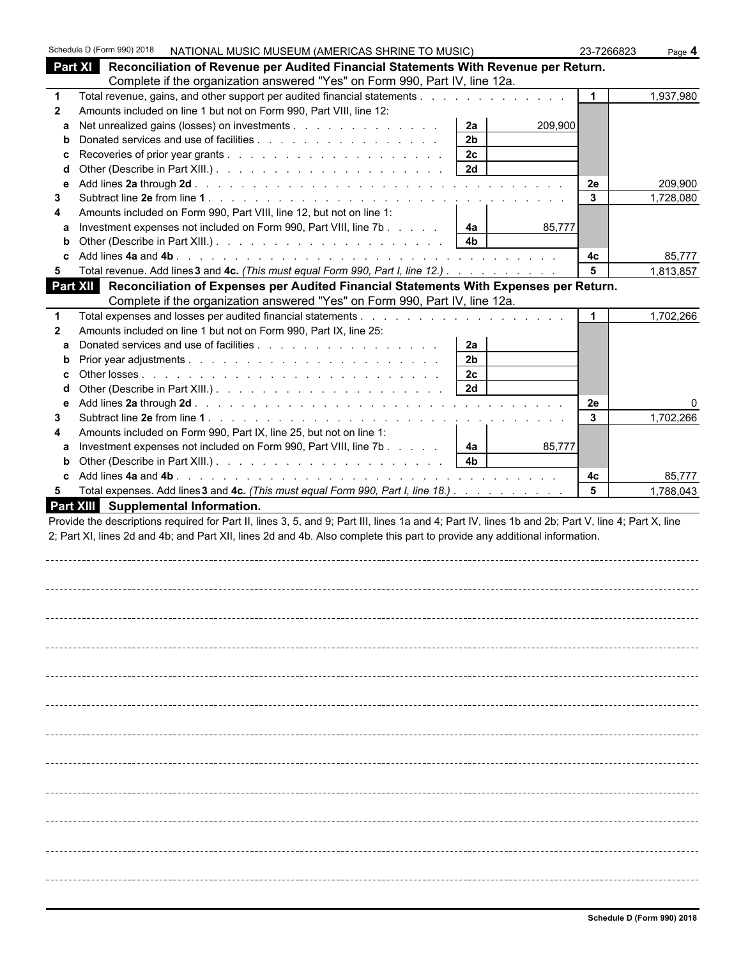|              | Schedule D (Form 990) 2018 |                                     | NATIONAL MUSIC MUSEUM (AMERICAS SHRINE TO MUSIC)                                                                |                                                                                                                                                    | 23-7266823      | Page 4    |
|--------------|----------------------------|-------------------------------------|-----------------------------------------------------------------------------------------------------------------|----------------------------------------------------------------------------------------------------------------------------------------------------|-----------------|-----------|
|              | Part XI                    |                                     |                                                                                                                 | Reconciliation of Revenue per Audited Financial Statements With Revenue per Return.                                                                |                 |           |
|              |                            |                                     | Complete if the organization answered "Yes" on Form 990, Part IV, line 12a.                                     |                                                                                                                                                    |                 |           |
| $\mathbf 1$  |                            |                                     |                                                                                                                 | Total revenue, gains, and other support per audited financial statements                                                                           |                 | 1,937,980 |
| $\mathbf{2}$ |                            |                                     | Amounts included on line 1 but not on Form 990, Part VIII, line 12:                                             |                                                                                                                                                    |                 |           |
|              |                            |                                     | a Net unrealized gains (losses) on investments                                                                  | 2a<br>209,900                                                                                                                                      |                 |           |
| b            |                            |                                     |                                                                                                                 | 2 <sub>b</sub>                                                                                                                                     |                 |           |
| c            |                            |                                     |                                                                                                                 | 2c                                                                                                                                                 |                 |           |
| d            |                            |                                     |                                                                                                                 | 2d                                                                                                                                                 |                 |           |
| е            |                            |                                     |                                                                                                                 |                                                                                                                                                    | 2e              | 209,900   |
| 3            |                            |                                     |                                                                                                                 |                                                                                                                                                    | $\mathbf{3}$    | 1,728,080 |
| 4            |                            |                                     | Amounts included on Form 990, Part VIII, line 12, but not on line 1:                                            |                                                                                                                                                    |                 |           |
| a            |                            |                                     | Investment expenses not included on Form 990, Part VIII, line 7b                                                | 4a<br>85,777                                                                                                                                       |                 |           |
|              |                            |                                     | <b>b</b> Other (Describe in Part XIII.) $\ldots$ $\ldots$ $\ldots$ $\ldots$ $\ldots$ $\ldots$ $\ldots$ $\ldots$ | 4 <sub>b</sub>                                                                                                                                     |                 |           |
|              |                            |                                     |                                                                                                                 |                                                                                                                                                    | 4c              | 85,777    |
| 5.           |                            |                                     | Total revenue. Add lines 3 and 4c. (This must equal Form 990, Part I, line 12.)                                 |                                                                                                                                                    | $5\phantom{.0}$ | 1,813,857 |
|              | Part XII                   |                                     |                                                                                                                 | Reconciliation of Expenses per Audited Financial Statements With Expenses per Return.                                                              |                 |           |
|              |                            |                                     | Complete if the organization answered "Yes" on Form 990, Part IV, line 12a.                                     |                                                                                                                                                    |                 |           |
| $\mathbf 1$  |                            |                                     |                                                                                                                 |                                                                                                                                                    |                 | 1,702,266 |
| $\mathbf{2}$ |                            |                                     | Amounts included on line 1 but not on Form 990, Part IX, line 25:                                               |                                                                                                                                                    |                 |           |
| a<br>b       |                            |                                     |                                                                                                                 | 2a<br>2 <sub>b</sub>                                                                                                                               |                 |           |
| С            |                            |                                     |                                                                                                                 | 2c                                                                                                                                                 |                 |           |
| d            |                            |                                     |                                                                                                                 | 2d                                                                                                                                                 |                 |           |
| е            |                            |                                     |                                                                                                                 |                                                                                                                                                    | 2e              |           |
| 3            |                            |                                     |                                                                                                                 |                                                                                                                                                    | 3               | 1,702,266 |
| 4            |                            |                                     | Amounts included on Form 990, Part IX, line 25, but not on line 1:                                              |                                                                                                                                                    |                 |           |
| a            |                            |                                     | Investment expenses not included on Form 990, Part VIII, line 7b                                                | 4a<br>85,777                                                                                                                                       |                 |           |
| b            |                            |                                     |                                                                                                                 | 4 <sub>b</sub>                                                                                                                                     |                 |           |
| c.           |                            |                                     |                                                                                                                 |                                                                                                                                                    | 4c              | 85,777    |
| 5            |                            |                                     |                                                                                                                 | Total expenses. Add lines 3 and 4c. (This must equal Form 990, Part I, line 18.)                                                                   | 5 <sup>5</sup>  | 1,788,043 |
|              |                            | Part XIII Supplemental Information. |                                                                                                                 |                                                                                                                                                    |                 |           |
|              |                            |                                     |                                                                                                                 | Provide the descriptions required for Part II, lines 3, 5, and 9; Part III, lines 1a and 4; Part IV, lines 1b and 2b; Part V, line 4; Part X, line |                 |           |
|              |                            |                                     |                                                                                                                 | 2; Part XI, lines 2d and 4b; and Part XII, lines 2d and 4b. Also complete this part to provide any additional information.                         |                 |           |
|              |                            |                                     |                                                                                                                 |                                                                                                                                                    |                 |           |
|              |                            |                                     |                                                                                                                 |                                                                                                                                                    |                 |           |
|              |                            |                                     |                                                                                                                 |                                                                                                                                                    |                 |           |
|              |                            |                                     |                                                                                                                 |                                                                                                                                                    |                 |           |
|              |                            |                                     |                                                                                                                 |                                                                                                                                                    |                 |           |
|              |                            |                                     |                                                                                                                 |                                                                                                                                                    |                 |           |
|              |                            |                                     |                                                                                                                 |                                                                                                                                                    |                 |           |
|              |                            |                                     |                                                                                                                 |                                                                                                                                                    |                 |           |
|              |                            |                                     |                                                                                                                 |                                                                                                                                                    |                 |           |
|              |                            |                                     |                                                                                                                 |                                                                                                                                                    |                 |           |
|              |                            |                                     |                                                                                                                 |                                                                                                                                                    |                 |           |
|              |                            |                                     |                                                                                                                 |                                                                                                                                                    |                 |           |
|              |                            |                                     |                                                                                                                 |                                                                                                                                                    |                 |           |
|              |                            |                                     |                                                                                                                 |                                                                                                                                                    |                 |           |
|              |                            |                                     |                                                                                                                 |                                                                                                                                                    |                 |           |
|              |                            |                                     |                                                                                                                 |                                                                                                                                                    |                 |           |
|              |                            |                                     |                                                                                                                 |                                                                                                                                                    |                 |           |
|              |                            |                                     |                                                                                                                 |                                                                                                                                                    |                 |           |
|              |                            |                                     |                                                                                                                 |                                                                                                                                                    |                 |           |
|              |                            |                                     |                                                                                                                 |                                                                                                                                                    |                 |           |
|              |                            |                                     |                                                                                                                 |                                                                                                                                                    |                 |           |
|              |                            |                                     |                                                                                                                 |                                                                                                                                                    |                 |           |
|              |                            |                                     |                                                                                                                 |                                                                                                                                                    |                 |           |
|              |                            |                                     |                                                                                                                 |                                                                                                                                                    |                 |           |
|              |                            |                                     |                                                                                                                 |                                                                                                                                                    |                 |           |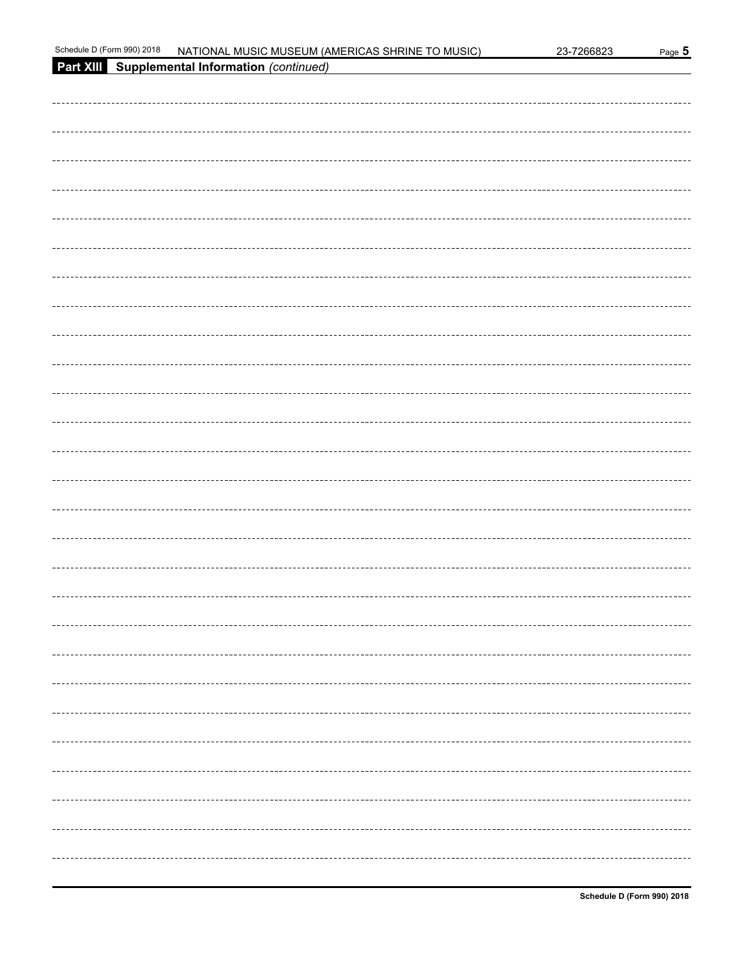| Schedule D (Form 990) 2018 | Schedule D (Form 990) 2018    NATIONAL MUSIC MUSEUM (AMERICAS SHRINE TO MUSIC)<br><b>Part XIII</b> Supplemental Information <i>(continued)</i> | 23-7266823 | Page 5 |
|----------------------------|------------------------------------------------------------------------------------------------------------------------------------------------|------------|--------|
|                            |                                                                                                                                                |            |        |
|                            |                                                                                                                                                |            |        |
|                            |                                                                                                                                                |            |        |
|                            |                                                                                                                                                |            |        |
|                            |                                                                                                                                                |            |        |
|                            |                                                                                                                                                |            |        |
|                            |                                                                                                                                                |            |        |
|                            |                                                                                                                                                |            |        |
|                            |                                                                                                                                                |            |        |
|                            |                                                                                                                                                |            |        |
|                            |                                                                                                                                                |            |        |
|                            |                                                                                                                                                |            |        |
|                            |                                                                                                                                                |            |        |
|                            |                                                                                                                                                |            |        |
|                            |                                                                                                                                                |            |        |
|                            |                                                                                                                                                |            |        |
|                            |                                                                                                                                                |            |        |
|                            |                                                                                                                                                |            |        |
|                            |                                                                                                                                                |            |        |
|                            |                                                                                                                                                |            |        |
|                            |                                                                                                                                                |            |        |
|                            |                                                                                                                                                |            |        |
|                            |                                                                                                                                                |            |        |
|                            |                                                                                                                                                |            |        |
|                            |                                                                                                                                                |            |        |
|                            |                                                                                                                                                |            |        |
|                            |                                                                                                                                                |            |        |
|                            |                                                                                                                                                |            |        |
|                            |                                                                                                                                                |            |        |
|                            |                                                                                                                                                |            |        |
|                            |                                                                                                                                                |            |        |
|                            |                                                                                                                                                |            |        |
|                            |                                                                                                                                                |            |        |
|                            |                                                                                                                                                |            |        |
|                            |                                                                                                                                                |            |        |
|                            |                                                                                                                                                |            |        |
|                            |                                                                                                                                                |            |        |
|                            |                                                                                                                                                |            |        |
|                            |                                                                                                                                                |            |        |
|                            |                                                                                                                                                |            |        |
|                            |                                                                                                                                                |            |        |
|                            |                                                                                                                                                |            |        |
|                            |                                                                                                                                                |            |        |
|                            |                                                                                                                                                |            |        |
|                            |                                                                                                                                                |            |        |
|                            |                                                                                                                                                |            |        |
|                            |                                                                                                                                                |            |        |
|                            |                                                                                                                                                |            |        |
|                            |                                                                                                                                                |            |        |
|                            |                                                                                                                                                |            |        |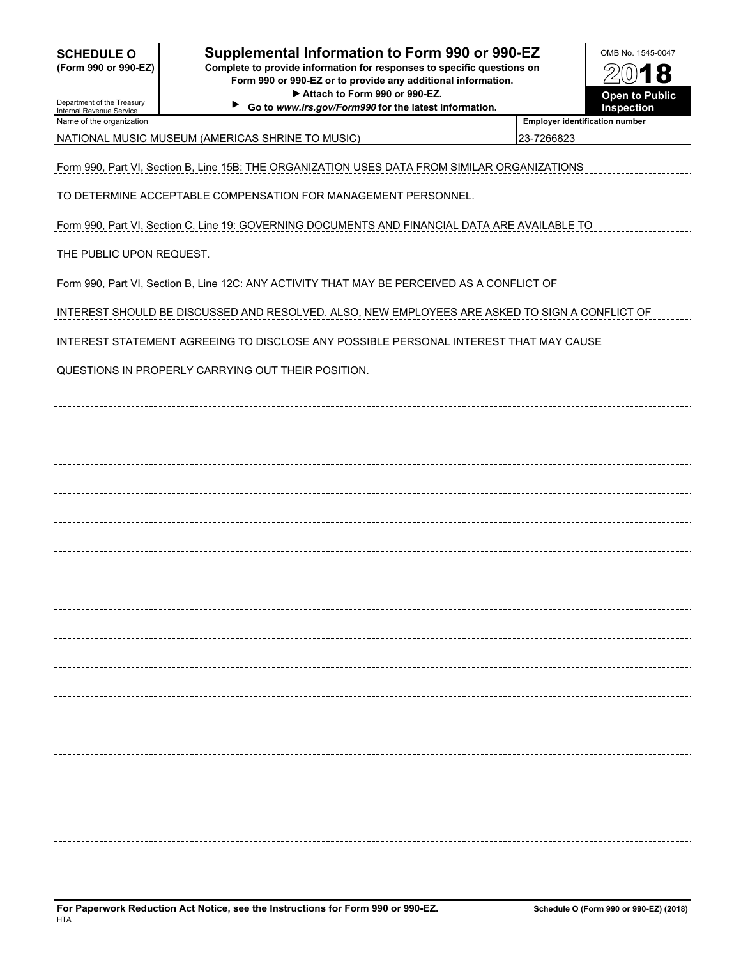| <b>SCHEDULE O</b><br>(Form 990 or 990-EZ)<br>Department of the Treasury<br>Internal Revenue Service | OMB No. 1545-0047<br>$2(0)$ <b>18</b><br><b>Open to Public</b><br>Inspection                   |                                                     |  |  |  |  |
|-----------------------------------------------------------------------------------------------------|------------------------------------------------------------------------------------------------|-----------------------------------------------------|--|--|--|--|
| Name of the organization                                                                            | NATIONAL MUSIC MUSEUM (AMERICAS SHRINE TO MUSIC)                                               | <b>Employer identification number</b><br>23-7266823 |  |  |  |  |
|                                                                                                     | Form 990, Part VI, Section B, Line 15B: THE ORGANIZATION USES DATA FROM SIMILAR ORGANIZATIONS  |                                                     |  |  |  |  |
|                                                                                                     | TO DETERMINE ACCEPTABLE COMPENSATION FOR MANAGEMENT PERSONNEL.                                 |                                                     |  |  |  |  |
| Form 990, Part VI, Section C, Line 19: GOVERNING DOCUMENTS AND FINANCIAL DATA ARE AVAILABLE TO      |                                                                                                |                                                     |  |  |  |  |
| THE PUBLIC UPON REQUEST.                                                                            |                                                                                                |                                                     |  |  |  |  |
|                                                                                                     | Form 990, Part VI, Section B, Line 12C: ANY ACTIVITY THAT MAY BE PERCEIVED AS A CONFLICT OF    |                                                     |  |  |  |  |
|                                                                                                     | INTEREST SHOULD BE DISCUSSED AND RESOLVED. ALSO, NEW EMPLOYEES ARE ASKED TO SIGN A CONFLICT OF |                                                     |  |  |  |  |
|                                                                                                     | INTEREST STATEMENT AGREEING TO DISCLOSE ANY POSSIBLE PERSONAL INTEREST THAT MAY CAUSE          |                                                     |  |  |  |  |
|                                                                                                     | QUESTIONS IN PROPERLY CARRYING OUT THEIR POSITION.                                             |                                                     |  |  |  |  |
|                                                                                                     |                                                                                                |                                                     |  |  |  |  |
|                                                                                                     |                                                                                                |                                                     |  |  |  |  |
|                                                                                                     |                                                                                                |                                                     |  |  |  |  |
|                                                                                                     |                                                                                                |                                                     |  |  |  |  |
|                                                                                                     |                                                                                                |                                                     |  |  |  |  |
|                                                                                                     |                                                                                                |                                                     |  |  |  |  |
|                                                                                                     |                                                                                                |                                                     |  |  |  |  |
|                                                                                                     |                                                                                                |                                                     |  |  |  |  |
|                                                                                                     |                                                                                                |                                                     |  |  |  |  |
|                                                                                                     |                                                                                                |                                                     |  |  |  |  |
|                                                                                                     |                                                                                                |                                                     |  |  |  |  |
|                                                                                                     |                                                                                                |                                                     |  |  |  |  |
|                                                                                                     |                                                                                                |                                                     |  |  |  |  |
|                                                                                                     |                                                                                                |                                                     |  |  |  |  |
|                                                                                                     |                                                                                                |                                                     |  |  |  |  |
|                                                                                                     |                                                                                                |                                                     |  |  |  |  |
|                                                                                                     |                                                                                                |                                                     |  |  |  |  |
|                                                                                                     |                                                                                                |                                                     |  |  |  |  |